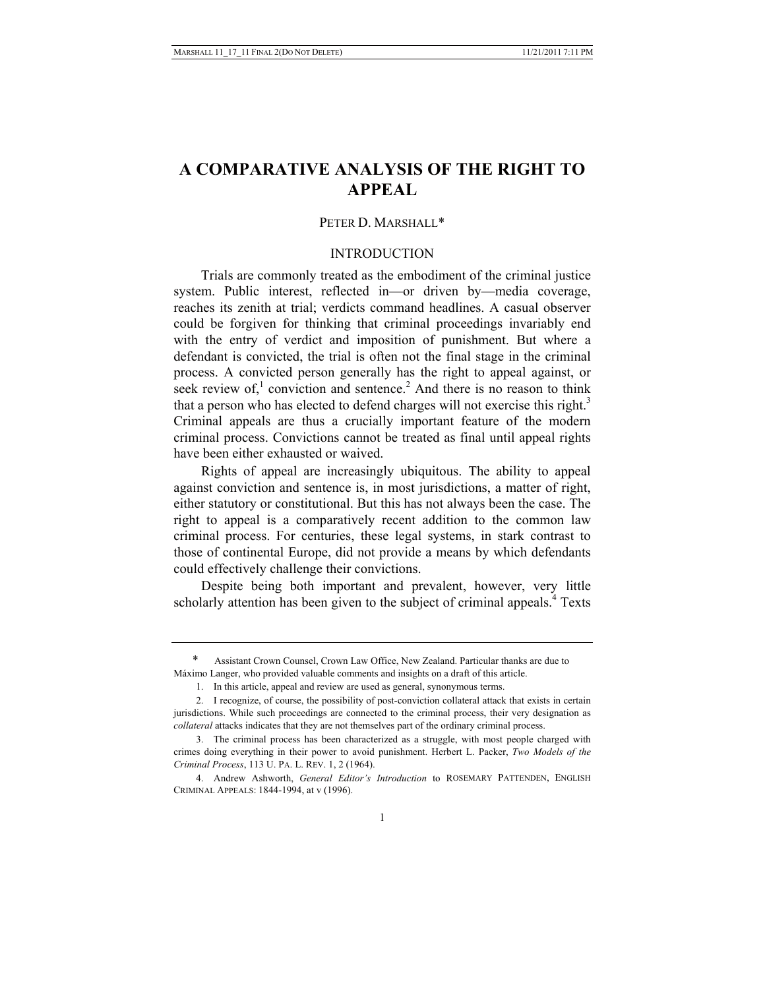# **A COMPARATIVE ANALYSIS OF THE RIGHT TO APPEAL**

## PETER D. MARSHALL\*

# INTRODUCTION

Trials are commonly treated as the embodiment of the criminal justice system. Public interest, reflected in—or driven by—media coverage, reaches its zenith at trial; verdicts command headlines. A casual observer could be forgiven for thinking that criminal proceedings invariably end with the entry of verdict and imposition of punishment. But where a defendant is convicted, the trial is often not the final stage in the criminal process. A convicted person generally has the right to appeal against, or seek review of,<sup>1</sup> conviction and sentence.<sup>2</sup> And there is no reason to think that a person who has elected to defend charges will not exercise this right.<sup>3</sup> Criminal appeals are thus a crucially important feature of the modern criminal process. Convictions cannot be treated as final until appeal rights have been either exhausted or waived.

Rights of appeal are increasingly ubiquitous. The ability to appeal against conviction and sentence is, in most jurisdictions, a matter of right, either statutory or constitutional. But this has not always been the case. The right to appeal is a comparatively recent addition to the common law criminal process. For centuries, these legal systems, in stark contrast to those of continental Europe, did not provide a means by which defendants could effectively challenge their convictions.

Despite being both important and prevalent, however, very little scholarly attention has been given to the subject of criminal appeals.<sup>4</sup> Texts

Assistant Crown Counsel, Crown Law Office, New Zealand. Particular thanks are due to Máximo Langer, who provided valuable comments and insights on a draft of this article.

 <sup>1.</sup> In this article, appeal and review are used as general, synonymous terms.

 <sup>2.</sup> I recognize, of course, the possibility of post-conviction collateral attack that exists in certain jurisdictions. While such proceedings are connected to the criminal process, their very designation as *collateral* attacks indicates that they are not themselves part of the ordinary criminal process.

 <sup>3.</sup> The criminal process has been characterized as a struggle, with most people charged with crimes doing everything in their power to avoid punishment. Herbert L. Packer, *Two Models of the Criminal Process*, 113 U. PA. L. REV. 1, 2 (1964).

 <sup>4.</sup> Andrew Ashworth, *General Editor's Introduction* to ROSEMARY PATTENDEN, ENGLISH CRIMINAL APPEALS: 1844-1994, at v (1996).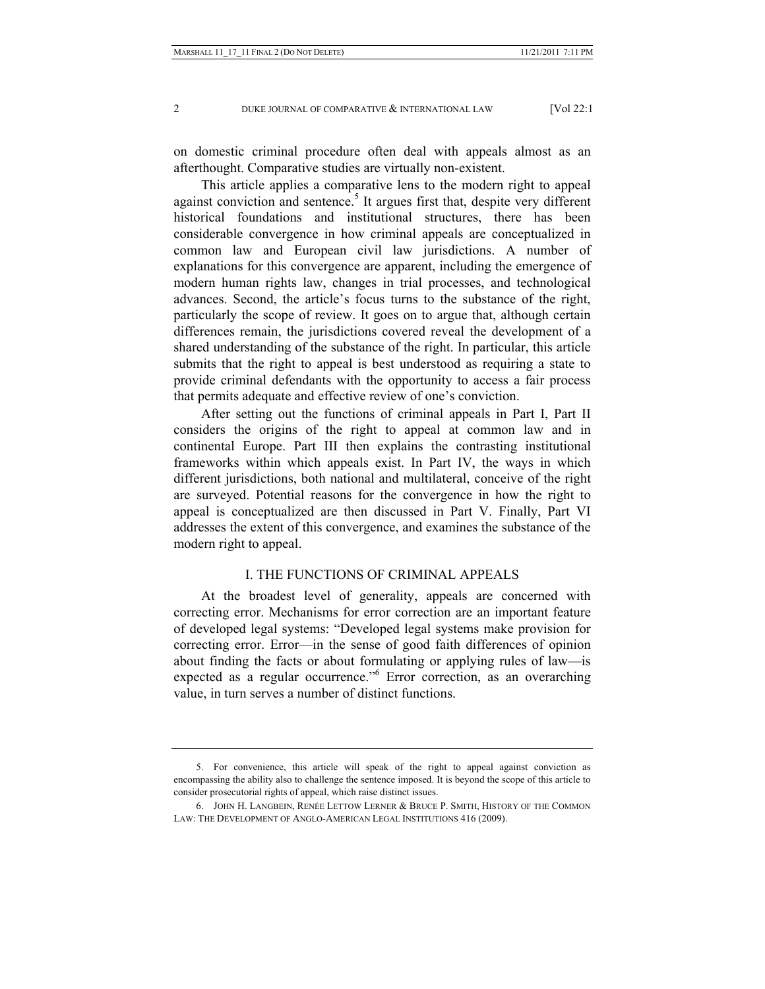on domestic criminal procedure often deal with appeals almost as an afterthought. Comparative studies are virtually non-existent.

This article applies a comparative lens to the modern right to appeal against conviction and sentence.<sup>5</sup> It argues first that, despite very different historical foundations and institutional structures, there has been considerable convergence in how criminal appeals are conceptualized in common law and European civil law jurisdictions. A number of explanations for this convergence are apparent, including the emergence of modern human rights law, changes in trial processes, and technological advances. Second, the article's focus turns to the substance of the right, particularly the scope of review. It goes on to argue that, although certain differences remain, the jurisdictions covered reveal the development of a shared understanding of the substance of the right. In particular, this article submits that the right to appeal is best understood as requiring a state to provide criminal defendants with the opportunity to access a fair process that permits adequate and effective review of one's conviction.

After setting out the functions of criminal appeals in Part I, Part II considers the origins of the right to appeal at common law and in continental Europe. Part III then explains the contrasting institutional frameworks within which appeals exist. In Part IV, the ways in which different jurisdictions, both national and multilateral, conceive of the right are surveyed. Potential reasons for the convergence in how the right to appeal is conceptualized are then discussed in Part V. Finally, Part VI addresses the extent of this convergence, and examines the substance of the modern right to appeal.

## I. THE FUNCTIONS OF CRIMINAL APPEALS

At the broadest level of generality, appeals are concerned with correcting error. Mechanisms for error correction are an important feature of developed legal systems: "Developed legal systems make provision for correcting error. Error—in the sense of good faith differences of opinion about finding the facts or about formulating or applying rules of law—is expected as a regular occurrence."<sup>6</sup> Error correction, as an overarching value, in turn serves a number of distinct functions.

 <sup>5.</sup> For convenience, this article will speak of the right to appeal against conviction as encompassing the ability also to challenge the sentence imposed. It is beyond the scope of this article to consider prosecutorial rights of appeal, which raise distinct issues.

 <sup>6.</sup> JOHN H. LANGBEIN, RENÉE LETTOW LERNER & BRUCE P. SMITH, HISTORY OF THE COMMON LAW: THE DEVELOPMENT OF ANGLO-AMERICAN LEGAL INSTITUTIONS 416 (2009).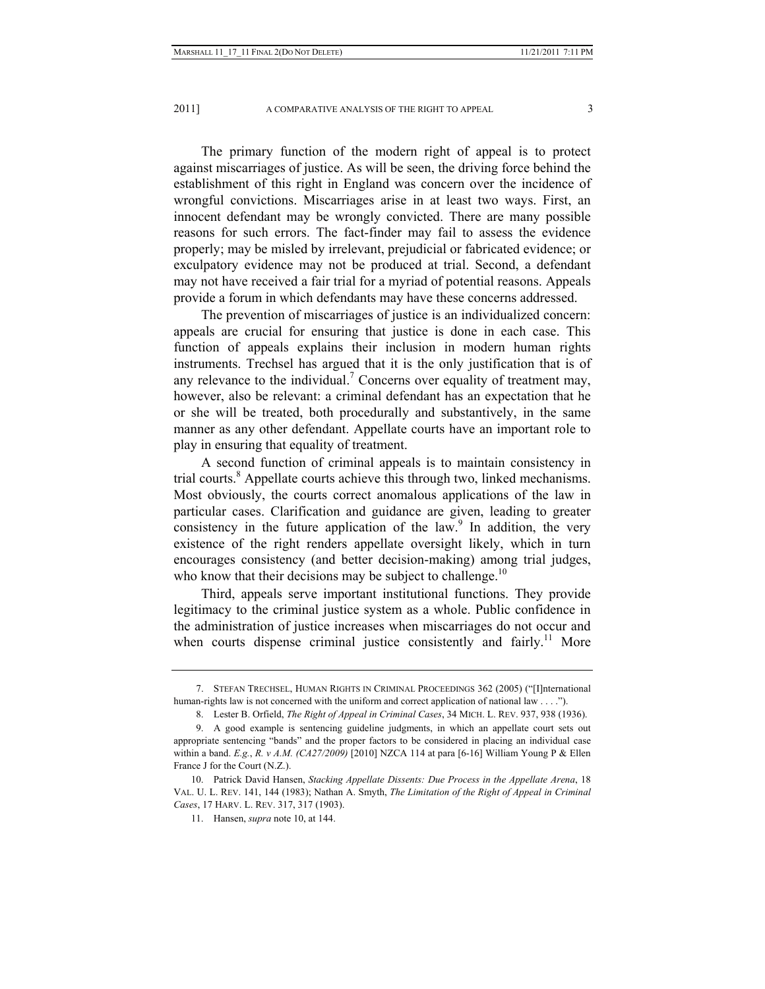The primary function of the modern right of appeal is to protect against miscarriages of justice. As will be seen, the driving force behind the establishment of this right in England was concern over the incidence of wrongful convictions. Miscarriages arise in at least two ways. First, an innocent defendant may be wrongly convicted. There are many possible reasons for such errors. The fact-finder may fail to assess the evidence properly; may be misled by irrelevant, prejudicial or fabricated evidence; or exculpatory evidence may not be produced at trial. Second, a defendant may not have received a fair trial for a myriad of potential reasons. Appeals provide a forum in which defendants may have these concerns addressed.

The prevention of miscarriages of justice is an individualized concern: appeals are crucial for ensuring that justice is done in each case. This function of appeals explains their inclusion in modern human rights instruments. Trechsel has argued that it is the only justification that is of any relevance to the individual.<sup>7</sup> Concerns over equality of treatment may, however, also be relevant: a criminal defendant has an expectation that he or she will be treated, both procedurally and substantively, in the same manner as any other defendant. Appellate courts have an important role to play in ensuring that equality of treatment.

A second function of criminal appeals is to maintain consistency in trial courts.<sup>8</sup> Appellate courts achieve this through two, linked mechanisms. Most obviously, the courts correct anomalous applications of the law in particular cases. Clarification and guidance are given, leading to greater consistency in the future application of the law. In addition, the very existence of the right renders appellate oversight likely, which in turn encourages consistency (and better decision-making) among trial judges, who know that their decisions may be subject to challenge.<sup>10</sup>

Third, appeals serve important institutional functions. They provide legitimacy to the criminal justice system as a whole. Public confidence in the administration of justice increases when miscarriages do not occur and when courts dispense criminal justice consistently and fairly.<sup>11</sup> More

 <sup>7.</sup> STEFAN TRECHSEL, HUMAN RIGHTS IN CRIMINAL PROCEEDINGS 362 (2005) ("[I]nternational human-rights law is not concerned with the uniform and correct application of national law . . . .").

 <sup>8.</sup> Lester B. Orfield, *The Right of Appeal in Criminal Cases*, 34 MICH. L. REV. 937, 938 (1936).

 <sup>9.</sup> A good example is sentencing guideline judgments, in which an appellate court sets out appropriate sentencing "bands" and the proper factors to be considered in placing an individual case within a band. *E.g.*, *R. v A.M. (CA27/2009)* [2010] NZCA 114 at para [6-16] William Young P & Ellen France J for the Court (N.Z.).

 <sup>10.</sup> Patrick David Hansen, *Stacking Appellate Dissents: Due Process in the Appellate Arena*, 18 VAL. U. L. REV. 141, 144 (1983); Nathan A. Smyth, *The Limitation of the Right of Appeal in Criminal Cases*, 17 HARV. L. REV. 317, 317 (1903).

 <sup>11.</sup> Hansen, *supra* note 10, at 144.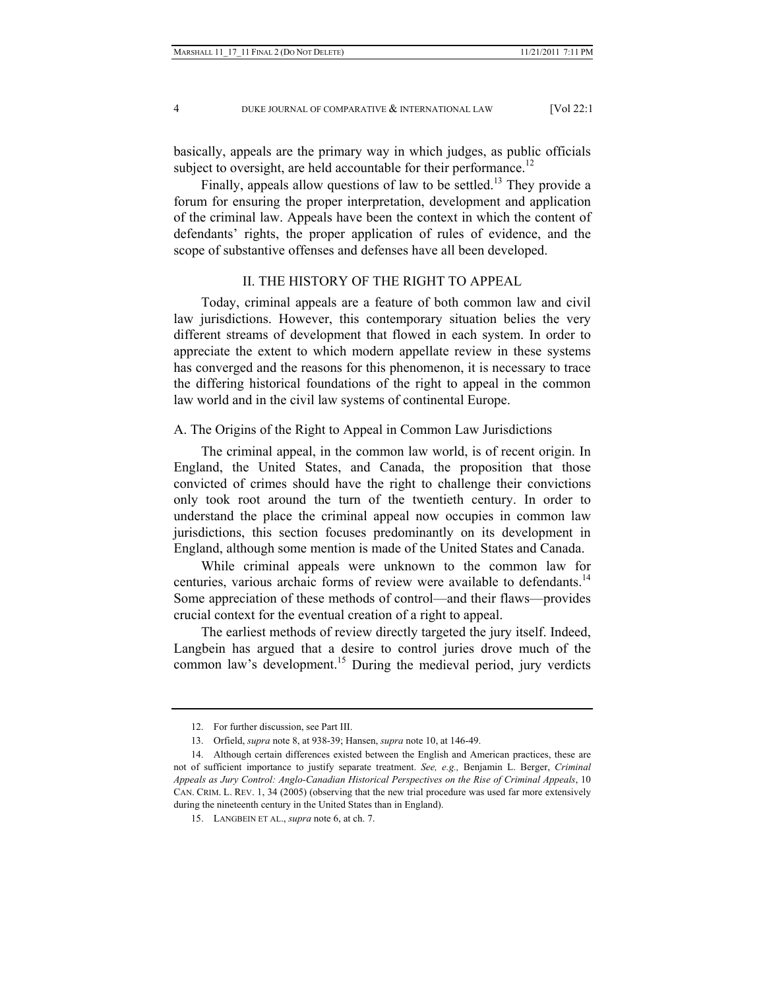basically, appeals are the primary way in which judges, as public officials subject to oversight, are held accountable for their performance.<sup>12</sup>

Finally, appeals allow questions of law to be settled.<sup>13</sup> They provide a forum for ensuring the proper interpretation, development and application of the criminal law. Appeals have been the context in which the content of defendants' rights, the proper application of rules of evidence, and the scope of substantive offenses and defenses have all been developed.

# II. THE HISTORY OF THE RIGHT TO APPEAL

Today, criminal appeals are a feature of both common law and civil law jurisdictions. However, this contemporary situation belies the very different streams of development that flowed in each system. In order to appreciate the extent to which modern appellate review in these systems has converged and the reasons for this phenomenon, it is necessary to trace the differing historical foundations of the right to appeal in the common law world and in the civil law systems of continental Europe.

# A. The Origins of the Right to Appeal in Common Law Jurisdictions

The criminal appeal, in the common law world, is of recent origin. In England, the United States, and Canada, the proposition that those convicted of crimes should have the right to challenge their convictions only took root around the turn of the twentieth century. In order to understand the place the criminal appeal now occupies in common law jurisdictions, this section focuses predominantly on its development in England, although some mention is made of the United States and Canada.

While criminal appeals were unknown to the common law for centuries, various archaic forms of review were available to defendants.<sup>14</sup> Some appreciation of these methods of control—and their flaws—provides crucial context for the eventual creation of a right to appeal.

The earliest methods of review directly targeted the jury itself. Indeed, Langbein has argued that a desire to control juries drove much of the common law's development.<sup>15</sup> During the medieval period, jury verdicts

 <sup>12.</sup> For further discussion, see Part III.

 <sup>13.</sup> Orfield, *supra* note 8, at 938-39; Hansen, *supra* note 10, at 146-49.

 <sup>14.</sup> Although certain differences existed between the English and American practices, these are not of sufficient importance to justify separate treatment. *See, e.g.,* Benjamin L. Berger, *Criminal Appeals as Jury Control: Anglo-Canadian Historical Perspectives on the Rise of Criminal Appeals*, 10 CAN. CRIM. L. REV. 1, 34 (2005) (observing that the new trial procedure was used far more extensively during the nineteenth century in the United States than in England).

 <sup>15.</sup> LANGBEIN ET AL., *supra* note 6, at ch. 7.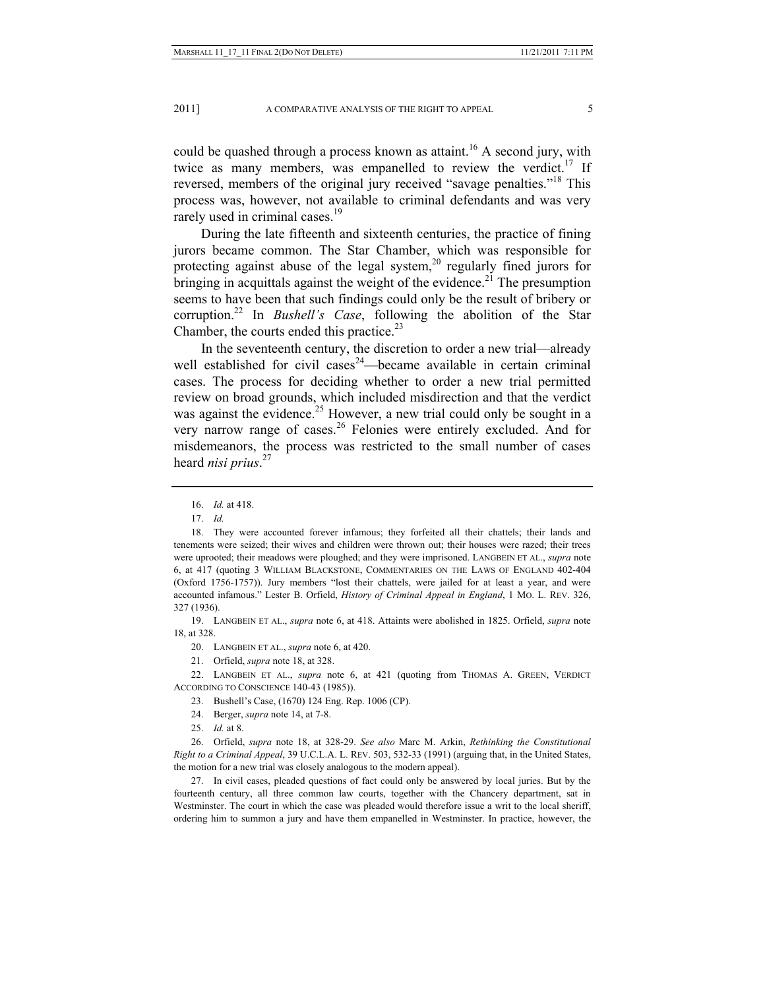could be quashed through a process known as attaint.<sup>16</sup> A second jury, with twice as many members, was empanelled to review the verdict.<sup>17</sup> If reversed, members of the original jury received "savage penalties."<sup>18</sup> This process was, however, not available to criminal defendants and was very rarely used in criminal cases.<sup>19</sup>

During the late fifteenth and sixteenth centuries, the practice of fining jurors became common. The Star Chamber, which was responsible for protecting against abuse of the legal system, $20$  regularly fined jurors for bringing in acquittals against the weight of the evidence.<sup>21</sup> The presumption seems to have been that such findings could only be the result of bribery or corruption.22 In *Bushell's Case*, following the abolition of the Star Chamber, the courts ended this practice.<sup>23</sup>

In the seventeenth century, the discretion to order a new trial—already well established for civil cases<sup>24</sup>—became available in certain criminal cases. The process for deciding whether to order a new trial permitted review on broad grounds, which included misdirection and that the verdict was against the evidence.<sup>25</sup> However, a new trial could only be sought in a very narrow range of cases.<sup>26</sup> Felonies were entirely excluded. And for misdemeanors, the process was restricted to the small number of cases heard *nisi prius*. 27

 19. LANGBEIN ET AL., *supra* note 6, at 418. Attaints were abolished in 1825. Orfield, *supra* note 18, at 328.

21. Orfield, *supra* note 18, at 328.

 22. LANGBEIN ET AL., *supra* note 6, at 421 (quoting from THOMAS A. GREEN, VERDICT ACCORDING TO CONSCIENCE 140-43 (1985)).

- 23. Bushell's Case, (1670) 124 Eng. Rep. 1006 (CP).
- 24. Berger, *supra* note 14, at 7-8.
- 25. *Id.* at 8.

 26. Orfield, *supra* note 18, at 328-29. *See also* Marc M. Arkin, *Rethinking the Constitutional Right to a Criminal Appeal*, 39 U.C.L.A. L. REV. 503, 532-33 (1991) (arguing that, in the United States, the motion for a new trial was closely analogous to the modern appeal).

 27. In civil cases, pleaded questions of fact could only be answered by local juries. But by the fourteenth century, all three common law courts, together with the Chancery department, sat in Westminster. The court in which the case was pleaded would therefore issue a writ to the local sheriff, ordering him to summon a jury and have them empanelled in Westminster. In practice, however, the

 <sup>16.</sup> *Id.* at 418.

 <sup>17.</sup> *Id.*

 <sup>18.</sup> They were accounted forever infamous; they forfeited all their chattels; their lands and tenements were seized; their wives and children were thrown out; their houses were razed; their trees were uprooted; their meadows were ploughed; and they were imprisoned. LANGBEIN ET AL., *supra* note 6, at 417 (quoting 3 WILLIAM BLACKSTONE, COMMENTARIES ON THE LAWS OF ENGLAND 402-404 (Oxford 1756-1757)). Jury members "lost their chattels, were jailed for at least a year, and were accounted infamous." Lester B. Orfield, *History of Criminal Appeal in England*, 1 MO. L. REV. 326, 327 (1936).

 <sup>20.</sup> LANGBEIN ET AL., *supra* note 6, at 420.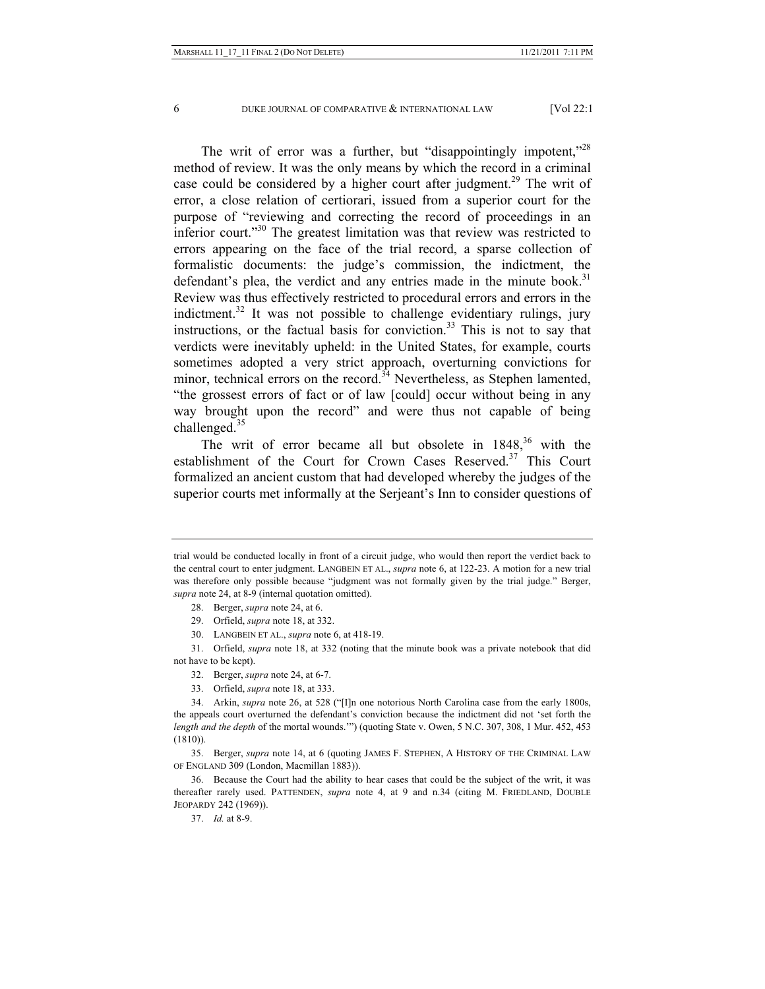The writ of error was a further, but "disappointingly impotent,"<sup>28</sup> method of review. It was the only means by which the record in a criminal case could be considered by a higher court after judgment.<sup>29</sup> The writ of error, a close relation of certiorari, issued from a superior court for the purpose of "reviewing and correcting the record of proceedings in an inferior court."<sup>30</sup> The greatest limitation was that review was restricted to errors appearing on the face of the trial record, a sparse collection of formalistic documents: the judge's commission, the indictment, the defendant's plea, the verdict and any entries made in the minute book.<sup>31</sup> Review was thus effectively restricted to procedural errors and errors in the indictment.<sup>32</sup> It was not possible to challenge evidentiary rulings, jury instructions, or the factual basis for conviction.<sup>33</sup> This is not to say that verdicts were inevitably upheld: in the United States, for example, courts sometimes adopted a very strict approach, overturning convictions for minor, technical errors on the record.<sup>34</sup> Nevertheless, as Stephen lamented, "the grossest errors of fact or of law [could] occur without being in any way brought upon the record" and were thus not capable of being challenged.<sup>35</sup>

The writ of error became all but obsolete in  $1848<sup>36</sup>$  with the establishment of the Court for Crown Cases Reserved.<sup>37</sup> This Court formalized an ancient custom that had developed whereby the judges of the superior courts met informally at the Serjeant's Inn to consider questions of

33. Orfield, *supra* note 18, at 333.

trial would be conducted locally in front of a circuit judge, who would then report the verdict back to the central court to enter judgment. LANGBEIN ET AL., *supra* note 6, at 122-23. A motion for a new trial was therefore only possible because "judgment was not formally given by the trial judge." Berger, *supra* note 24, at 8-9 (internal quotation omitted).

 <sup>28.</sup> Berger, *supra* note 24, at 6.

 <sup>29.</sup> Orfield, *supra* note 18, at 332.

 <sup>30.</sup> LANGBEIN ET AL., *supra* note 6, at 418-19.

 <sup>31.</sup> Orfield, *supra* note 18, at 332 (noting that the minute book was a private notebook that did not have to be kept).

 <sup>32.</sup> Berger, *supra* note 24, at 6-7.

 <sup>34.</sup> Arkin, *supra* note 26, at 528 ("[I]n one notorious North Carolina case from the early 1800s, the appeals court overturned the defendant's conviction because the indictment did not 'set forth the *length and the depth* of the mortal wounds.'") (quoting State v. Owen, 5 N.C. 307, 308, 1 Mur. 452, 453 (1810)).

 <sup>35.</sup> Berger, *supra* note 14, at 6 (quoting JAMES F. STEPHEN, A HISTORY OF THE CRIMINAL LAW OF ENGLAND 309 (London, Macmillan 1883)).

 <sup>36.</sup> Because the Court had the ability to hear cases that could be the subject of the writ, it was thereafter rarely used. PATTENDEN, *supra* note 4, at 9 and n.34 (citing M. FRIEDLAND, DOUBLE JEOPARDY 242 (1969)).

 <sup>37.</sup> *Id.* at 8-9.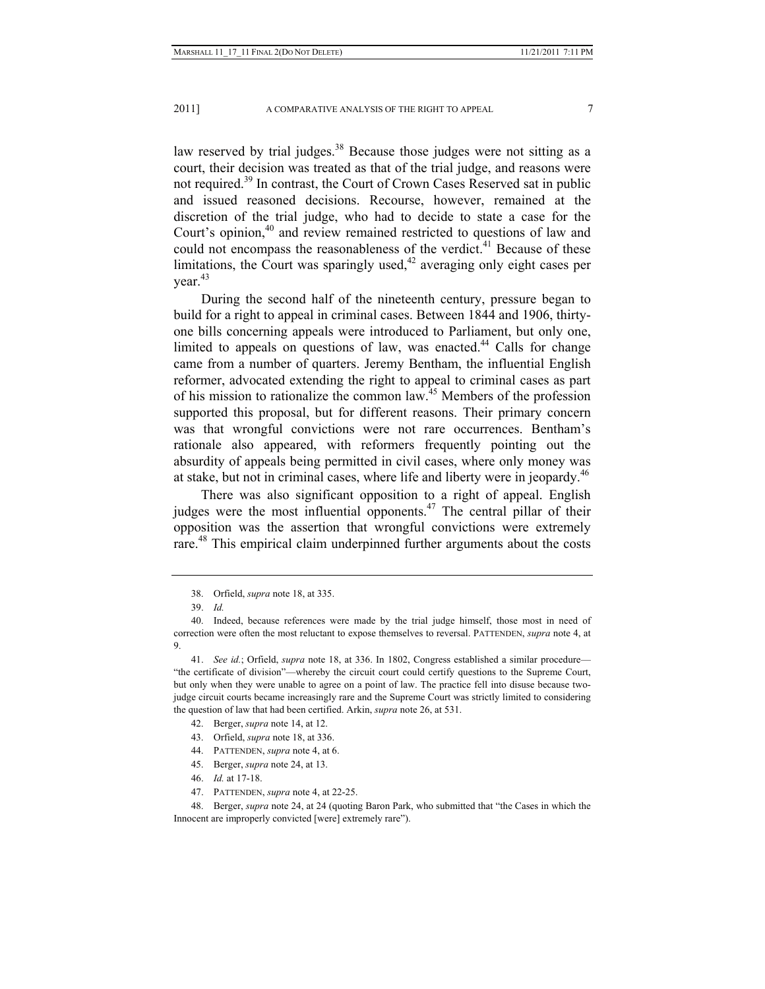law reserved by trial judges.<sup>38</sup> Because those judges were not sitting as a court, their decision was treated as that of the trial judge, and reasons were not required.<sup>39</sup> In contrast, the Court of Crown Cases Reserved sat in public and issued reasoned decisions. Recourse, however, remained at the discretion of the trial judge, who had to decide to state a case for the Court's opinion,<sup>40</sup> and review remained restricted to questions of law and could not encompass the reasonableness of the verdict.<sup>41</sup> Because of these limitations, the Court was sparingly used, $42$  averaging only eight cases per vear. $43$ 

During the second half of the nineteenth century, pressure began to build for a right to appeal in criminal cases. Between 1844 and 1906, thirtyone bills concerning appeals were introduced to Parliament, but only one, limited to appeals on questions of law, was enacted.<sup>44</sup> Calls for change came from a number of quarters. Jeremy Bentham, the influential English reformer, advocated extending the right to appeal to criminal cases as part of his mission to rationalize the common law.45 Members of the profession supported this proposal, but for different reasons. Their primary concern was that wrongful convictions were not rare occurrences. Bentham's rationale also appeared, with reformers frequently pointing out the absurdity of appeals being permitted in civil cases, where only money was at stake, but not in criminal cases, where life and liberty were in jeopardy.<sup>46</sup>

There was also significant opposition to a right of appeal. English judges were the most influential opponents.<sup>47</sup> The central pillar of their opposition was the assertion that wrongful convictions were extremely rare.<sup>48</sup> This empirical claim underpinned further arguments about the costs

- 44. PATTENDEN, *supra* note 4, at 6.
- 45. Berger, *supra* note 24, at 13.
- 46. *Id.* at 17-18.
- 47. PATTENDEN, *supra* note 4, at 22-25.

 48. Berger, *supra* note 24, at 24 (quoting Baron Park, who submitted that "the Cases in which the Innocent are improperly convicted [were] extremely rare").

 <sup>38.</sup> Orfield, *supra* note 18, at 335.

 <sup>39.</sup> *Id.*

 <sup>40.</sup> Indeed, because references were made by the trial judge himself, those most in need of correction were often the most reluctant to expose themselves to reversal. PATTENDEN, *supra* note 4, at 9.

 <sup>41.</sup> *See id.*; Orfield, *supra* note 18, at 336. In 1802, Congress established a similar procedure— "the certificate of division"—whereby the circuit court could certify questions to the Supreme Court, but only when they were unable to agree on a point of law. The practice fell into disuse because twojudge circuit courts became increasingly rare and the Supreme Court was strictly limited to considering the question of law that had been certified. Arkin, *supra* note 26, at 531.

 <sup>42.</sup> Berger, *supra* note 14, at 12.

 <sup>43.</sup> Orfield, *supra* note 18, at 336.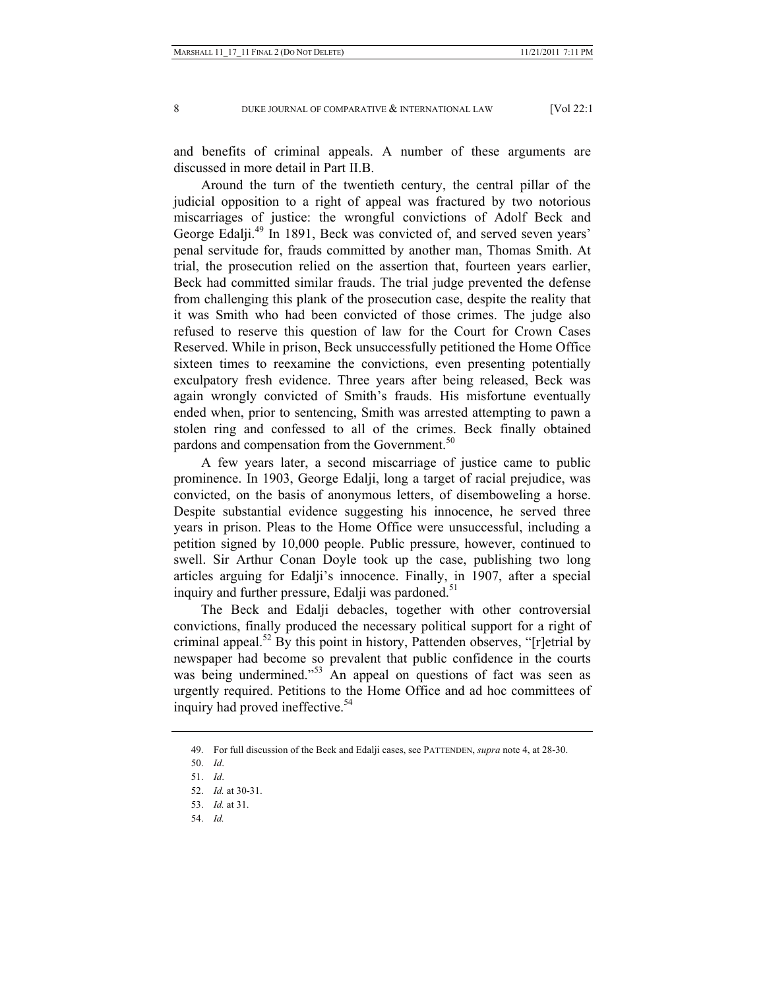and benefits of criminal appeals. A number of these arguments are discussed in more detail in Part II.B.

Around the turn of the twentieth century, the central pillar of the judicial opposition to a right of appeal was fractured by two notorious miscarriages of justice: the wrongful convictions of Adolf Beck and George Edalji.<sup>49</sup> In 1891, Beck was convicted of, and served seven years' penal servitude for, frauds committed by another man, Thomas Smith. At trial, the prosecution relied on the assertion that, fourteen years earlier, Beck had committed similar frauds. The trial judge prevented the defense from challenging this plank of the prosecution case, despite the reality that it was Smith who had been convicted of those crimes. The judge also refused to reserve this question of law for the Court for Crown Cases Reserved. While in prison, Beck unsuccessfully petitioned the Home Office sixteen times to reexamine the convictions, even presenting potentially exculpatory fresh evidence. Three years after being released, Beck was again wrongly convicted of Smith's frauds. His misfortune eventually ended when, prior to sentencing, Smith was arrested attempting to pawn a stolen ring and confessed to all of the crimes. Beck finally obtained pardons and compensation from the Government.<sup>50</sup>

A few years later, a second miscarriage of justice came to public prominence. In 1903, George Edalji, long a target of racial prejudice, was convicted, on the basis of anonymous letters, of disemboweling a horse. Despite substantial evidence suggesting his innocence, he served three years in prison. Pleas to the Home Office were unsuccessful, including a petition signed by 10,000 people. Public pressure, however, continued to swell. Sir Arthur Conan Doyle took up the case, publishing two long articles arguing for Edalji's innocence. Finally, in 1907, after a special inquiry and further pressure, Edalji was pardoned.<sup>51</sup>

The Beck and Edalji debacles, together with other controversial convictions, finally produced the necessary political support for a right of criminal appeal.<sup>52</sup> By this point in history, Pattenden observes, "[r]etrial by newspaper had become so prevalent that public confidence in the courts was being undermined."<sup>53</sup> An appeal on questions of fact was seen as urgently required. Petitions to the Home Office and ad hoc committees of inquiry had proved ineffective.<sup>54</sup>

54. *Id.*

 <sup>49.</sup> For full discussion of the Beck and Edalji cases, see PATTENDEN, *supra* note 4, at 28-30.

 <sup>50.</sup> *Id*.

 <sup>51.</sup> *Id*.

 <sup>52.</sup> *Id.* at 30-31.

 <sup>53.</sup> *Id.* at 31.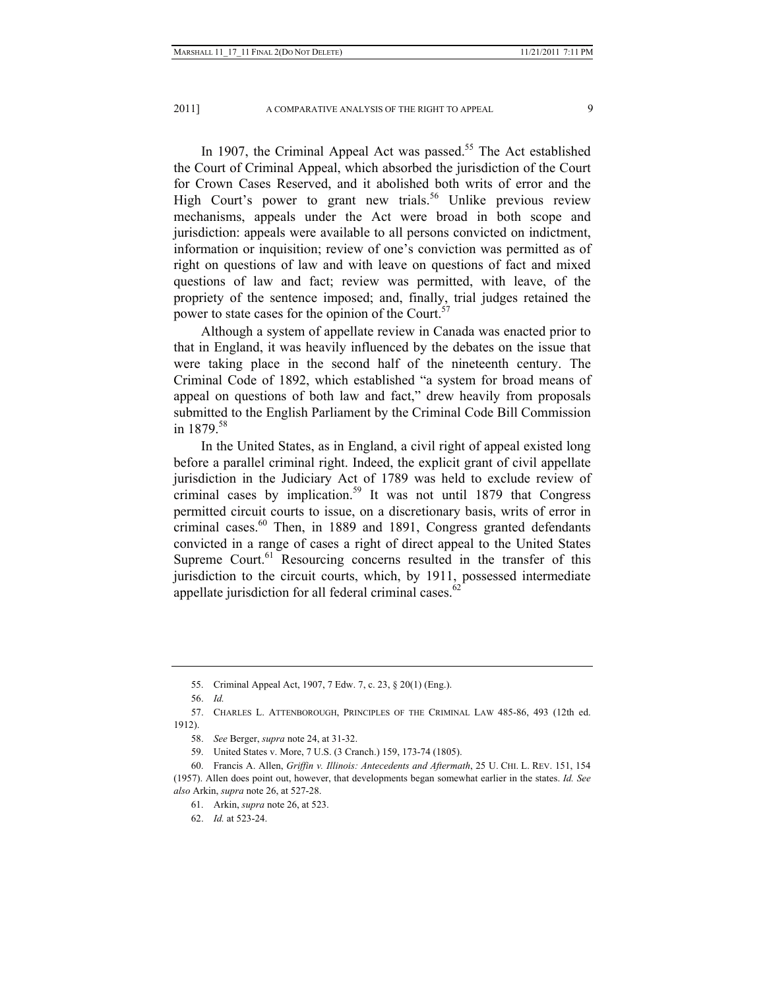In 1907, the Criminal Appeal Act was passed.<sup>55</sup> The Act established the Court of Criminal Appeal, which absorbed the jurisdiction of the Court for Crown Cases Reserved, and it abolished both writs of error and the High Court's power to grant new trials.<sup>56</sup> Unlike previous review mechanisms, appeals under the Act were broad in both scope and jurisdiction: appeals were available to all persons convicted on indictment, information or inquisition; review of one's conviction was permitted as of right on questions of law and with leave on questions of fact and mixed questions of law and fact; review was permitted, with leave, of the propriety of the sentence imposed; and, finally, trial judges retained the power to state cases for the opinion of the Court.<sup>57</sup>

Although a system of appellate review in Canada was enacted prior to that in England, it was heavily influenced by the debates on the issue that were taking place in the second half of the nineteenth century. The Criminal Code of 1892, which established "a system for broad means of appeal on questions of both law and fact," drew heavily from proposals submitted to the English Parliament by the Criminal Code Bill Commission in  $1879^{58}$ 

In the United States, as in England, a civil right of appeal existed long before a parallel criminal right. Indeed, the explicit grant of civil appellate jurisdiction in the Judiciary Act of 1789 was held to exclude review of criminal cases by implication.<sup>59</sup> It was not until 1879 that Congress permitted circuit courts to issue, on a discretionary basis, writs of error in criminal cases.<sup>60</sup> Then, in 1889 and 1891, Congress granted defendants convicted in a range of cases a right of direct appeal to the United States Supreme Court.<sup>61</sup> Resourcing concerns resulted in the transfer of this jurisdiction to the circuit courts, which, by 1911, possessed intermediate appellate jurisdiction for all federal criminal cases. $62$ 

 <sup>55.</sup> Criminal Appeal Act, 1907, 7 Edw. 7, c. 23, § 20(1) (Eng.).

 <sup>56.</sup> *Id.*

 <sup>57.</sup> CHARLES L. ATTENBOROUGH, PRINCIPLES OF THE CRIMINAL LAW 485-86, 493 (12th ed. 1912).

 <sup>58.</sup> *See* Berger, *supra* note 24, at 31-32.

 <sup>59.</sup> United States v. More, 7 U.S. (3 Cranch.) 159, 173-74 (1805).

 <sup>60.</sup> Francis A. Allen, *Griffin v. Illinois: Antecedents and Aftermath*, 25 U. CHI. L. REV. 151, 154 (1957). Allen does point out, however, that developments began somewhat earlier in the states. *Id. See also* Arkin, *supra* note 26, at 527-28.

 <sup>61.</sup> Arkin, *supra* note 26, at 523.

 <sup>62.</sup> *Id.* at 523-24.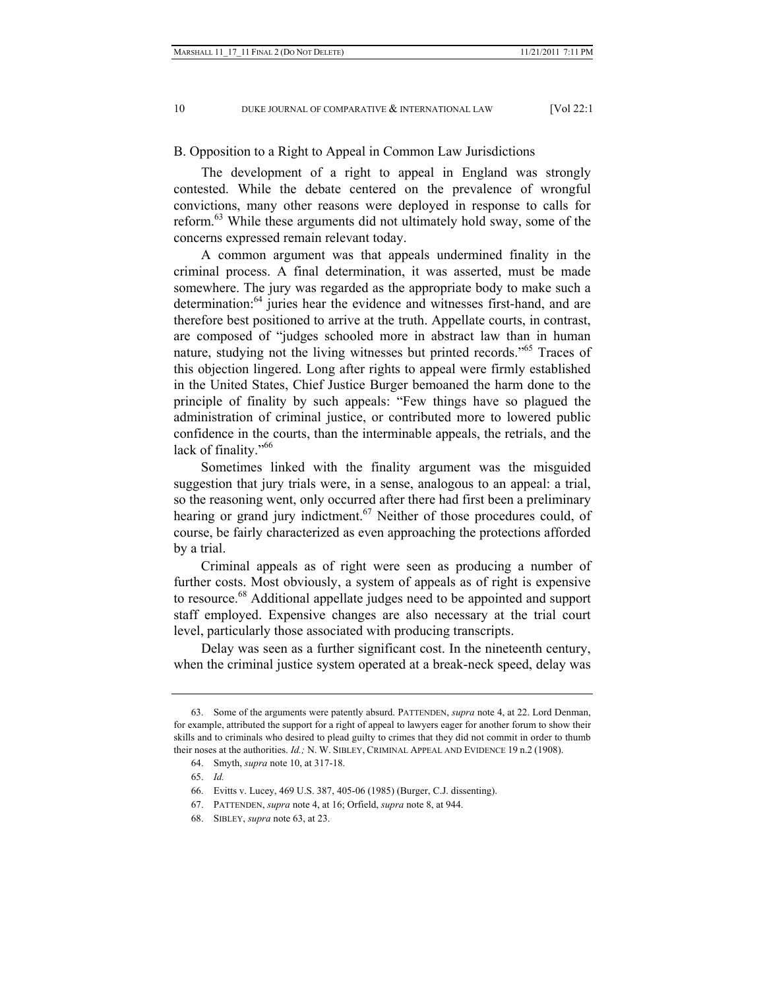## B. Opposition to a Right to Appeal in Common Law Jurisdictions

The development of a right to appeal in England was strongly contested. While the debate centered on the prevalence of wrongful convictions, many other reasons were deployed in response to calls for reform.<sup>63</sup> While these arguments did not ultimately hold sway, some of the concerns expressed remain relevant today.

A common argument was that appeals undermined finality in the criminal process. A final determination, it was asserted, must be made somewhere. The jury was regarded as the appropriate body to make such a determination:<sup>64</sup> juries hear the evidence and witnesses first-hand, and are therefore best positioned to arrive at the truth. Appellate courts, in contrast, are composed of "judges schooled more in abstract law than in human nature, studying not the living witnesses but printed records."<sup>65</sup> Traces of this objection lingered. Long after rights to appeal were firmly established in the United States, Chief Justice Burger bemoaned the harm done to the principle of finality by such appeals: "Few things have so plagued the administration of criminal justice, or contributed more to lowered public confidence in the courts, than the interminable appeals, the retrials, and the lack of finality."<sup>66</sup>

Sometimes linked with the finality argument was the misguided suggestion that jury trials were, in a sense, analogous to an appeal: a trial, so the reasoning went, only occurred after there had first been a preliminary hearing or grand jury indictment.<sup>67</sup> Neither of those procedures could, of course, be fairly characterized as even approaching the protections afforded by a trial.

Criminal appeals as of right were seen as producing a number of further costs. Most obviously, a system of appeals as of right is expensive to resource.<sup>68</sup> Additional appellate judges need to be appointed and support staff employed. Expensive changes are also necessary at the trial court level, particularly those associated with producing transcripts.

Delay was seen as a further significant cost. In the nineteenth century, when the criminal justice system operated at a break-neck speed, delay was

65. *Id.*

 <sup>63.</sup> Some of the arguments were patently absurd. PATTENDEN, *supra* note 4, at 22. Lord Denman, for example, attributed the support for a right of appeal to lawyers eager for another forum to show their skills and to criminals who desired to plead guilty to crimes that they did not commit in order to thumb their noses at the authorities. *Id.;* N. W. SIBLEY, CRIMINAL APPEAL AND EVIDENCE 19 n.2 (1908).

 <sup>64.</sup> Smyth, *supra* note 10, at 317-18.

 <sup>66.</sup> Evitts v. Lucey, 469 U.S. 387, 405-06 (1985) (Burger, C.J. dissenting).

 <sup>67.</sup> PATTENDEN, *supra* note 4, at 16; Orfield, *supra* note 8, at 944.

 <sup>68.</sup> SIBLEY, *supra* note 63, at 23.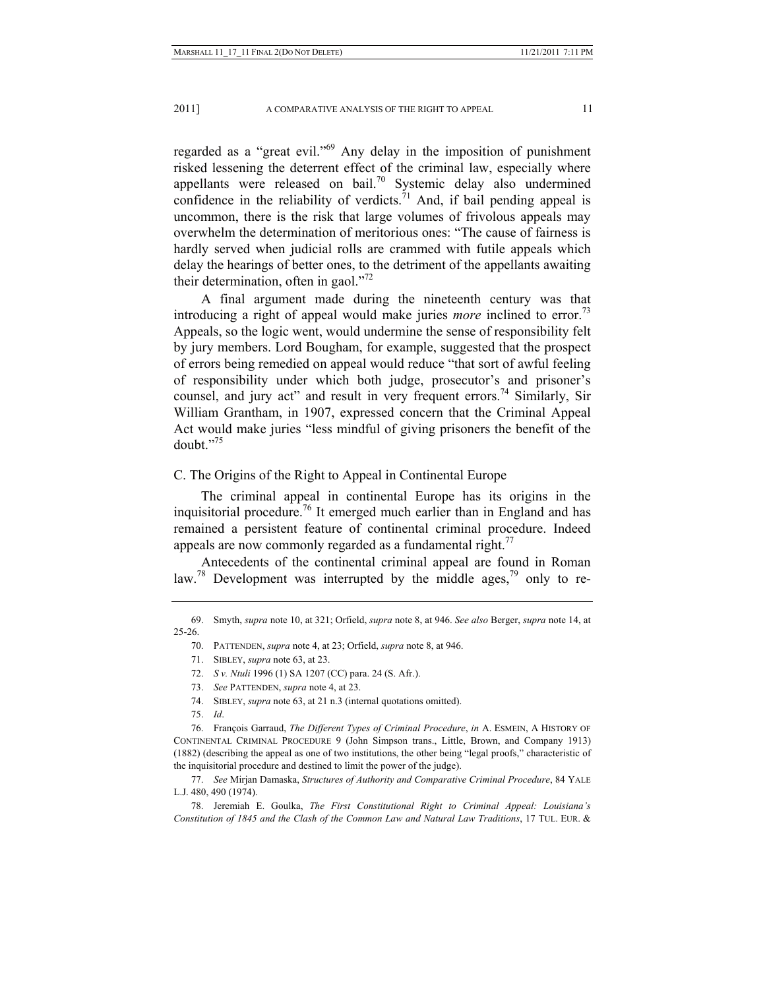regarded as a "great evil."69 Any delay in the imposition of punishment risked lessening the deterrent effect of the criminal law, especially where appellants were released on bail.<sup>70</sup> Systemic delay also undermined confidence in the reliability of verdicts.<sup> $71$ </sup> And, if bail pending appeal is uncommon, there is the risk that large volumes of frivolous appeals may overwhelm the determination of meritorious ones: "The cause of fairness is hardly served when judicial rolls are crammed with futile appeals which delay the hearings of better ones, to the detriment of the appellants awaiting their determination, often in gaol. $1^{7/2}$ 

A final argument made during the nineteenth century was that introducing a right of appeal would make juries *more* inclined to error.<sup>73</sup> Appeals, so the logic went, would undermine the sense of responsibility felt by jury members. Lord Bougham, for example, suggested that the prospect of errors being remedied on appeal would reduce "that sort of awful feeling of responsibility under which both judge, prosecutor's and prisoner's counsel, and jury act" and result in very frequent errors.<sup>74</sup> Similarly, Sir William Grantham, in 1907, expressed concern that the Criminal Appeal Act would make juries "less mindful of giving prisoners the benefit of the doubt."75

# C. The Origins of the Right to Appeal in Continental Europe

The criminal appeal in continental Europe has its origins in the inquisitorial procedure.76 It emerged much earlier than in England and has remained a persistent feature of continental criminal procedure. Indeed appeals are now commonly regarded as a fundamental right.<sup>77</sup>

Antecedents of the continental criminal appeal are found in Roman law.<sup>78</sup> Development was interrupted by the middle ages,<sup>79</sup> only to re-

- 72. *S v. Ntuli* 1996 (1) SA 1207 (CC) para. 24 (S. Afr.).
- 73. *See* PATTENDEN, *supra* note 4, at 23.
- 74. SIBLEY, *supra* note 63, at 21 n.3 (internal quotations omitted).

75. *Id*.

 76. François Garraud, *The Different Types of Criminal Procedure*, *in* A. ESMEIN, A HISTORY OF CONTINENTAL CRIMINAL PROCEDURE 9 (John Simpson trans., Little, Brown, and Company 1913) (1882) (describing the appeal as one of two institutions, the other being "legal proofs," characteristic of the inquisitorial procedure and destined to limit the power of the judge).

 77. *See* Mirjan Damaska, *Structures of Authority and Comparative Criminal Procedure*, 84 YALE L.J. 480, 490 (1974).

 78. Jeremiah E. Goulka, *The First Constitutional Right to Criminal Appeal: Louisiana's Constitution of 1845 and the Clash of the Common Law and Natural Law Traditions*, 17 TUL. EUR. &

 <sup>69.</sup> Smyth, *supra* note 10, at 321; Orfield, *supra* note 8, at 946. *See also* Berger, *supra* note 14, at 25-26.

 <sup>70.</sup> PATTENDEN, *supra* note 4, at 23; Orfield, *supra* note 8, at 946.

 <sup>71.</sup> SIBLEY, *supra* note 63, at 23.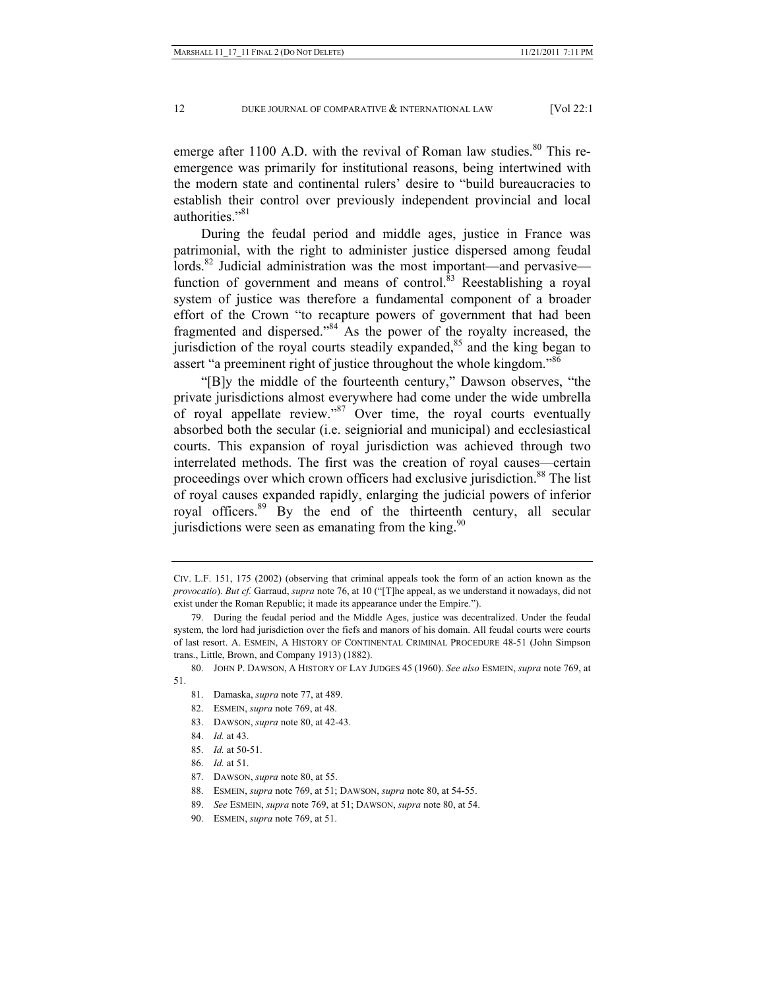emerge after 1100 A.D. with the revival of Roman law studies. $80$  This reemergence was primarily for institutional reasons, being intertwined with the modern state and continental rulers' desire to "build bureaucracies to establish their control over previously independent provincial and local authorities."<sup>81</sup>

During the feudal period and middle ages, justice in France was patrimonial, with the right to administer justice dispersed among feudal lords. $82$  Judicial administration was the most important—and pervasive function of government and means of control. $83$  Reestablishing a royal system of justice was therefore a fundamental component of a broader effort of the Crown "to recapture powers of government that had been fragmented and dispersed."84 As the power of the royalty increased, the jurisdiction of the royal courts steadily expanded, $85$  and the king began to assert "a preeminent right of justice throughout the whole kingdom."<sup>86</sup>

"[B]y the middle of the fourteenth century," Dawson observes, "the private jurisdictions almost everywhere had come under the wide umbrella of royal appellate review."87 Over time, the royal courts eventually absorbed both the secular (i.e. seigniorial and municipal) and ecclesiastical courts. This expansion of royal jurisdiction was achieved through two interrelated methods. The first was the creation of royal causes—certain proceedings over which crown officers had exclusive jurisdiction.<sup>88</sup> The list of royal causes expanded rapidly, enlarging the judicial powers of inferior royal officers.89 By the end of the thirteenth century, all secular jurisdictions were seen as emanating from the king. $90$ 

CIV. L.F. 151, 175 (2002) (observing that criminal appeals took the form of an action known as the *provocatio*). *But cf.* Garraud, *supra* note 76, at 10 ("[T]he appeal, as we understand it nowadays, did not exist under the Roman Republic; it made its appearance under the Empire.").

 <sup>79.</sup> During the feudal period and the Middle Ages, justice was decentralized. Under the feudal system, the lord had jurisdiction over the fiefs and manors of his domain. All feudal courts were courts of last resort. A. ESMEIN, A HISTORY OF CONTINENTAL CRIMINAL PROCEDURE 48-51 (John Simpson trans., Little, Brown, and Company 1913) (1882).

 <sup>80.</sup> JOHN P. DAWSON, A HISTORY OF LAY JUDGES 45 (1960). *See also* ESMEIN, *supra* note 769, at 51.

 <sup>81.</sup> Damaska, *supra* note 77, at 489.

 <sup>82.</sup> ESMEIN, *supra* note 769, at 48.

 <sup>83.</sup> DAWSON, *supra* note 80, at 42-43.

 <sup>84.</sup> *Id.* at 43.

 <sup>85.</sup> *Id.* at 50-51.

 <sup>86.</sup> *Id.* at 51.

 <sup>87.</sup> DAWSON, *supra* note 80, at 55.

 <sup>88.</sup> ESMEIN, *supra* note 769, at 51; DAWSON, *supra* note 80, at 54-55.

 <sup>89.</sup> *See* ESMEIN, *supra* note 769, at 51; DAWSON, *supra* note 80, at 54.

 <sup>90.</sup> ESMEIN, *supra* note 769, at 51.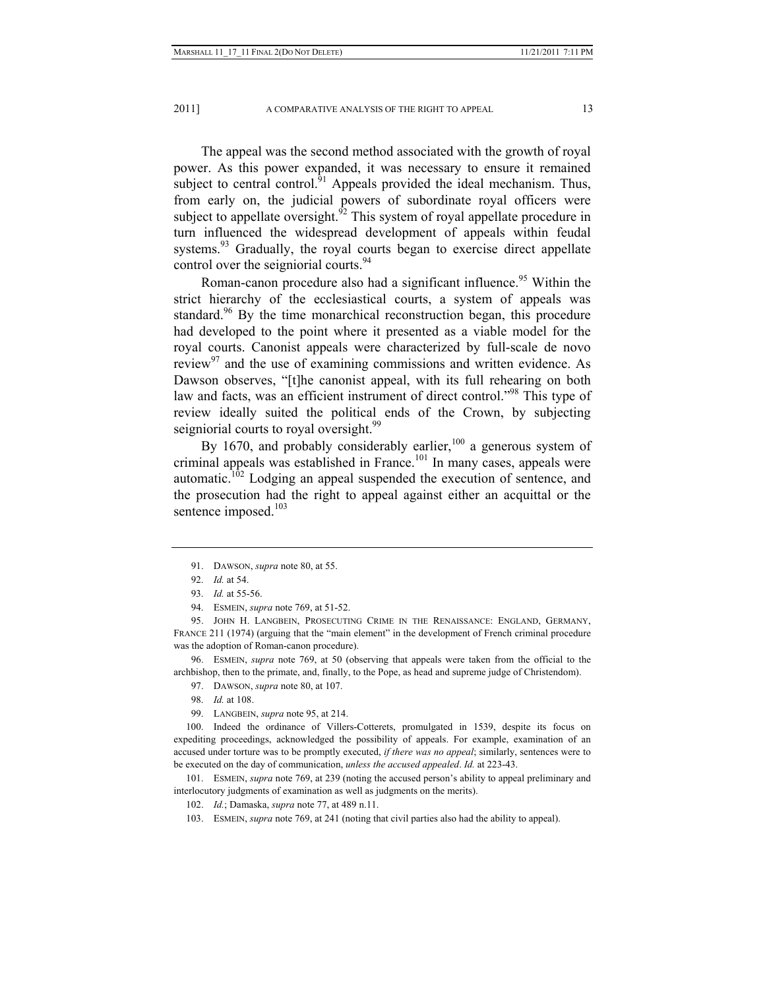2011] A COMPARATIVE ANALYSIS OF THE RIGHT TO APPEAL 13

The appeal was the second method associated with the growth of royal power. As this power expanded, it was necessary to ensure it remained subject to central control. $^{51}$  Appeals provided the ideal mechanism. Thus, from early on, the judicial powers of subordinate royal officers were subject to appellate oversight.<sup>92</sup> This system of royal appellate procedure in turn influenced the widespread development of appeals within feudal systems.<sup>93</sup> Gradually, the royal courts began to exercise direct appellate control over the seigniorial courts.<sup>94</sup>

Roman-canon procedure also had a significant influence.<sup>95</sup> Within the strict hierarchy of the ecclesiastical courts, a system of appeals was standard.<sup>96</sup> By the time monarchical reconstruction began, this procedure had developed to the point where it presented as a viable model for the royal courts. Canonist appeals were characterized by full-scale de novo review $97$  and the use of examining commissions and written evidence. As Dawson observes, "[t]he canonist appeal, with its full rehearing on both law and facts, was an efficient instrument of direct control."<sup>98</sup> This type of review ideally suited the political ends of the Crown, by subjecting seigniorial courts to royal oversight.<sup>99</sup>

By 1670, and probably considerably earlier, $100$  a generous system of criminal appeals was established in France.<sup>101</sup> In many cases, appeals were automatic.<sup>102</sup> Lodging an appeal suspended the execution of sentence, and the prosecution had the right to appeal against either an acquittal or the sentence imposed.<sup>103</sup>

94. ESMEIN, *supra* note 769, at 51-52.

 95. JOHN H. LANGBEIN, PROSECUTING CRIME IN THE RENAISSANCE: ENGLAND, GERMANY, FRANCE 211 (1974) (arguing that the "main element" in the development of French criminal procedure was the adoption of Roman-canon procedure).

 96. ESMEIN, *supra* note 769, at 50 (observing that appeals were taken from the official to the archbishop, then to the primate, and, finally, to the Pope, as head and supreme judge of Christendom).

97. DAWSON, *supra* note 80, at 107.

98. *Id.* at 108.

99. LANGBEIN, *supra* note 95, at 214.

 100. Indeed the ordinance of Villers-Cotterets, promulgated in 1539, despite its focus on expediting proceedings, acknowledged the possibility of appeals. For example, examination of an accused under torture was to be promptly executed, *if there was no appeal*; similarly, sentences were to be executed on the day of communication, *unless the accused appealed*. *Id.* at 223-43.

 101. ESMEIN, *supra* note 769, at 239 (noting the accused person's ability to appeal preliminary and interlocutory judgments of examination as well as judgments on the merits).

102. *Id.*; Damaska, *supra* note 77, at 489 n.11.

103. ESMEIN, *supra* note 769, at 241 (noting that civil parties also had the ability to appeal).

 <sup>91.</sup> DAWSON, *supra* note 80, at 55.

 <sup>92.</sup> *Id.* at 54.

 <sup>93.</sup> *Id.* at 55-56.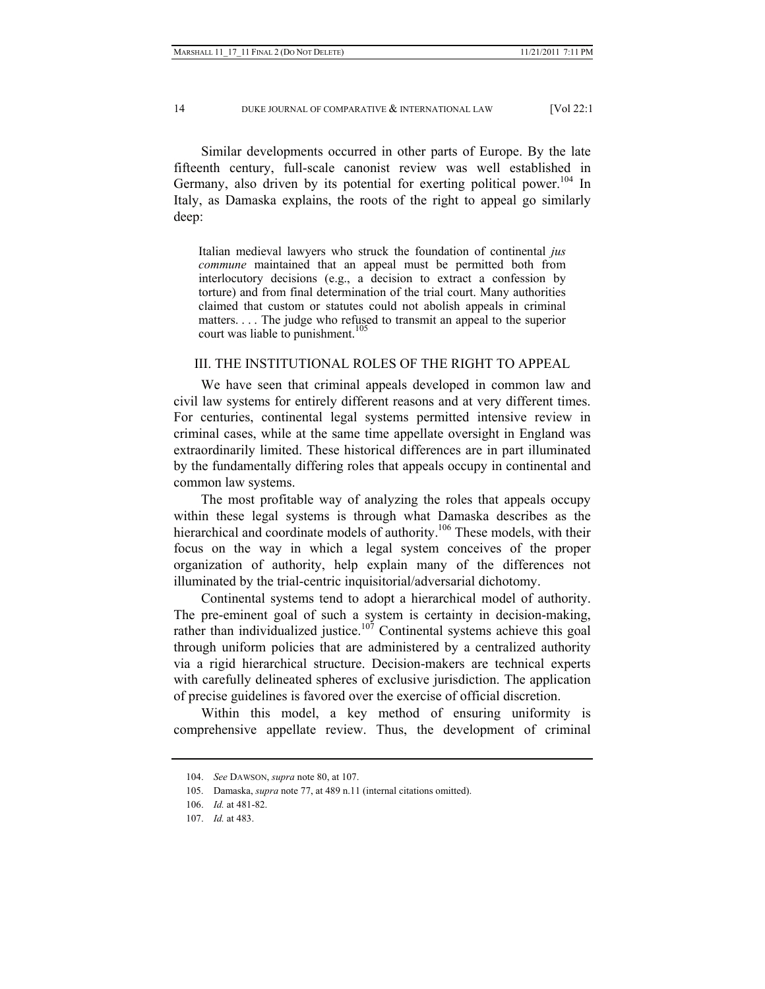Similar developments occurred in other parts of Europe. By the late fifteenth century, full-scale canonist review was well established in Germany, also driven by its potential for exerting political power.<sup>104</sup> In Italy, as Damaska explains, the roots of the right to appeal go similarly deep:

Italian medieval lawyers who struck the foundation of continental *jus commune* maintained that an appeal must be permitted both from interlocutory decisions (e.g., a decision to extract a confession by torture) and from final determination of the trial court. Many authorities claimed that custom or statutes could not abolish appeals in criminal matters. . . . The judge who refused to transmit an appeal to the superior court was liable to punishment.<sup>105</sup>

# III. THE INSTITUTIONAL ROLES OF THE RIGHT TO APPEAL

We have seen that criminal appeals developed in common law and civil law systems for entirely different reasons and at very different times. For centuries, continental legal systems permitted intensive review in criminal cases, while at the same time appellate oversight in England was extraordinarily limited. These historical differences are in part illuminated by the fundamentally differing roles that appeals occupy in continental and common law systems.

The most profitable way of analyzing the roles that appeals occupy within these legal systems is through what Damaska describes as the hierarchical and coordinate models of authority.<sup>106</sup> These models, with their focus on the way in which a legal system conceives of the proper organization of authority, help explain many of the differences not illuminated by the trial-centric inquisitorial/adversarial dichotomy.

Continental systems tend to adopt a hierarchical model of authority. The pre-eminent goal of such a system is certainty in decision-making, rather than individualized justice.<sup>107</sup> Continental systems achieve this goal through uniform policies that are administered by a centralized authority via a rigid hierarchical structure. Decision-makers are technical experts with carefully delineated spheres of exclusive jurisdiction. The application of precise guidelines is favored over the exercise of official discretion.

Within this model, a key method of ensuring uniformity is comprehensive appellate review. Thus, the development of criminal

 <sup>104.</sup> *See* DAWSON, *supra* note 80, at 107.

 <sup>105.</sup> Damaska, *supra* note 77, at 489 n.11 (internal citations omitted).

 <sup>106.</sup> *Id.* at 481-82.

 <sup>107.</sup> *Id.* at 483.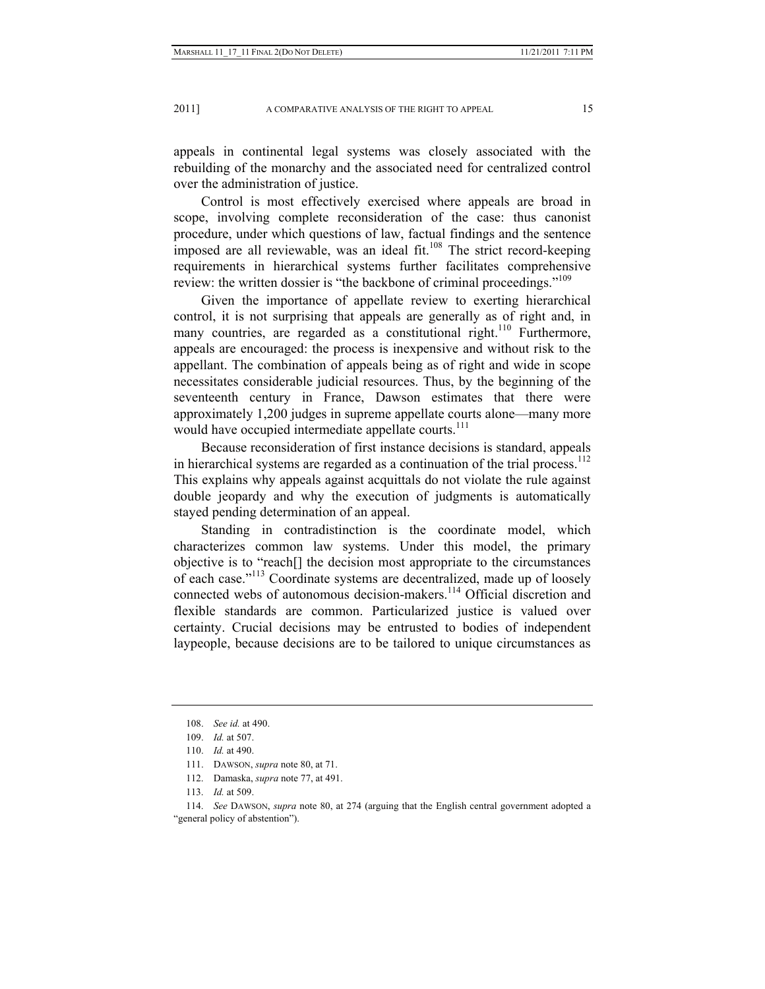appeals in continental legal systems was closely associated with the rebuilding of the monarchy and the associated need for centralized control over the administration of justice.

Control is most effectively exercised where appeals are broad in scope, involving complete reconsideration of the case: thus canonist procedure, under which questions of law, factual findings and the sentence imposed are all reviewable, was an ideal fit. $108$  The strict record-keeping requirements in hierarchical systems further facilitates comprehensive review: the written dossier is "the backbone of criminal proceedings."<sup>109</sup>

Given the importance of appellate review to exerting hierarchical control, it is not surprising that appeals are generally as of right and, in many countries, are regarded as a constitutional right.<sup>110</sup> Furthermore, appeals are encouraged: the process is inexpensive and without risk to the appellant. The combination of appeals being as of right and wide in scope necessitates considerable judicial resources. Thus, by the beginning of the seventeenth century in France, Dawson estimates that there were approximately 1,200 judges in supreme appellate courts alone—many more would have occupied intermediate appellate courts.<sup>111</sup>

Because reconsideration of first instance decisions is standard, appeals in hierarchical systems are regarded as a continuation of the trial process.<sup>112</sup> This explains why appeals against acquittals do not violate the rule against double jeopardy and why the execution of judgments is automatically stayed pending determination of an appeal.

Standing in contradistinction is the coordinate model, which characterizes common law systems. Under this model, the primary objective is to "reach[] the decision most appropriate to the circumstances of each case."113 Coordinate systems are decentralized, made up of loosely connected webs of autonomous decision-makers.<sup>114</sup> Official discretion and flexible standards are common. Particularized justice is valued over certainty. Crucial decisions may be entrusted to bodies of independent laypeople, because decisions are to be tailored to unique circumstances as

 114. *See* DAWSON, *supra* note 80, at 274 (arguing that the English central government adopted a "general policy of abstention").

 <sup>108.</sup> *See id.* at 490.

 <sup>109.</sup> *Id.* at 507.

 <sup>110.</sup> *Id.* at 490.

 <sup>111.</sup> DAWSON, *supra* note 80, at 71.

 <sup>112.</sup> Damaska, *supra* note 77, at 491.

 <sup>113.</sup> *Id.* at 509.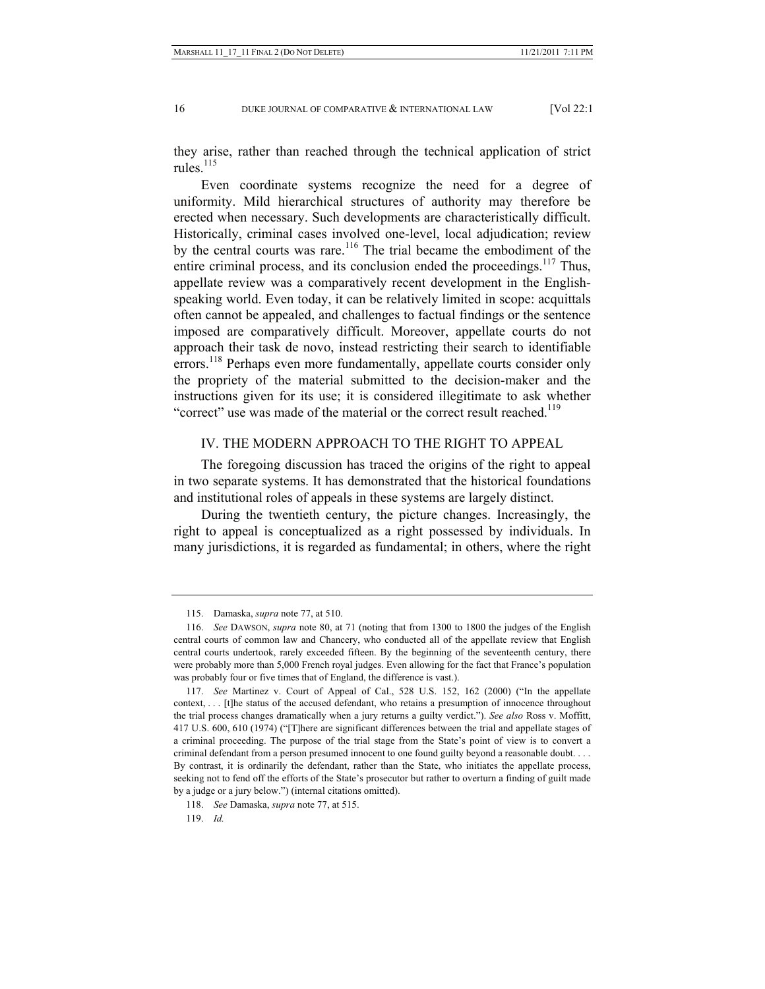they arise, rather than reached through the technical application of strict rules $^{115}$ 

Even coordinate systems recognize the need for a degree of uniformity. Mild hierarchical structures of authority may therefore be erected when necessary. Such developments are characteristically difficult. Historically, criminal cases involved one-level, local adjudication; review by the central courts was rare.<sup>116</sup> The trial became the embodiment of the entire criminal process, and its conclusion ended the proceedings.<sup>117</sup> Thus, appellate review was a comparatively recent development in the Englishspeaking world. Even today, it can be relatively limited in scope: acquittals often cannot be appealed, and challenges to factual findings or the sentence imposed are comparatively difficult. Moreover, appellate courts do not approach their task de novo, instead restricting their search to identifiable errors.<sup>118</sup> Perhaps even more fundamentally, appellate courts consider only the propriety of the material submitted to the decision-maker and the instructions given for its use; it is considered illegitimate to ask whether "correct" use was made of the material or the correct result reached.<sup>119</sup>

## IV. THE MODERN APPROACH TO THE RIGHT TO APPEAL

The foregoing discussion has traced the origins of the right to appeal in two separate systems. It has demonstrated that the historical foundations and institutional roles of appeals in these systems are largely distinct.

During the twentieth century, the picture changes. Increasingly, the right to appeal is conceptualized as a right possessed by individuals. In many jurisdictions, it is regarded as fundamental; in others, where the right

 <sup>115.</sup> Damaska, *supra* note 77, at 510.

 <sup>116.</sup> *See* DAWSON, *supra* note 80, at 71 (noting that from 1300 to 1800 the judges of the English central courts of common law and Chancery, who conducted all of the appellate review that English central courts undertook, rarely exceeded fifteen. By the beginning of the seventeenth century, there were probably more than 5,000 French royal judges. Even allowing for the fact that France's population was probably four or five times that of England, the difference is vast.).

 <sup>117.</sup> *See* Martinez v. Court of Appeal of Cal., 528 U.S. 152, 162 (2000) ("In the appellate context, . . . [t]he status of the accused defendant, who retains a presumption of innocence throughout the trial process changes dramatically when a jury returns a guilty verdict."). *See also* Ross v. Moffitt, 417 U.S. 600, 610 (1974) ("[T]here are significant differences between the trial and appellate stages of a criminal proceeding. The purpose of the trial stage from the State's point of view is to convert a criminal defendant from a person presumed innocent to one found guilty beyond a reasonable doubt. . . . By contrast, it is ordinarily the defendant, rather than the State, who initiates the appellate process, seeking not to fend off the efforts of the State's prosecutor but rather to overturn a finding of guilt made by a judge or a jury below.") (internal citations omitted).

 <sup>118.</sup> *See* Damaska, *supra* note 77, at 515.

 <sup>119.</sup> *Id.*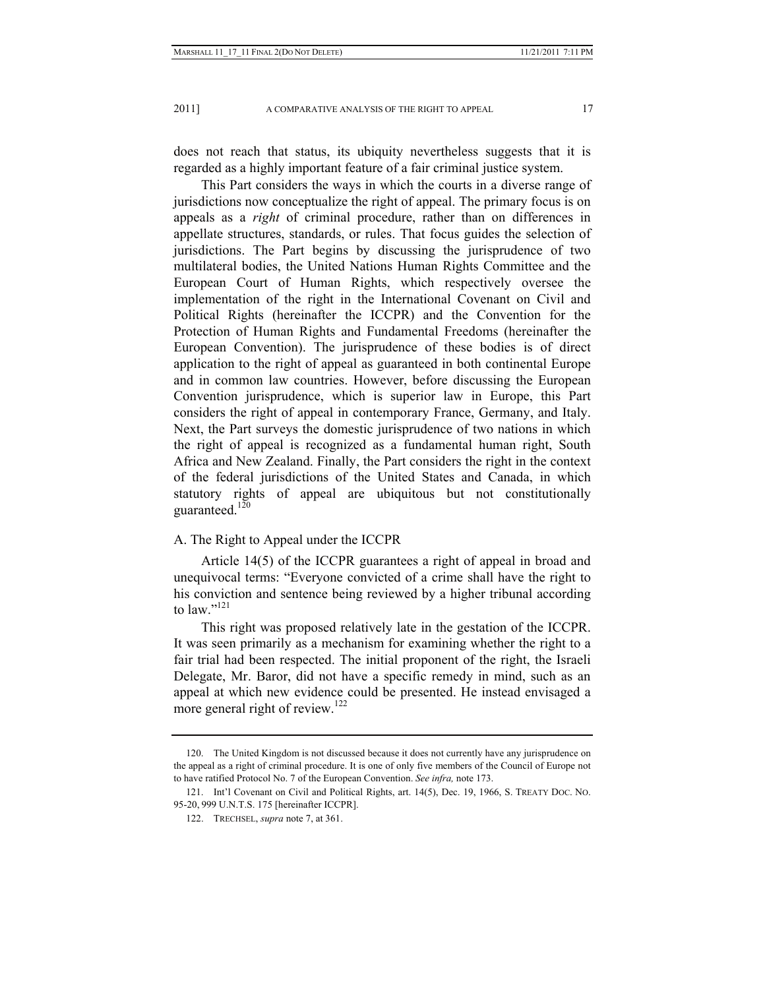does not reach that status, its ubiquity nevertheless suggests that it is regarded as a highly important feature of a fair criminal justice system.

This Part considers the ways in which the courts in a diverse range of jurisdictions now conceptualize the right of appeal. The primary focus is on appeals as a *right* of criminal procedure, rather than on differences in appellate structures, standards, or rules. That focus guides the selection of jurisdictions. The Part begins by discussing the jurisprudence of two multilateral bodies, the United Nations Human Rights Committee and the European Court of Human Rights, which respectively oversee the implementation of the right in the International Covenant on Civil and Political Rights (hereinafter the ICCPR) and the Convention for the Protection of Human Rights and Fundamental Freedoms (hereinafter the European Convention). The jurisprudence of these bodies is of direct application to the right of appeal as guaranteed in both continental Europe and in common law countries. However, before discussing the European Convention jurisprudence, which is superior law in Europe, this Part considers the right of appeal in contemporary France, Germany, and Italy. Next, the Part surveys the domestic jurisprudence of two nations in which the right of appeal is recognized as a fundamental human right, South Africa and New Zealand. Finally, the Part considers the right in the context of the federal jurisdictions of the United States and Canada, in which statutory rights of appeal are ubiquitous but not constitutionally guaranteed. $120$ 

#### A. The Right to Appeal under the ICCPR

Article 14(5) of the ICCPR guarantees a right of appeal in broad and unequivocal terms: "Everyone convicted of a crime shall have the right to his conviction and sentence being reviewed by a higher tribunal according to law."<sup>121</sup>

This right was proposed relatively late in the gestation of the ICCPR. It was seen primarily as a mechanism for examining whether the right to a fair trial had been respected. The initial proponent of the right, the Israeli Delegate, Mr. Baror, did not have a specific remedy in mind, such as an appeal at which new evidence could be presented. He instead envisaged a more general right of review.<sup>122</sup>

 <sup>120.</sup> The United Kingdom is not discussed because it does not currently have any jurisprudence on the appeal as a right of criminal procedure. It is one of only five members of the Council of Europe not to have ratified Protocol No. 7 of the European Convention. *See infra,* note 173.

 <sup>121.</sup> Int'l Covenant on Civil and Political Rights, art. 14(5), Dec. 19, 1966, S. TREATY DOC. NO. 95-20, 999 U.N.T.S. 175 [hereinafter ICCPR].

 <sup>122.</sup> TRECHSEL, *supra* note 7, at 361.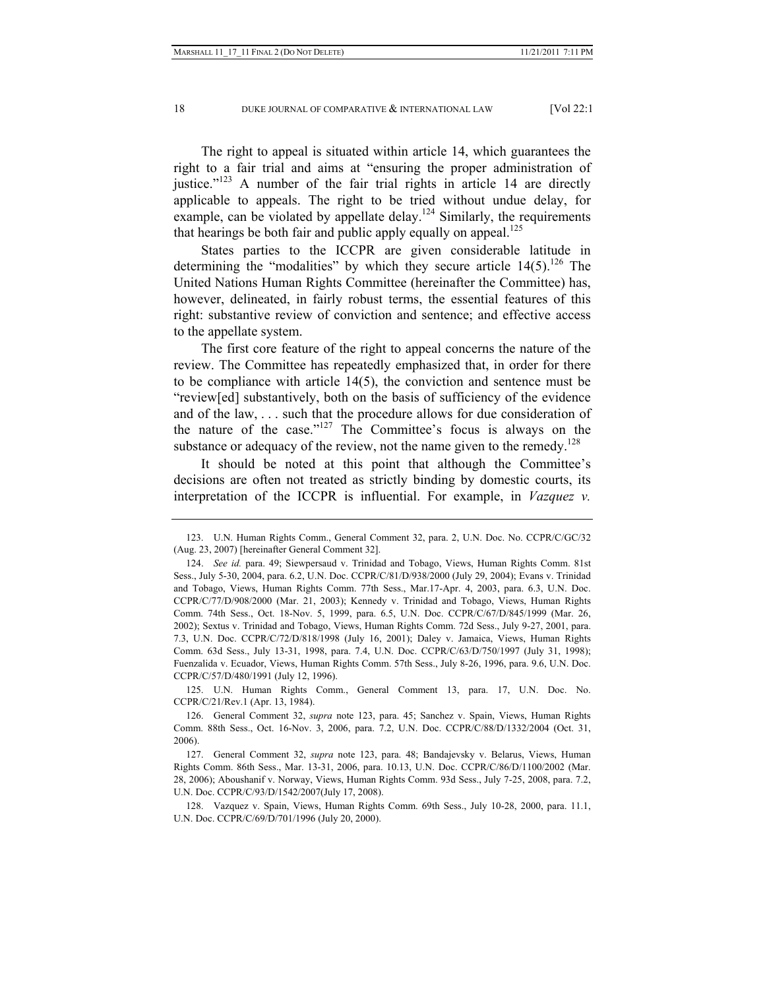The right to appeal is situated within article 14, which guarantees the right to a fair trial and aims at "ensuring the proper administration of justice." $123$  A number of the fair trial rights in article 14 are directly applicable to appeals. The right to be tried without undue delay, for example, can be violated by appellate delay.<sup>124</sup> Similarly, the requirements that hearings be both fair and public apply equally on appeal.<sup>125</sup>

States parties to the ICCPR are given considerable latitude in determining the "modalities" by which they secure article  $14(5)$ .<sup>126</sup> The United Nations Human Rights Committee (hereinafter the Committee) has, however, delineated, in fairly robust terms, the essential features of this right: substantive review of conviction and sentence; and effective access to the appellate system.

The first core feature of the right to appeal concerns the nature of the review. The Committee has repeatedly emphasized that, in order for there to be compliance with article 14(5), the conviction and sentence must be "review[ed] substantively, both on the basis of sufficiency of the evidence and of the law, . . . such that the procedure allows for due consideration of the nature of the case."127 The Committee's focus is always on the substance or adequacy of the review, not the name given to the remedy.<sup>128</sup>

It should be noted at this point that although the Committee's decisions are often not treated as strictly binding by domestic courts, its interpretation of the ICCPR is influential. For example, in *Vazquez v.* 

 125. U.N. Human Rights Comm., General Comment 13, para. 17, U.N. Doc. No. CCPR/C/21/Rev.1 (Apr. 13, 1984).

 <sup>123.</sup> U.N. Human Rights Comm., General Comment 32, para. 2, U.N. Doc. No. CCPR/C/GC/32 (Aug. 23, 2007) [hereinafter General Comment 32].

 <sup>124.</sup> *See id.* para. 49; Siewpersaud v. Trinidad and Tobago, Views, Human Rights Comm. 81st Sess., July 5-30, 2004, para. 6.2, U.N. Doc. CCPR/C/81/D/938/2000 (July 29, 2004); Evans v. Trinidad and Tobago, Views, Human Rights Comm. 77th Sess., Mar.17-Apr. 4, 2003, para. 6.3, U.N. Doc. CCPR/C/77/D/908/2000 (Mar. 21, 2003); Kennedy v. Trinidad and Tobago, Views, Human Rights Comm. 74th Sess., Oct. 18-Nov. 5, 1999, para. 6.5, U.N. Doc. CCPR/C/67/D/845/1999 (Mar. 26, 2002); Sextus v. Trinidad and Tobago, Views, Human Rights Comm. 72d Sess., July 9-27, 2001, para. 7.3, U.N. Doc. CCPR/C/72/D/818/1998 (July 16, 2001); Daley v. Jamaica, Views, Human Rights Comm. 63d Sess., July 13-31, 1998, para. 7.4, U.N. Doc. CCPR/C/63/D/750/1997 (July 31, 1998); Fuenzalida v. Ecuador, Views, Human Rights Comm. 57th Sess., July 8-26, 1996, para. 9.6, U.N. Doc. CCPR/C/57/D/480/1991 (July 12, 1996).

 <sup>126.</sup> General Comment 32, *supra* note 123, para. 45; Sanchez v. Spain, Views, Human Rights Comm. 88th Sess., Oct. 16-Nov. 3, 2006, para. 7.2, U.N. Doc. CCPR/C/88/D/1332/2004 (Oct. 31, 2006).

 <sup>127.</sup> General Comment 32, *supra* note 123, para. 48; Bandajevsky v. Belarus, Views, Human Rights Comm. 86th Sess., Mar. 13-31, 2006, para. 10.13, U.N. Doc. CCPR/C/86/D/1100/2002 (Mar. 28, 2006); Aboushanif v. Norway, Views, Human Rights Comm. 93d Sess., July 7-25, 2008, para. 7.2, U.N. Doc. CCPR/C/93/D/1542/2007(July 17, 2008).

 <sup>128.</sup> Vazquez v. Spain, Views, Human Rights Comm. 69th Sess., July 10-28, 2000, para. 11.1, U.N. Doc. CCPR/C/69/D/701/1996 (July 20, 2000).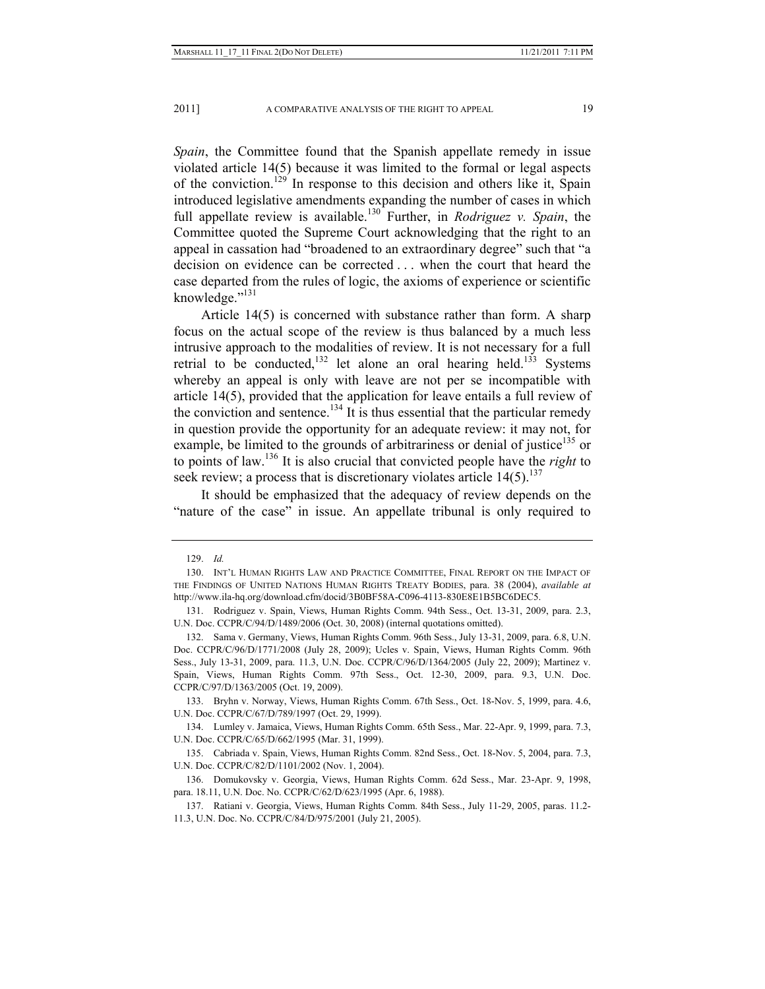*Spain*, the Committee found that the Spanish appellate remedy in issue violated article 14(5) because it was limited to the formal or legal aspects of the conviction.<sup>129</sup> In response to this decision and others like it, Spain introduced legislative amendments expanding the number of cases in which full appellate review is available.130 Further, in *Rodriguez v. Spain*, the Committee quoted the Supreme Court acknowledging that the right to an appeal in cassation had "broadened to an extraordinary degree" such that "a decision on evidence can be corrected . . . when the court that heard the case departed from the rules of logic, the axioms of experience or scientific knowledge."<sup>131</sup>

Article 14(5) is concerned with substance rather than form. A sharp focus on the actual scope of the review is thus balanced by a much less intrusive approach to the modalities of review. It is not necessary for a full retrial to be conducted,<sup>132</sup> let alone an oral hearing held.<sup>133</sup> Systems whereby an appeal is only with leave are not per se incompatible with article 14(5), provided that the application for leave entails a full review of the conviction and sentence.<sup>134</sup> It is thus essential that the particular remedy in question provide the opportunity for an adequate review: it may not, for example, be limited to the grounds of arbitrariness or denial of justice<sup>135</sup> or to points of law.136 It is also crucial that convicted people have the *right* to seek review; a process that is discretionary violates article  $14(5)$ .<sup>137</sup>

It should be emphasized that the adequacy of review depends on the "nature of the case" in issue. An appellate tribunal is only required to

 <sup>129.</sup> *Id.*

 <sup>130.</sup> INT'L HUMAN RIGHTS LAW AND PRACTICE COMMITTEE, FINAL REPORT ON THE IMPACT OF THE FINDINGS OF UNITED NATIONS HUMAN RIGHTS TREATY BODIES, para. 38 (2004), *available at*  http://www.ila-hq.org/download.cfm/docid/3B0BF58A-C096-4113-830E8E1B5BC6DEC5.

 <sup>131.</sup> Rodriguez v. Spain, Views, Human Rights Comm. 94th Sess., Oct. 13-31, 2009, para. 2.3, U.N. Doc. CCPR/C/94/D/1489/2006 (Oct. 30, 2008) (internal quotations omitted).

 <sup>132.</sup> Sama v. Germany, Views, Human Rights Comm. 96th Sess., July 13-31, 2009, para. 6.8, U.N. Doc. CCPR/C/96/D/1771/2008 (July 28, 2009); Ucles v. Spain, Views, Human Rights Comm. 96th Sess., July 13-31, 2009, para. 11.3, U.N. Doc. CCPR/C/96/D/1364/2005 (July 22, 2009); Martinez v. Spain, Views, Human Rights Comm. 97th Sess., Oct. 12-30, 2009, para. 9.3, U.N. Doc. CCPR/C/97/D/1363/2005 (Oct. 19, 2009).

 <sup>133.</sup> Bryhn v. Norway, Views, Human Rights Comm. 67th Sess., Oct. 18-Nov. 5, 1999, para. 4.6, U.N. Doc. CCPR/C/67/D/789/1997 (Oct. 29, 1999).

 <sup>134.</sup> Lumley v. Jamaica, Views, Human Rights Comm. 65th Sess., Mar. 22-Apr. 9, 1999, para. 7.3, U.N. Doc. CCPR/C/65/D/662/1995 (Mar. 31, 1999).

 <sup>135.</sup> Cabriada v. Spain, Views, Human Rights Comm. 82nd Sess., Oct. 18-Nov. 5, 2004, para. 7.3, U.N. Doc. CCPR/C/82/D/1101/2002 (Nov. 1, 2004).

 <sup>136.</sup> Domukovsky v. Georgia, Views, Human Rights Comm. 62d Sess., Mar. 23-Apr. 9, 1998, para. 18.11, U.N. Doc. No. CCPR/C/62/D/623/1995 (Apr. 6, 1988).

 <sup>137.</sup> Ratiani v. Georgia, Views, Human Rights Comm. 84th Sess., July 11-29, 2005, paras. 11.2- 11.3, U.N. Doc. No. CCPR/C/84/D/975/2001 (July 21, 2005).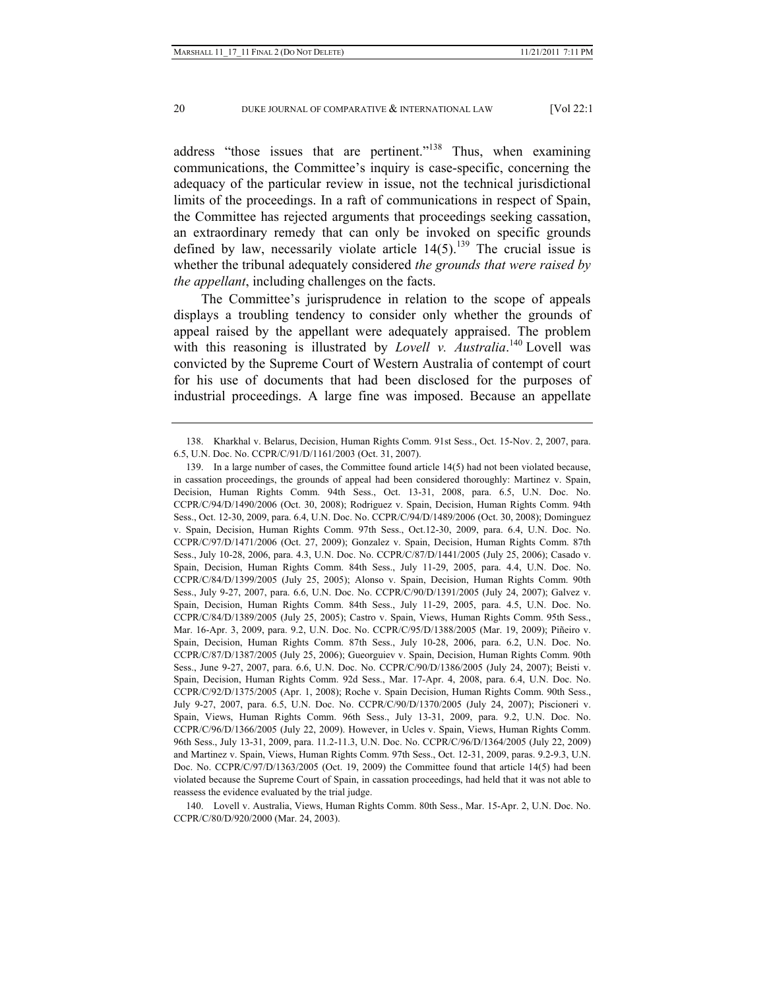address "those issues that are pertinent."<sup>138</sup> Thus, when examining communications, the Committee's inquiry is case-specific, concerning the adequacy of the particular review in issue, not the technical jurisdictional limits of the proceedings. In a raft of communications in respect of Spain, the Committee has rejected arguments that proceedings seeking cassation, an extraordinary remedy that can only be invoked on specific grounds defined by law, necessarily violate article  $14(5)$ .<sup>139</sup> The crucial issue is whether the tribunal adequately considered *the grounds that were raised by the appellant*, including challenges on the facts.

The Committee's jurisprudence in relation to the scope of appeals displays a troubling tendency to consider only whether the grounds of appeal raised by the appellant were adequately appraised. The problem with this reasoning is illustrated by *Lovell v. Australia*.<sup>140</sup> Lovell was convicted by the Supreme Court of Western Australia of contempt of court for his use of documents that had been disclosed for the purposes of industrial proceedings. A large fine was imposed. Because an appellate

 140. Lovell v. Australia, Views, Human Rights Comm. 80th Sess., Mar. 15-Apr. 2, U.N. Doc. No. CCPR/C/80/D/920/2000 (Mar. 24, 2003).

 <sup>138.</sup> Kharkhal v. Belarus, Decision, Human Rights Comm. 91st Sess., Oct. 15-Nov. 2, 2007, para. 6.5, U.N. Doc. No. CCPR/C/91/D/1161/2003 (Oct. 31, 2007).

 <sup>139.</sup> In a large number of cases, the Committee found article 14(5) had not been violated because, in cassation proceedings, the grounds of appeal had been considered thoroughly: Martinez v. Spain, Decision, Human Rights Comm. 94th Sess., Oct. 13-31, 2008, para. 6.5, U.N. Doc. No. CCPR/C/94/D/1490/2006 (Oct. 30, 2008); Rodriguez v. Spain, Decision, Human Rights Comm. 94th Sess., Oct. 12-30, 2009, para. 6.4, U.N. Doc. No. CCPR/C/94/D/1489/2006 (Oct. 30, 2008); Dominguez v. Spain, Decision, Human Rights Comm. 97th Sess., Oct.12-30, 2009, para. 6.4, U.N. Doc. No. CCPR/C/97/D/1471/2006 (Oct. 27, 2009); Gonzalez v. Spain, Decision, Human Rights Comm. 87th Sess., July 10-28, 2006, para. 4.3, U.N. Doc. No. CCPR/C/87/D/1441/2005 (July 25, 2006); Casado v. Spain, Decision, Human Rights Comm. 84th Sess., July 11-29, 2005, para. 4.4, U.N. Doc. No. CCPR/C/84/D/1399/2005 (July 25, 2005); Alonso v. Spain, Decision, Human Rights Comm. 90th Sess., July 9-27, 2007, para. 6.6, U.N. Doc. No. CCPR/C/90/D/1391/2005 (July 24, 2007); Galvez v. Spain, Decision, Human Rights Comm. 84th Sess., July 11-29, 2005, para. 4.5, U.N. Doc. No. CCPR/C/84/D/1389/2005 (July 25, 2005); Castro v. Spain, Views, Human Rights Comm. 95th Sess., Mar. 16-Apr. 3, 2009, para. 9.2, U.N. Doc. No. CCPR/C/95/D/1388/2005 (Mar. 19, 2009); Piñeiro v. Spain, Decision, Human Rights Comm. 87th Sess., July 10-28, 2006, para. 6.2, U.N. Doc. No. CCPR/C/87/D/1387/2005 (July 25, 2006); Gueorguiev v. Spain, Decision, Human Rights Comm. 90th Sess., June 9-27, 2007, para. 6.6, U.N. Doc. No. CCPR/C/90/D/1386/2005 (July 24, 2007); Beisti v. Spain, Decision, Human Rights Comm. 92d Sess., Mar. 17-Apr. 4, 2008, para. 6.4, U.N. Doc. No. CCPR/C/92/D/1375/2005 (Apr. 1, 2008); Roche v. Spain Decision, Human Rights Comm. 90th Sess., July 9-27, 2007, para. 6.5, U.N. Doc. No. CCPR/C/90/D/1370/2005 (July 24, 2007); Piscioneri v. Spain, Views, Human Rights Comm. 96th Sess., July 13-31, 2009, para. 9.2, U.N. Doc. No. CCPR/C/96/D/1366/2005 (July 22, 2009). However, in Ucles v. Spain, Views, Human Rights Comm. 96th Sess., July 13-31, 2009, para. 11.2-11.3, U.N. Doc. No. CCPR/C/96/D/1364/2005 (July 22, 2009) and Martinez v. Spain, Views, Human Rights Comm. 97th Sess., Oct. 12-31, 2009, paras. 9.2-9.3, U.N. Doc. No. CCPR/C/97/D/1363/2005 (Oct. 19, 2009) the Committee found that article 14(5) had been violated because the Supreme Court of Spain, in cassation proceedings, had held that it was not able to reassess the evidence evaluated by the trial judge.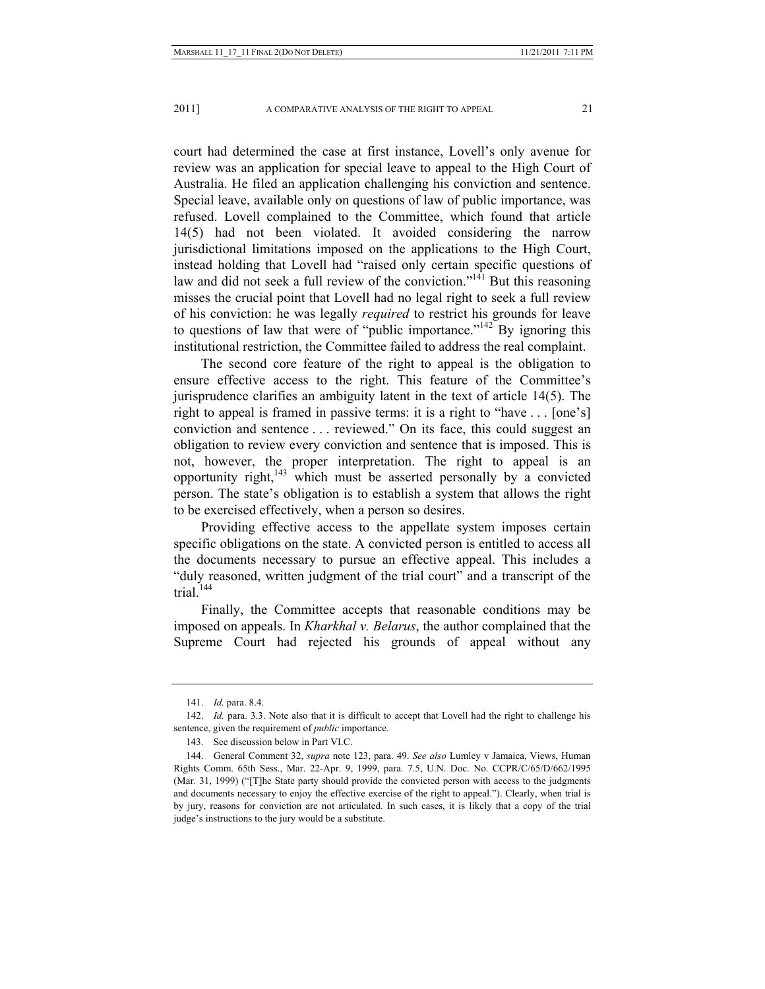court had determined the case at first instance, Lovell's only avenue for review was an application for special leave to appeal to the High Court of Australia. He filed an application challenging his conviction and sentence. Special leave, available only on questions of law of public importance, was refused. Lovell complained to the Committee, which found that article 14(5) had not been violated. It avoided considering the narrow jurisdictional limitations imposed on the applications to the High Court, instead holding that Lovell had "raised only certain specific questions of law and did not seek a full review of the conviction."<sup>141</sup> But this reasoning misses the crucial point that Lovell had no legal right to seek a full review of his conviction: he was legally *required* to restrict his grounds for leave to questions of law that were of "public importance."142 By ignoring this institutional restriction, the Committee failed to address the real complaint.

The second core feature of the right to appeal is the obligation to ensure effective access to the right. This feature of the Committee's jurisprudence clarifies an ambiguity latent in the text of article 14(5). The right to appeal is framed in passive terms: it is a right to "have . . . [one's] conviction and sentence . . . reviewed." On its face, this could suggest an obligation to review every conviction and sentence that is imposed. This is not, however, the proper interpretation. The right to appeal is an opportunity right, $143$  which must be asserted personally by a convicted person. The state's obligation is to establish a system that allows the right to be exercised effectively, when a person so desires.

Providing effective access to the appellate system imposes certain specific obligations on the state. A convicted person is entitled to access all the documents necessary to pursue an effective appeal. This includes a "duly reasoned, written judgment of the trial court" and a transcript of the trial. $144$ 

Finally, the Committee accepts that reasonable conditions may be imposed on appeals. In *Kharkhal v. Belarus*, the author complained that the Supreme Court had rejected his grounds of appeal without any

 <sup>141.</sup> *Id.* para. 8.4.

<sup>142.</sup> *Id.* para. 3.3. Note also that it is difficult to accept that Lovell had the right to challenge his sentence, given the requirement of *public* importance.

 <sup>143.</sup> See discussion below in Part VI.C.

 <sup>144.</sup> General Comment 32, *supra* note 123, para. 49. *See also* Lumley v Jamaica, Views, Human Rights Comm. 65th Sess., Mar. 22-Apr. 9, 1999, para. 7.5, U.N. Doc. No. CCPR/C/65/D/662/1995 (Mar. 31, 1999) ("[T]he State party should provide the convicted person with access to the judgments and documents necessary to enjoy the effective exercise of the right to appeal."). Clearly, when trial is by jury, reasons for conviction are not articulated. In such cases, it is likely that a copy of the trial judge's instructions to the jury would be a substitute.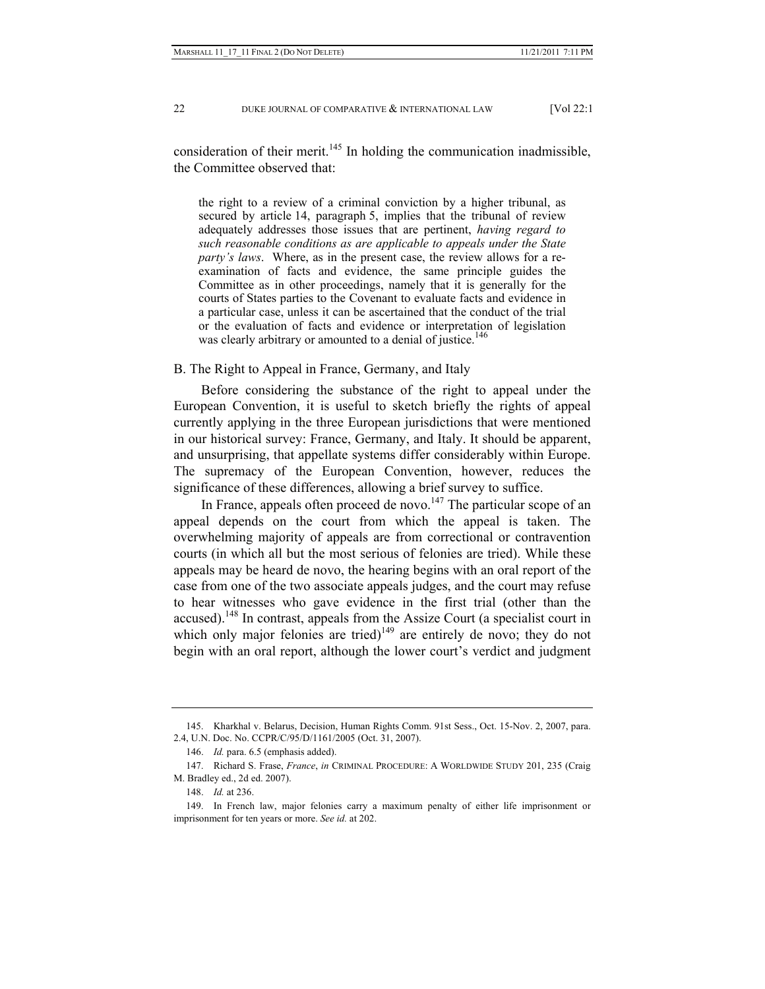consideration of their merit. $145$  In holding the communication inadmissible, the Committee observed that:

the right to a review of a criminal conviction by a higher tribunal, as secured by article 14, paragraph 5, implies that the tribunal of review adequately addresses those issues that are pertinent, *having regard to such reasonable conditions as are applicable to appeals under the State party's laws*. Where, as in the present case, the review allows for a reexamination of facts and evidence, the same principle guides the Committee as in other proceedings, namely that it is generally for the courts of States parties to the Covenant to evaluate facts and evidence in a particular case, unless it can be ascertained that the conduct of the trial or the evaluation of facts and evidence or interpretation of legislation was clearly arbitrary or amounted to a denial of justice.<sup>146</sup>

# B. The Right to Appeal in France, Germany, and Italy

Before considering the substance of the right to appeal under the European Convention, it is useful to sketch briefly the rights of appeal currently applying in the three European jurisdictions that were mentioned in our historical survey: France, Germany, and Italy. It should be apparent, and unsurprising, that appellate systems differ considerably within Europe. The supremacy of the European Convention, however, reduces the significance of these differences, allowing a brief survey to suffice.

In France, appeals often proceed de novo.<sup>147</sup> The particular scope of an appeal depends on the court from which the appeal is taken. The overwhelming majority of appeals are from correctional or contravention courts (in which all but the most serious of felonies are tried). While these appeals may be heard de novo, the hearing begins with an oral report of the case from one of the two associate appeals judges, and the court may refuse to hear witnesses who gave evidence in the first trial (other than the accused).<sup>148</sup> In contrast, appeals from the Assize Court (a specialist court in which only major felonies are tried) $149$  are entirely de novo; they do not begin with an oral report, although the lower court's verdict and judgment

 <sup>145.</sup> Kharkhal v. Belarus, Decision, Human Rights Comm. 91st Sess., Oct. 15-Nov. 2, 2007, para. 2.4, U.N. Doc. No. CCPR/C/95/D/1161/2005 (Oct. 31, 2007).

 <sup>146.</sup> *Id.* para. 6.5 (emphasis added).

 <sup>147.</sup> Richard S. Frase, *France*, *in* CRIMINAL PROCEDURE: A WORLDWIDE STUDY 201, 235 (Craig M. Bradley ed., 2d ed. 2007).

 <sup>148.</sup> *Id.* at 236.

 <sup>149.</sup> In French law, major felonies carry a maximum penalty of either life imprisonment or imprisonment for ten years or more. *See id.* at 202.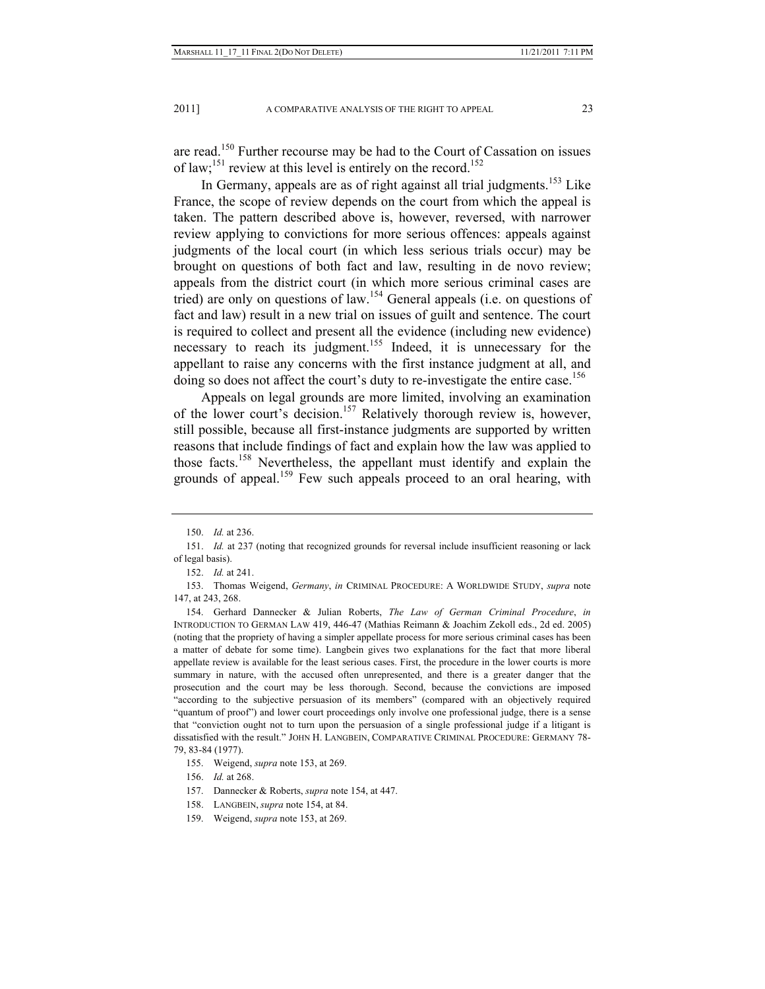are read.150 Further recourse may be had to the Court of Cassation on issues of law;<sup>151</sup> review at this level is entirely on the record.<sup>152</sup>

In Germany, appeals are as of right against all trial judgments.<sup>153</sup> Like France, the scope of review depends on the court from which the appeal is taken. The pattern described above is, however, reversed, with narrower review applying to convictions for more serious offences: appeals against judgments of the local court (in which less serious trials occur) may be brought on questions of both fact and law, resulting in de novo review; appeals from the district court (in which more serious criminal cases are tried) are only on questions of law.154 General appeals (i.e. on questions of fact and law) result in a new trial on issues of guilt and sentence. The court is required to collect and present all the evidence (including new evidence) necessary to reach its judgment.<sup>155</sup> Indeed, it is unnecessary for the appellant to raise any concerns with the first instance judgment at all, and doing so does not affect the court's duty to re-investigate the entire case.<sup>156</sup>

Appeals on legal grounds are more limited, involving an examination of the lower court's decision.<sup>157</sup> Relatively thorough review is, however, still possible, because all first-instance judgments are supported by written reasons that include findings of fact and explain how the law was applied to those facts.158 Nevertheless, the appellant must identify and explain the grounds of appeal.<sup>159</sup> Few such appeals proceed to an oral hearing, with

 <sup>150.</sup> *Id.* at 236.

 <sup>151.</sup> *Id.* at 237 (noting that recognized grounds for reversal include insufficient reasoning or lack of legal basis).

 <sup>152.</sup> *Id.* at 241.

 <sup>153.</sup> Thomas Weigend, *Germany*, *in* CRIMINAL PROCEDURE: A WORLDWIDE STUDY, *supra* note 147, at 243, 268.

 <sup>154.</sup> Gerhard Dannecker & Julian Roberts, *The Law of German Criminal Procedure*, *in* INTRODUCTION TO GERMAN LAW 419, 446-47 (Mathias Reimann & Joachim Zekoll eds., 2d ed. 2005) (noting that the propriety of having a simpler appellate process for more serious criminal cases has been a matter of debate for some time). Langbein gives two explanations for the fact that more liberal appellate review is available for the least serious cases. First, the procedure in the lower courts is more summary in nature, with the accused often unrepresented, and there is a greater danger that the prosecution and the court may be less thorough. Second, because the convictions are imposed "according to the subjective persuasion of its members" (compared with an objectively required "quantum of proof") and lower court proceedings only involve one professional judge, there is a sense that "conviction ought not to turn upon the persuasion of a single professional judge if a litigant is dissatisfied with the result." JOHN H. LANGBEIN, COMPARATIVE CRIMINAL PROCEDURE: GERMANY 78- 79, 83-84 (1977).

 <sup>155.</sup> Weigend, *supra* note 153, at 269.

 <sup>156.</sup> *Id.* at 268.

 <sup>157.</sup> Dannecker & Roberts, *supra* note 154, at 447.

 <sup>158.</sup> LANGBEIN, *supra* note 154, at 84.

 <sup>159.</sup> Weigend, *supra* note 153, at 269.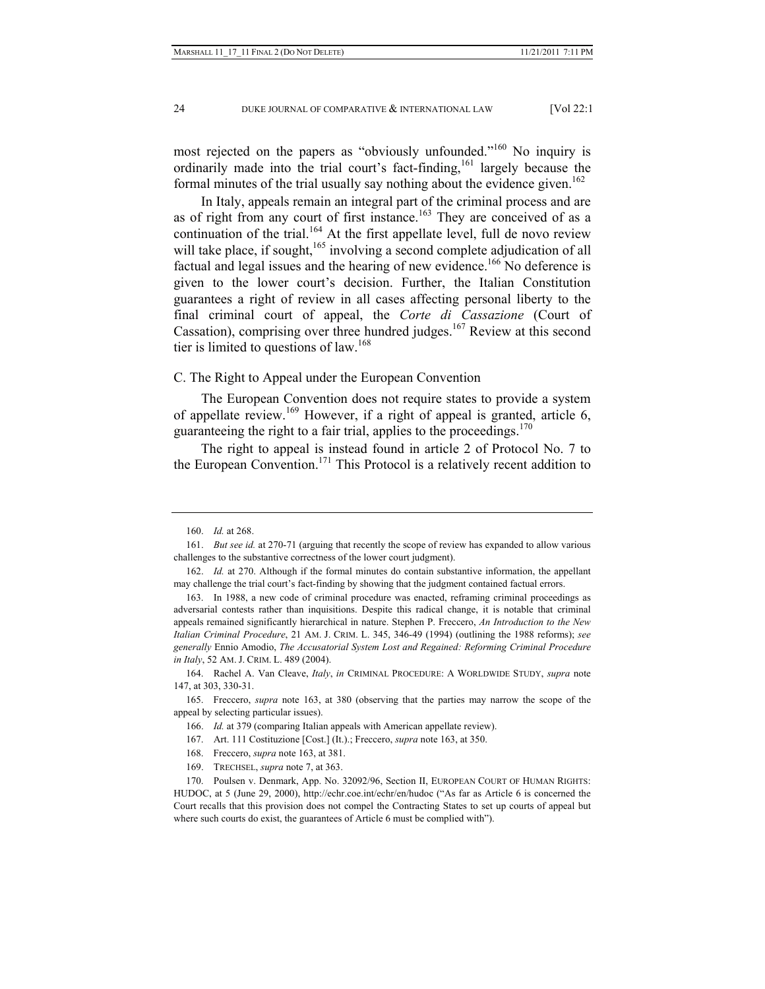most rejected on the papers as "obviously unfounded."<sup>160</sup> No inquiry is ordinarily made into the trial court's fact-finding,<sup>161</sup> largely because the formal minutes of the trial usually say nothing about the evidence given.<sup>162</sup>

In Italy, appeals remain an integral part of the criminal process and are as of right from any court of first instance.<sup>163</sup> They are conceived of as a continuation of the trial.<sup>164</sup> At the first appellate level, full de novo review will take place, if sought,<sup>165</sup> involving a second complete adjudication of all factual and legal issues and the hearing of new evidence.<sup>166</sup> No deference is given to the lower court's decision. Further, the Italian Constitution guarantees a right of review in all cases affecting personal liberty to the final criminal court of appeal, the *Corte di Cassazione* (Court of Cassation), comprising over three hundred judges.<sup>167</sup> Review at this second tier is limited to questions of law.<sup>168</sup>

C. The Right to Appeal under the European Convention

The European Convention does not require states to provide a system of appellate review.<sup>169</sup> However, if a right of appeal is granted, article 6, guaranteeing the right to a fair trial, applies to the proceedings.<sup>170</sup>

The right to appeal is instead found in article 2 of Protocol No. 7 to the European Convention.<sup>171</sup> This Protocol is a relatively recent addition to

169. TRECHSEL, *supra* note 7, at 363.

 <sup>160.</sup> *Id.* at 268.

 <sup>161.</sup> *But see id.* at 270-71 (arguing that recently the scope of review has expanded to allow various challenges to the substantive correctness of the lower court judgment).

 <sup>162.</sup> *Id.* at 270. Although if the formal minutes do contain substantive information, the appellant may challenge the trial court's fact-finding by showing that the judgment contained factual errors.

 <sup>163.</sup> In 1988, a new code of criminal procedure was enacted, reframing criminal proceedings as adversarial contests rather than inquisitions. Despite this radical change, it is notable that criminal appeals remained significantly hierarchical in nature. Stephen P. Freccero, *An Introduction to the New Italian Criminal Procedure*, 21 AM. J. CRIM. L. 345, 346-49 (1994) (outlining the 1988 reforms); *see generally* Ennio Amodio, *The Accusatorial System Lost and Regained: Reforming Criminal Procedure in Italy*, 52 AM. J. CRIM. L. 489 (2004).

 <sup>164.</sup> Rachel A. Van Cleave, *Italy*, *in* CRIMINAL PROCEDURE: A WORLDWIDE STUDY, *supra* note 147, at 303, 330-31.

 <sup>165.</sup> Freccero, *supra* note 163, at 380 (observing that the parties may narrow the scope of the appeal by selecting particular issues).

 <sup>166.</sup> *Id.* at 379 (comparing Italian appeals with American appellate review).

 <sup>167.</sup> Art. 111 Costituzione [Cost.] (It.).; Freccero, *supra* note 163, at 350.

 <sup>168.</sup> Freccero, *supra* note 163, at 381.

 <sup>170.</sup> Poulsen v. Denmark, App. No. 32092/96, Section II, EUROPEAN COURT OF HUMAN RIGHTS: HUDOC, at 5 (June 29, 2000), http://echr.coe.int/echr/en/hudoc ("As far as Article 6 is concerned the Court recalls that this provision does not compel the Contracting States to set up courts of appeal but where such courts do exist, the guarantees of Article 6 must be complied with").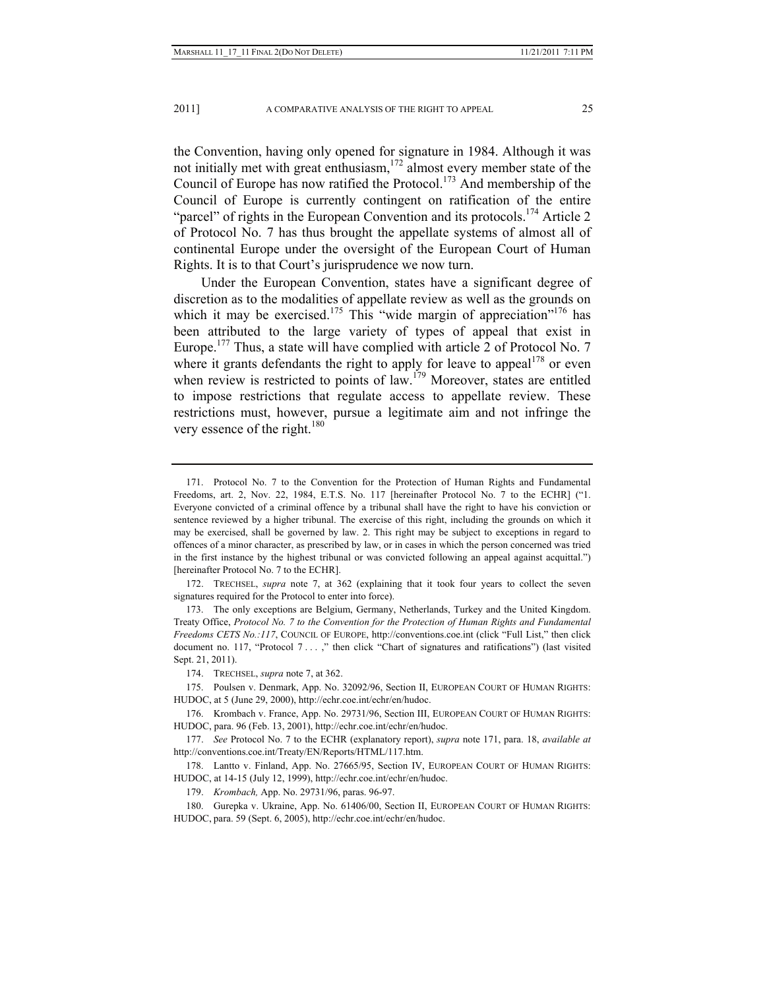the Convention, having only opened for signature in 1984. Although it was not initially met with great enthusiasm,<sup>172</sup> almost every member state of the Council of Europe has now ratified the Protocol.<sup>173</sup> And membership of the Council of Europe is currently contingent on ratification of the entire "parcel" of rights in the European Convention and its protocols.<sup>174</sup> Article 2 of Protocol No. 7 has thus brought the appellate systems of almost all of continental Europe under the oversight of the European Court of Human Rights. It is to that Court's jurisprudence we now turn.

Under the European Convention, states have a significant degree of discretion as to the modalities of appellate review as well as the grounds on which it may be exercised.<sup>175</sup> This "wide margin of appreciation"<sup>176</sup> has been attributed to the large variety of types of appeal that exist in Europe.<sup>177</sup> Thus, a state will have complied with article 2 of Protocol No. 7 where it grants defendants the right to apply for leave to appeal<sup>178</sup> or even when review is restricted to points of law.<sup>179</sup> Moreover, states are entitled to impose restrictions that regulate access to appellate review. These restrictions must, however, pursue a legitimate aim and not infringe the very essence of the right.<sup>180</sup>

 172. TRECHSEL, *supra* note 7, at 362 (explaining that it took four years to collect the seven signatures required for the Protocol to enter into force).

 173. The only exceptions are Belgium, Germany, Netherlands, Turkey and the United Kingdom. Treaty Office, *Protocol No. 7 to the Convention for the Protection of Human Rights and Fundamental Freedoms CETS No.:117*, COUNCIL OF EUROPE, http://conventions.coe.int (click "Full List," then click document no. 117, "Protocol 7 . . . ," then click "Chart of signatures and ratifications") (last visited Sept. 21, 2011).

 <sup>171.</sup> Protocol No. 7 to the Convention for the Protection of Human Rights and Fundamental Freedoms, art. 2, Nov. 22, 1984, E.T.S. No. 117 [hereinafter Protocol No. 7 to the ECHR] ("1. Everyone convicted of a criminal offence by a tribunal shall have the right to have his conviction or sentence reviewed by a higher tribunal. The exercise of this right, including the grounds on which it may be exercised, shall be governed by law. 2. This right may be subject to exceptions in regard to offences of a minor character, as prescribed by law, or in cases in which the person concerned was tried in the first instance by the highest tribunal or was convicted following an appeal against acquittal.") [hereinafter Protocol No. 7 to the ECHR].

 <sup>174.</sup> TRECHSEL, *supra* note 7, at 362.

 <sup>175.</sup> Poulsen v. Denmark, App. No. 32092/96, Section II, EUROPEAN COURT OF HUMAN RIGHTS: HUDOC, at 5 (June 29, 2000), http://echr.coe.int/echr/en/hudoc.

 <sup>176.</sup> Krombach v. France, App. No. 29731/96, Section III, EUROPEAN COURT OF HUMAN RIGHTS: HUDOC, para. 96 (Feb. 13, 2001), http://echr.coe.int/echr/en/hudoc.

 <sup>177.</sup> *See* Protocol No. 7 to the ECHR (explanatory report), *supra* note 171, para. 18, *available at*  http://conventions.coe.int/Treaty/EN/Reports/HTML/117.htm.

 <sup>178.</sup> Lantto v. Finland, App. No. 27665/95, Section IV, EUROPEAN COURT OF HUMAN RIGHTS: HUDOC, at 14-15 (July 12, 1999), http://echr.coe.int/echr/en/hudoc.

 <sup>179.</sup> *Krombach,* App. No. 29731/96, paras. 96-97.

 <sup>180.</sup> Gurepka v. Ukraine, App. No. 61406/00, Section II, EUROPEAN COURT OF HUMAN RIGHTS: HUDOC, para. 59 (Sept. 6, 2005), http://echr.coe.int/echr/en/hudoc.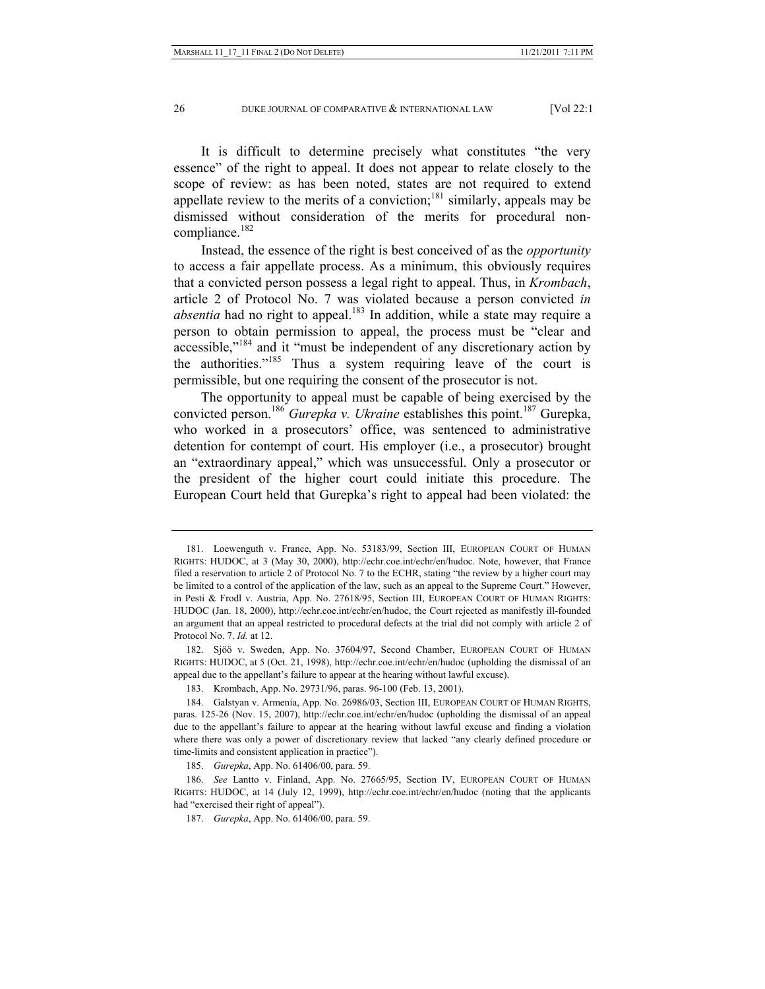It is difficult to determine precisely what constitutes "the very essence" of the right to appeal. It does not appear to relate closely to the scope of review: as has been noted, states are not required to extend appellate review to the merits of a conviction;<sup>181</sup> similarly, appeals may be dismissed without consideration of the merits for procedural noncompliance. $182$ 

Instead, the essence of the right is best conceived of as the *opportunity* to access a fair appellate process. As a minimum, this obviously requires that a convicted person possess a legal right to appeal. Thus, in *Krombach*, article 2 of Protocol No. 7 was violated because a person convicted *in absentia* had no right to appeal.<sup>183</sup> In addition, while a state may require a person to obtain permission to appeal, the process must be "clear and accessible,"184 and it "must be independent of any discretionary action by the authorities."185 Thus a system requiring leave of the court is permissible, but one requiring the consent of the prosecutor is not.

The opportunity to appeal must be capable of being exercised by the convicted person.186 *Gurepka v. Ukraine* establishes this point.187 Gurepka, who worked in a prosecutors' office, was sentenced to administrative detention for contempt of court. His employer (i.e., a prosecutor) brought an "extraordinary appeal," which was unsuccessful. Only a prosecutor or the president of the higher court could initiate this procedure. The European Court held that Gurepka's right to appeal had been violated: the

185. *Gurepka*, App. No. 61406/00, para. 59.

 <sup>181.</sup> Loewenguth v. France, App. No. 53183/99, Section III, EUROPEAN COURT OF HUMAN RIGHTS: HUDOC, at 3 (May 30, 2000), http://echr.coe.int/echr/en/hudoc. Note, however, that France filed a reservation to article 2 of Protocol No. 7 to the ECHR, stating "the review by a higher court may be limited to a control of the application of the law, such as an appeal to the Supreme Court." However, in Pesti & Frodl v. Austria, App. No. 27618/95, Section III, EUROPEAN COURT OF HUMAN RIGHTS: HUDOC (Jan. 18, 2000), http://echr.coe.int/echr/en/hudoc, the Court rejected as manifestly ill-founded an argument that an appeal restricted to procedural defects at the trial did not comply with article 2 of Protocol No. 7. *Id.* at 12.

 <sup>182.</sup> Sjöö v. Sweden, App. No. 37604/97, Second Chamber, EUROPEAN COURT OF HUMAN RIGHTS: HUDOC, at 5 (Oct. 21, 1998), http://echr.coe.int/echr/en/hudoc (upholding the dismissal of an appeal due to the appellant's failure to appear at the hearing without lawful excuse).

 <sup>183.</sup> Krombach, App. No. 29731/96, paras. 96-100 (Feb. 13, 2001).

 <sup>184.</sup> Galstyan v. Armenia, App. No. 26986/03, Section III, EUROPEAN COURT OF HUMAN RIGHTS, paras. 125-26 (Nov. 15, 2007), http://echr.coe.int/echr/en/hudoc (upholding the dismissal of an appeal due to the appellant's failure to appear at the hearing without lawful excuse and finding a violation where there was only a power of discretionary review that lacked "any clearly defined procedure or time-limits and consistent application in practice").

 <sup>186.</sup> *See* Lantto v. Finland, App. No. 27665/95, Section IV, EUROPEAN COURT OF HUMAN RIGHTS: HUDOC, at 14 (July 12, 1999), http://echr.coe.int/echr/en/hudoc (noting that the applicants had "exercised their right of appeal").

 <sup>187.</sup> *Gurepka*, App. No. 61406/00, para. 59.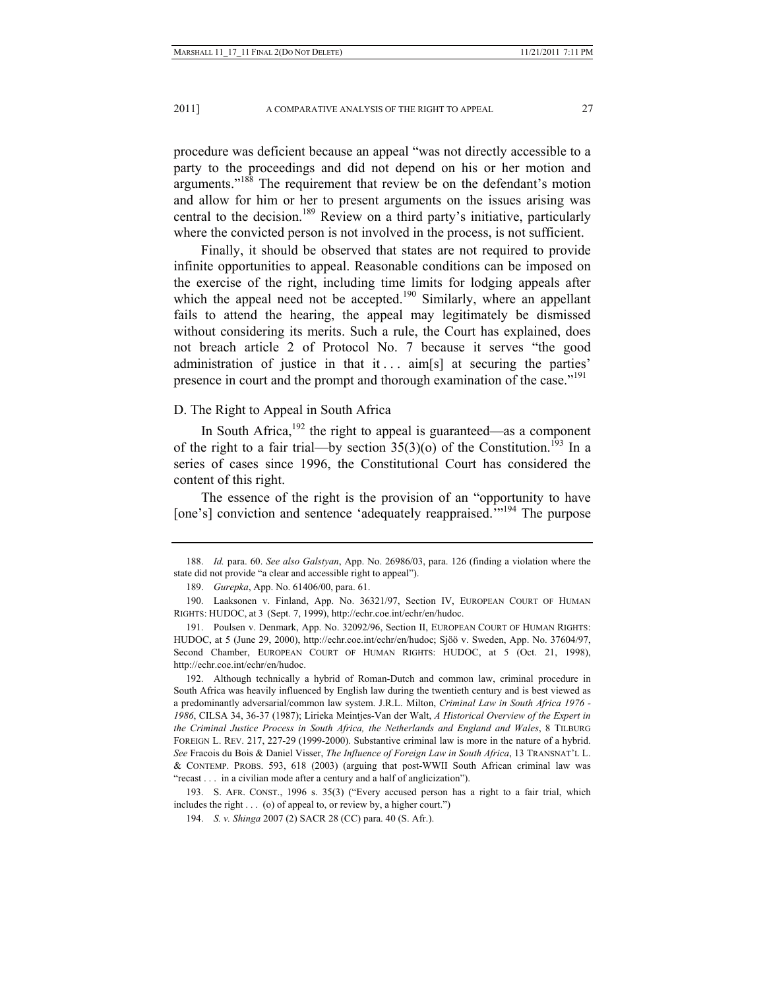2011] A COMPARATIVE ANALYSIS OF THE RIGHT TO APPEAL 27

procedure was deficient because an appeal "was not directly accessible to a party to the proceedings and did not depend on his or her motion and arguments."188 The requirement that review be on the defendant's motion and allow for him or her to present arguments on the issues arising was central to the decision.<sup>189</sup> Review on a third party's initiative, particularly where the convicted person is not involved in the process, is not sufficient.

Finally, it should be observed that states are not required to provide infinite opportunities to appeal. Reasonable conditions can be imposed on the exercise of the right, including time limits for lodging appeals after which the appeal need not be accepted.<sup>190</sup> Similarly, where an appellant fails to attend the hearing, the appeal may legitimately be dismissed without considering its merits. Such a rule, the Court has explained, does not breach article 2 of Protocol No. 7 because it serves "the good administration of justice in that it  $\ldots$  aim[s] at securing the parties' presence in court and the prompt and thorough examination of the case."<sup>191</sup>

D. The Right to Appeal in South Africa

In South Africa, $192$  the right to appeal is guaranteed—as a component of the right to a fair trial—by section  $35(3)(0)$  of the Constitution.<sup>193</sup> In a series of cases since 1996, the Constitutional Court has considered the content of this right.

The essence of the right is the provision of an "opportunity to have [one's] conviction and sentence 'adequately reappraised.'"<sup>194</sup> The purpose

 <sup>188.</sup> *Id.* para. 60. *See also Galstyan*, App. No. 26986/03, para. 126 (finding a violation where the state did not provide "a clear and accessible right to appeal").

 <sup>189.</sup> *Gurepka*, App. No. 61406/00, para. 61.

 <sup>190.</sup> Laaksonen v. Finland, App. No. 36321/97, Section IV, EUROPEAN COURT OF HUMAN RIGHTS: HUDOC, at 3 (Sept. 7, 1999), http://echr.coe.int/echr/en/hudoc.

 <sup>191.</sup> Poulsen v. Denmark, App. No. 32092/96, Section II, EUROPEAN COURT OF HUMAN RIGHTS: HUDOC, at 5 (June 29, 2000), http://echr.coe.int/echr/en/hudoc; Sjöö v. Sweden, App. No. 37604/97, Second Chamber, EUROPEAN COURT OF HUMAN RIGHTS: HUDOC, at 5 (Oct. 21, 1998), http://echr.coe.int/echr/en/hudoc.

 <sup>192.</sup> Although technically a hybrid of Roman-Dutch and common law, criminal procedure in South Africa was heavily influenced by English law during the twentieth century and is best viewed as a predominantly adversarial/common law system. J.R.L. Milton, *Criminal Law in South Africa 1976 - 1986*, CILSA 34, 36-37 (1987); Lirieka Meintjes-Van der Walt, *A Historical Overview of the Expert in the Criminal Justice Process in South Africa, the Netherlands and England and Wales*, 8 TILBURG FOREIGN L. REV. 217, 227-29 (1999-2000). Substantive criminal law is more in the nature of a hybrid. *See* Fracois du Bois & Daniel Visser, *The Influence of Foreign Law in South Africa*, 13 TRANSNAT'L L. & CONTEMP. PROBS. 593, 618 (2003) (arguing that post-WWII South African criminal law was "recast . . . in a civilian mode after a century and a half of anglicization").

 <sup>193.</sup> S. AFR. CONST., 1996 s. 35(3) ("Every accused person has a right to a fair trial, which includes the right . . . (o) of appeal to, or review by, a higher court.")

 <sup>194.</sup> *S. v. Shinga* 2007 (2) SACR 28 (CC) para. 40 (S. Afr.).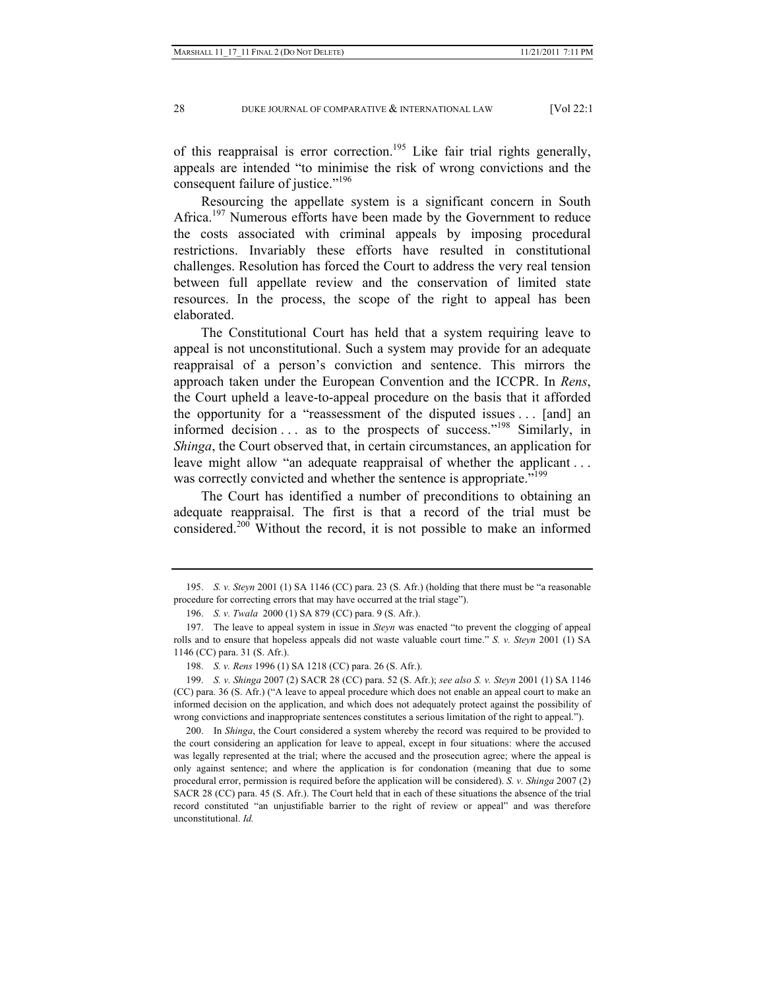of this reappraisal is error correction.<sup>195</sup> Like fair trial rights generally, appeals are intended "to minimise the risk of wrong convictions and the consequent failure of justice."<sup>196</sup>

Resourcing the appellate system is a significant concern in South Africa.<sup>197</sup> Numerous efforts have been made by the Government to reduce the costs associated with criminal appeals by imposing procedural restrictions. Invariably these efforts have resulted in constitutional challenges. Resolution has forced the Court to address the very real tension between full appellate review and the conservation of limited state resources. In the process, the scope of the right to appeal has been elaborated.

The Constitutional Court has held that a system requiring leave to appeal is not unconstitutional. Such a system may provide for an adequate reappraisal of a person's conviction and sentence. This mirrors the approach taken under the European Convention and the ICCPR. In *Rens*, the Court upheld a leave-to-appeal procedure on the basis that it afforded the opportunity for a "reassessment of the disputed issues . . . [and] an informed decision  $\ldots$  as to the prospects of success."<sup>198</sup> Similarly, in *Shinga*, the Court observed that, in certain circumstances, an application for leave might allow "an adequate reappraisal of whether the applicant... was correctly convicted and whether the sentence is appropriate."<sup>199</sup>

The Court has identified a number of preconditions to obtaining an adequate reappraisal. The first is that a record of the trial must be considered.<sup>200</sup> Without the record, it is not possible to make an informed

 <sup>195.</sup> *S. v. Steyn* 2001 (1) SA 1146 (CC) para. 23 (S. Afr.) (holding that there must be "a reasonable procedure for correcting errors that may have occurred at the trial stage").

 <sup>196.</sup> *S. v. Twala* 2000 (1) SA 879 (CC) para. 9 (S. Afr.).

 <sup>197.</sup> The leave to appeal system in issue in *Steyn* was enacted "to prevent the clogging of appeal rolls and to ensure that hopeless appeals did not waste valuable court time." *S. v. Steyn* 2001 (1) SA 1146 (CC) para. 31 (S. Afr.).

 <sup>198.</sup> *S. v. Rens* 1996 (1) SA 1218 (CC) para. 26 (S. Afr.).

 <sup>199.</sup> *S. v. Shinga* 2007 (2) SACR 28 (CC) para. 52 (S. Afr.); *see also S. v. Steyn* 2001 (1) SA 1146 (CC) para. 36 (S. Afr.) ("A leave to appeal procedure which does not enable an appeal court to make an informed decision on the application, and which does not adequately protect against the possibility of wrong convictions and inappropriate sentences constitutes a serious limitation of the right to appeal.").

 <sup>200.</sup> In *Shinga*, the Court considered a system whereby the record was required to be provided to the court considering an application for leave to appeal, except in four situations: where the accused was legally represented at the trial; where the accused and the prosecution agree; where the appeal is only against sentence; and where the application is for condonation (meaning that due to some procedural error, permission is required before the application will be considered). *S. v. Shinga* 2007 (2) SACR 28 (CC) para. 45 (S. Afr.). The Court held that in each of these situations the absence of the trial record constituted "an unjustifiable barrier to the right of review or appeal" and was therefore unconstitutional. *Id.*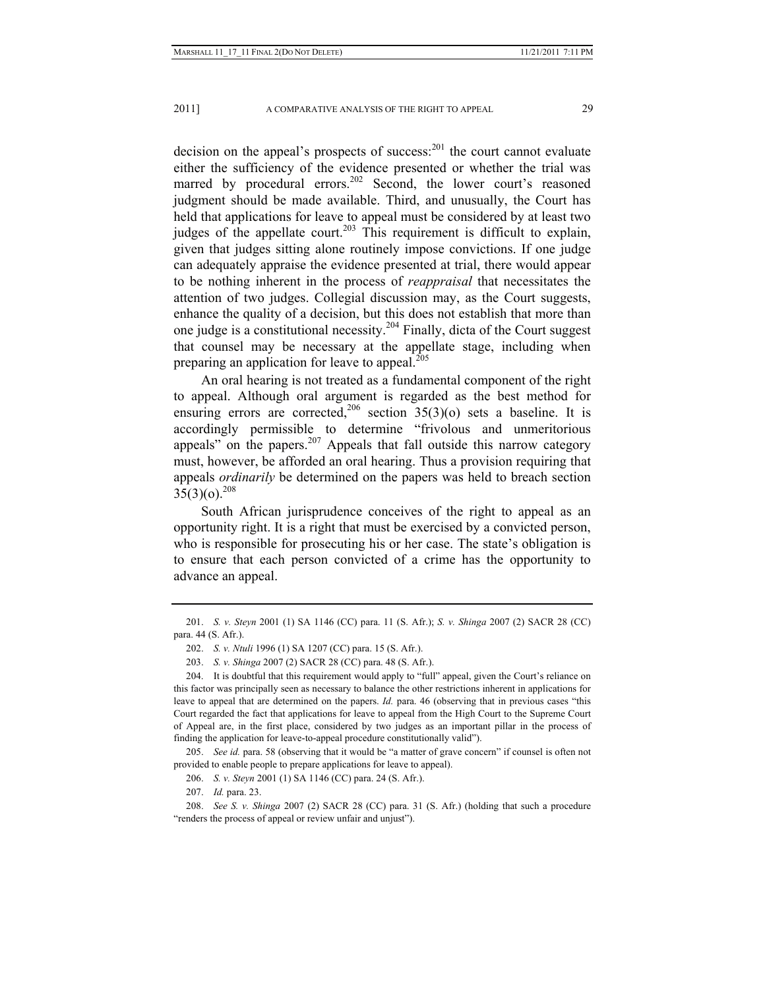decision on the appeal's prospects of success: $^{201}$  the court cannot evaluate either the sufficiency of the evidence presented or whether the trial was marred by procedural errors.<sup>202</sup> Second, the lower court's reasoned judgment should be made available. Third, and unusually, the Court has held that applications for leave to appeal must be considered by at least two judges of the appellate court.<sup>203</sup> This requirement is difficult to explain, given that judges sitting alone routinely impose convictions. If one judge can adequately appraise the evidence presented at trial, there would appear to be nothing inherent in the process of *reappraisal* that necessitates the attention of two judges. Collegial discussion may, as the Court suggests, enhance the quality of a decision, but this does not establish that more than one judge is a constitutional necessity.204 Finally, dicta of the Court suggest that counsel may be necessary at the appellate stage, including when preparing an application for leave to appeal.<sup>205</sup>

An oral hearing is not treated as a fundamental component of the right to appeal. Although oral argument is regarded as the best method for ensuring errors are corrected,<sup>206</sup> section  $35(3)(o)$  sets a baseline. It is accordingly permissible to determine "frivolous and unmeritorious appeals" on the papers. $207$  Appeals that fall outside this narrow category must, however, be afforded an oral hearing. Thus a provision requiring that appeals *ordinarily* be determined on the papers was held to breach section  $35(3)(0)^{208}$ 

South African jurisprudence conceives of the right to appeal as an opportunity right. It is a right that must be exercised by a convicted person, who is responsible for prosecuting his or her case. The state's obligation is to ensure that each person convicted of a crime has the opportunity to advance an appeal.

 205. *See id.* para. 58 (observing that it would be "a matter of grave concern" if counsel is often not provided to enable people to prepare applications for leave to appeal).

 <sup>201.</sup> *S. v. Steyn* 2001 (1) SA 1146 (CC) para. 11 (S. Afr.); *S. v. Shinga* 2007 (2) SACR 28 (CC) para. 44 (S. Afr.).

 <sup>202.</sup> *S. v. Ntuli* 1996 (1) SA 1207 (CC) para. 15 (S. Afr.).

 <sup>203.</sup> *S. v. Shinga* 2007 (2) SACR 28 (CC) para. 48 (S. Afr.).

 <sup>204.</sup> It is doubtful that this requirement would apply to "full" appeal, given the Court's reliance on this factor was principally seen as necessary to balance the other restrictions inherent in applications for leave to appeal that are determined on the papers. *Id.* para. 46 (observing that in previous cases "this Court regarded the fact that applications for leave to appeal from the High Court to the Supreme Court of Appeal are, in the first place, considered by two judges as an important pillar in the process of finding the application for leave-to-appeal procedure constitutionally valid").

 <sup>206.</sup> *S. v. Steyn* 2001 (1) SA 1146 (CC) para. 24 (S. Afr.).

 <sup>207.</sup> *Id.* para. 23.

 <sup>208.</sup> *See S. v. Shinga* 2007 (2) SACR 28 (CC) para. 31 (S. Afr.) (holding that such a procedure "renders the process of appeal or review unfair and unjust").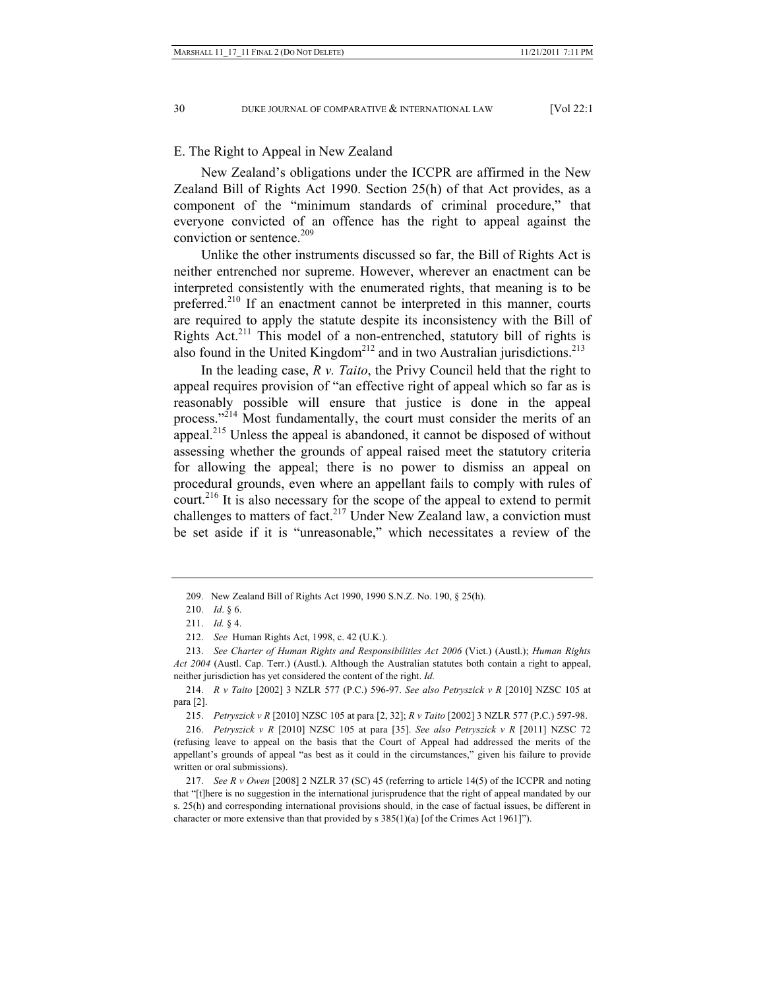#### E. The Right to Appeal in New Zealand

New Zealand's obligations under the ICCPR are affirmed in the New Zealand Bill of Rights Act 1990. Section 25(h) of that Act provides, as a component of the "minimum standards of criminal procedure," that everyone convicted of an offence has the right to appeal against the conviction or sentence. $209$ 

Unlike the other instruments discussed so far, the Bill of Rights Act is neither entrenched nor supreme. However, wherever an enactment can be interpreted consistently with the enumerated rights, that meaning is to be preferred.<sup>210</sup> If an enactment cannot be interpreted in this manner, courts are required to apply the statute despite its inconsistency with the Bill of Rights Act.<sup>211</sup> This model of a non-entrenched, statutory bill of rights is also found in the United Kingdom<sup>212</sup> and in two Australian jurisdictions.<sup>213</sup>

In the leading case, *R v. Taito*, the Privy Council held that the right to appeal requires provision of "an effective right of appeal which so far as is reasonably possible will ensure that justice is done in the appeal process."<sup>214</sup> Most fundamentally, the court must consider the merits of an appeal.<sup>215</sup> Unless the appeal is abandoned, it cannot be disposed of without assessing whether the grounds of appeal raised meet the statutory criteria for allowing the appeal; there is no power to dismiss an appeal on procedural grounds, even where an appellant fails to comply with rules of court.<sup>216</sup> It is also necessary for the scope of the appeal to extend to permit challenges to matters of fact.<sup>217</sup> Under New Zealand law, a conviction must be set aside if it is "unreasonable," which necessitates a review of the

 <sup>209.</sup> New Zealand Bill of Rights Act 1990, 1990 S.N.Z. No. 190, § 25(h).

 <sup>210.</sup> *Id*. § 6.

 <sup>211.</sup> *Id.* § 4.

 <sup>212.</sup> *See* Human Rights Act, 1998, c. 42 (U.K.).

 <sup>213.</sup> *See Charter of Human Rights and Responsibilities Act 2006* (Vict.) (Austl.); *Human Rights Act 2004* (Austl. Cap. Terr.) (Austl.). Although the Australian statutes both contain a right to appeal, neither jurisdiction has yet considered the content of the right. *Id.*

 <sup>214.</sup> *R v Taito* [2002] 3 NZLR 577 (P.C.) 596-97. *See also Petryszick v R* [2010] NZSC 105 at para [2].

 <sup>215.</sup> *Petryszick v R* [2010] NZSC 105 at para [2, 32]; *R v Taito* [2002] 3 NZLR 577 (P.C.) 597-98.

 <sup>216.</sup> *Petryszick v R* [2010] NZSC 105 at para [35]. *See also Petryszick v R* [2011] NZSC 72 (refusing leave to appeal on the basis that the Court of Appeal had addressed the merits of the appellant's grounds of appeal "as best as it could in the circumstances," given his failure to provide written or oral submissions).

 <sup>217.</sup> *See R v Owen* [2008] 2 NZLR 37 (SC) 45 (referring to article 14(5) of the ICCPR and noting that "[t]here is no suggestion in the international jurisprudence that the right of appeal mandated by our s. 25(h) and corresponding international provisions should, in the case of factual issues, be different in character or more extensive than that provided by  $s$  385(1)(a) [of the Crimes Act 1961]").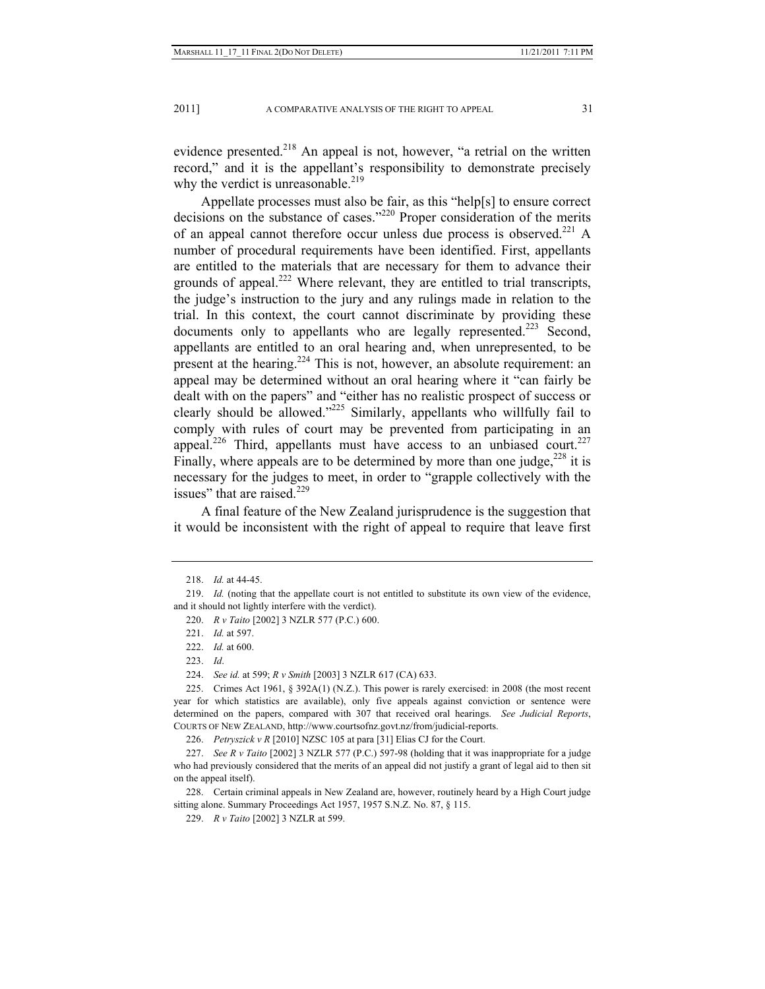evidence presented.<sup>218</sup> An appeal is not, however, "a retrial on the written record," and it is the appellant's responsibility to demonstrate precisely why the verdict is unreasonable. $219$ 

Appellate processes must also be fair, as this "help[s] to ensure correct decisions on the substance of cases."220 Proper consideration of the merits of an appeal cannot therefore occur unless due process is observed.<sup>221</sup> A number of procedural requirements have been identified. First, appellants are entitled to the materials that are necessary for them to advance their grounds of appeal.<sup>222</sup> Where relevant, they are entitled to trial transcripts, the judge's instruction to the jury and any rulings made in relation to the trial. In this context, the court cannot discriminate by providing these documents only to appellants who are legally represented.<sup>223</sup> Second, appellants are entitled to an oral hearing and, when unrepresented, to be present at the hearing.224 This is not, however, an absolute requirement: an appeal may be determined without an oral hearing where it "can fairly be dealt with on the papers" and "either has no realistic prospect of success or clearly should be allowed."225 Similarly, appellants who willfully fail to comply with rules of court may be prevented from participating in an appeal.<sup>226</sup> Third, appellants must have access to an unbiased court.<sup>227</sup> Finally, where appeals are to be determined by more than one judge,<sup>228</sup> it is necessary for the judges to meet, in order to "grapple collectively with the issues" that are raised  $^{229}$ 

A final feature of the New Zealand jurisprudence is the suggestion that it would be inconsistent with the right of appeal to require that leave first

223. *Id*.

224. *See id.* at 599; *R v Smith* [2003] 3 NZLR 617 (CA) 633.

 225. Crimes Act 1961, § 392A(1) (N.Z.). This power is rarely exercised: in 2008 (the most recent year for which statistics are available), only five appeals against conviction or sentence were determined on the papers, compared with 307 that received oral hearings. *See Judicial Reports*, COURTS OF NEW ZEALAND, http://www.courtsofnz.govt.nz/from/judicial-reports.

226. *Petryszick v R* [2010] NZSC 105 at para [31] Elias CJ for the Court.

 227. *See R v Taito* [2002] 3 NZLR 577 (P.C.) 597-98 (holding that it was inappropriate for a judge who had previously considered that the merits of an appeal did not justify a grant of legal aid to then sit on the appeal itself).

 228. Certain criminal appeals in New Zealand are, however, routinely heard by a High Court judge sitting alone. Summary Proceedings Act 1957, 1957 S.N.Z. No. 87, § 115.

229. *R v Taito* [2002] 3 NZLR at 599.

 <sup>218.</sup> *Id.* at 44-45.

 <sup>219.</sup> *Id.* (noting that the appellate court is not entitled to substitute its own view of the evidence, and it should not lightly interfere with the verdict).

 <sup>220.</sup> *R v Taito* [2002] 3 NZLR 577 (P.C.) 600.

 <sup>221.</sup> *Id.* at 597.

 <sup>222.</sup> *Id.* at 600.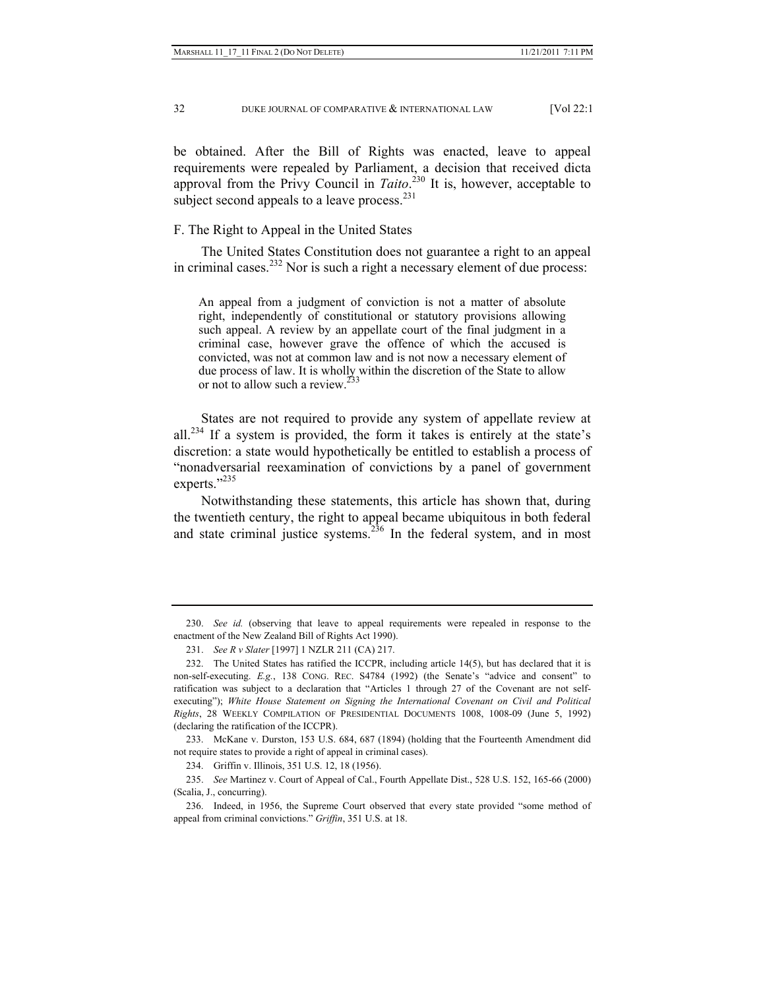be obtained. After the Bill of Rights was enacted, leave to appeal requirements were repealed by Parliament, a decision that received dicta approval from the Privy Council in *Taito*. 230 It is, however, acceptable to subject second appeals to a leave process.<sup>231</sup>

#### F. The Right to Appeal in the United States

The United States Constitution does not guarantee a right to an appeal in criminal cases.<sup>232</sup> Nor is such a right a necessary element of due process:

An appeal from a judgment of conviction is not a matter of absolute right, independently of constitutional or statutory provisions allowing such appeal. A review by an appellate court of the final judgment in a criminal case, however grave the offence of which the accused is convicted, was not at common law and is not now a necessary element of due process of law. It is wholly within the discretion of the State to allow or not to allow such a review.<sup>233</sup>

States are not required to provide any system of appellate review at all.<sup>234</sup> If a system is provided, the form it takes is entirely at the state's discretion: a state would hypothetically be entitled to establish a process of "nonadversarial reexamination of convictions by a panel of government experts."<sup>235</sup>

Notwithstanding these statements, this article has shown that, during the twentieth century, the right to appeal became ubiquitous in both federal and state criminal justice systems.<sup>236</sup> In the federal system, and in most

 <sup>230.</sup> *See id.* (observing that leave to appeal requirements were repealed in response to the enactment of the New Zealand Bill of Rights Act 1990).

 <sup>231.</sup> *See R v Slater* [1997] 1 NZLR 211 (CA) 217.

 <sup>232.</sup> The United States has ratified the ICCPR, including article 14(5), but has declared that it is non-self-executing. *E.g.*, 138 CONG. REC. S4784 (1992) (the Senate's "advice and consent" to ratification was subject to a declaration that "Articles 1 through 27 of the Covenant are not selfexecuting"); *White House Statement on Signing the International Covenant on Civil and Political Rights*, 28 WEEKLY COMPILATION OF PRESIDENTIAL DOCUMENTS 1008, 1008-09 (June 5, 1992) (declaring the ratification of the ICCPR).

 <sup>233.</sup> McKane v. Durston, 153 U.S. 684, 687 (1894) (holding that the Fourteenth Amendment did not require states to provide a right of appeal in criminal cases).

 <sup>234.</sup> Griffin v. Illinois, 351 U.S. 12, 18 (1956).

 <sup>235.</sup> *See* Martinez v. Court of Appeal of Cal., Fourth Appellate Dist., 528 U.S. 152, 165-66 (2000) (Scalia, J., concurring).

 <sup>236.</sup> Indeed, in 1956, the Supreme Court observed that every state provided "some method of appeal from criminal convictions." *Griffin*, 351 U.S. at 18.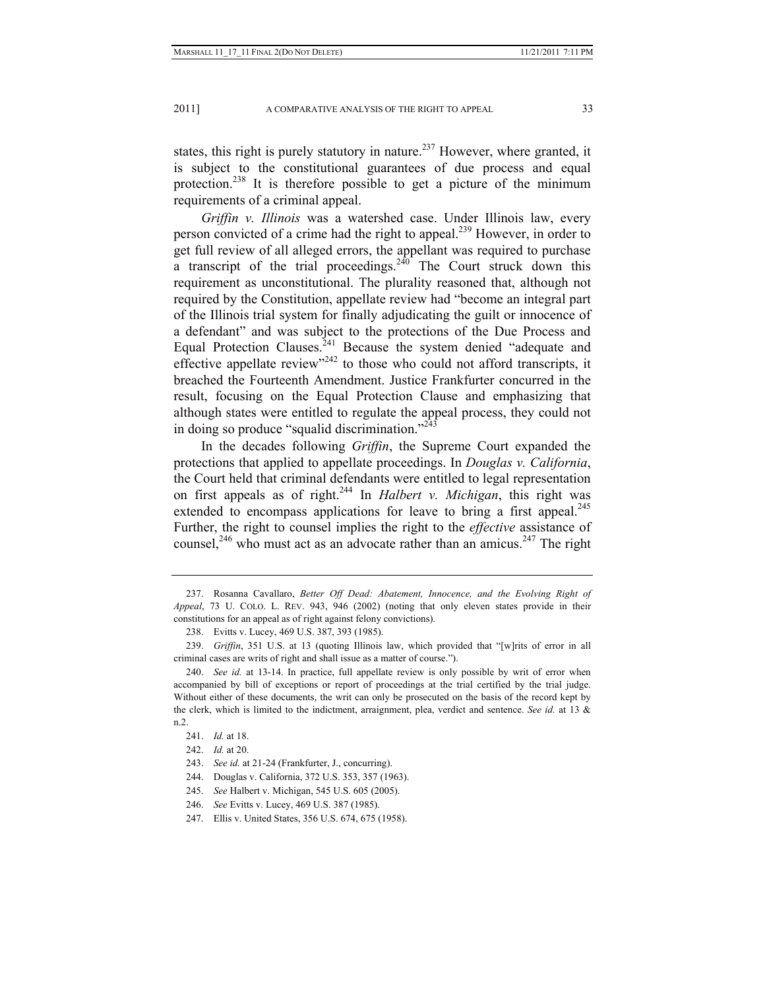states, this right is purely statutory in nature.<sup>237</sup> However, where granted, it is subject to the constitutional guarantees of due process and equal protection.<sup>238</sup> It is therefore possible to get a picture of the minimum requirements of a criminal appeal.

*Griffin v. Illinois* was a watershed case. Under Illinois law, every person convicted of a crime had the right to appeal.239 However, in order to get full review of all alleged errors, the appellant was required to purchase a transcript of the trial proceedings. $2\overline{40}$  The Court struck down this requirement as unconstitutional. The plurality reasoned that, although not required by the Constitution, appellate review had "become an integral part of the Illinois trial system for finally adjudicating the guilt or innocence of a defendant" and was subject to the protections of the Due Process and Equal Protection Clauses.<sup>241</sup> Because the system denied "adequate and effective appellate review"<sup>242</sup> to those who could not afford transcripts, it breached the Fourteenth Amendment. Justice Frankfurter concurred in the result, focusing on the Equal Protection Clause and emphasizing that although states were entitled to regulate the appeal process, they could not in doing so produce "squalid discrimination." $^{2\overline{43}}$ 

In the decades following *Griffin*, the Supreme Court expanded the protections that applied to appellate proceedings. In *Douglas v. California*, the Court held that criminal defendants were entitled to legal representation on first appeals as of right.244 In *Halbert v. Michigan*, this right was extended to encompass applications for leave to bring a first appeal.<sup>245</sup> Further, the right to counsel implies the right to the *effective* assistance of counsel,<sup>246</sup> who must act as an advocate rather than an amicus.<sup>247</sup> The right

 <sup>237.</sup> Rosanna Cavallaro, *Better Off Dead: Abatement, Innocence, and the Evolving Right of Appeal*, 73 U. COLO. L. REV. 943, 946 (2002) (noting that only eleven states provide in their constitutions for an appeal as of right against felony convictions).

 <sup>238.</sup> Evitts v. Lucey, 469 U.S. 387, 393 (1985).

 <sup>239.</sup> *Griffin*, 351 U.S. at 13 (quoting Illinois law, which provided that "[w]rits of error in all criminal cases are writs of right and shall issue as a matter of course.").

 <sup>240.</sup> *See id.* at 13-14. In practice, full appellate review is only possible by writ of error when accompanied by bill of exceptions or report of proceedings at the trial certified by the trial judge. Without either of these documents, the writ can only be prosecuted on the basis of the record kept by the clerk, which is limited to the indictment, arraignment, plea, verdict and sentence. *See id.* at 13 & n.2.

 <sup>241.</sup> *Id.* at 18.

 <sup>242.</sup> *Id.* at 20.

 <sup>243.</sup> *See id.* at 21-24 (Frankfurter, J., concurring).

 <sup>244.</sup> Douglas v. California, 372 U.S. 353, 357 (1963).

 <sup>245.</sup> *See* Halbert v. Michigan, 545 U.S. 605 (2005).

 <sup>246.</sup> *See* Evitts v. Lucey, 469 U.S. 387 (1985).

 <sup>247.</sup> Ellis v. United States, 356 U.S. 674, 675 (1958).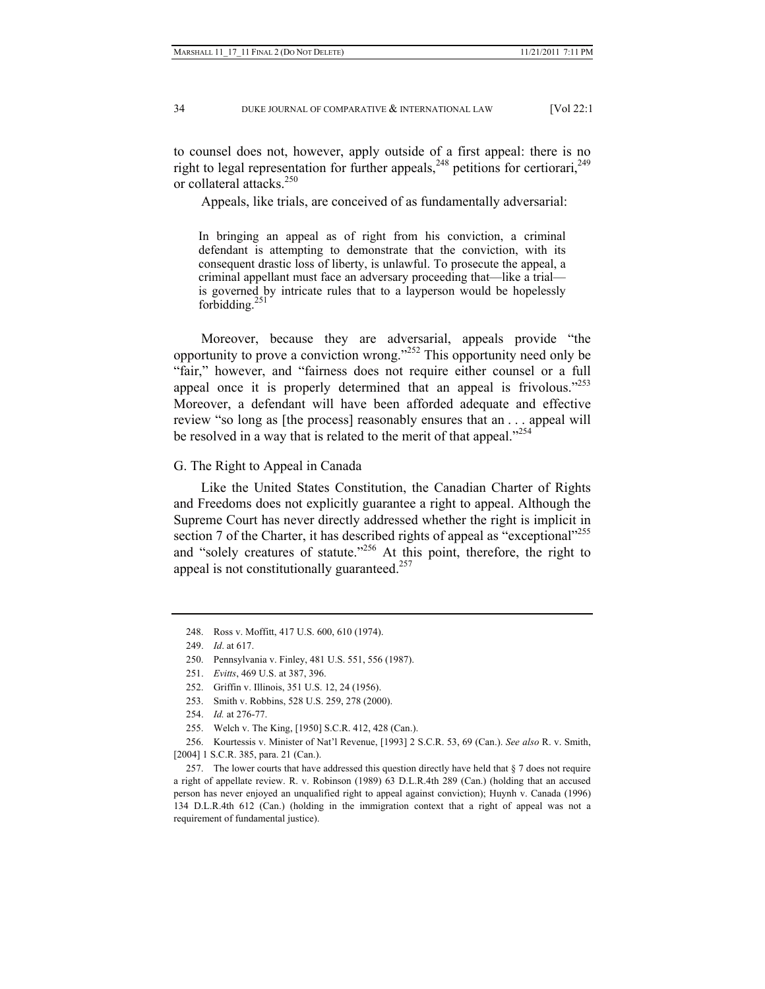to counsel does not, however, apply outside of a first appeal: there is no right to legal representation for further appeals,  $^{248}$  petitions for certiorari,  $^{249}$ or collateral attacks.<sup>250</sup>

Appeals, like trials, are conceived of as fundamentally adversarial:

In bringing an appeal as of right from his conviction, a criminal defendant is attempting to demonstrate that the conviction, with its consequent drastic loss of liberty, is unlawful. To prosecute the appeal, a criminal appellant must face an adversary proceeding that—like a trial is governed by intricate rules that to a layperson would be hopelessly forbidding. $^{251}$ 

Moreover, because they are adversarial, appeals provide "the opportunity to prove a conviction wrong."252 This opportunity need only be "fair," however, and "fairness does not require either counsel or a full appeal once it is properly determined that an appeal is frivolous. $1253$ Moreover, a defendant will have been afforded adequate and effective review "so long as [the process] reasonably ensures that an . . . appeal will be resolved in a way that is related to the merit of that appeal."<sup>254</sup>

#### G. The Right to Appeal in Canada

Like the United States Constitution, the Canadian Charter of Rights and Freedoms does not explicitly guarantee a right to appeal. Although the Supreme Court has never directly addressed whether the right is implicit in section 7 of the Charter, it has described rights of appeal as "exceptional"<sup>255</sup> and "solely creatures of statute."<sup>256</sup> At this point, therefore, the right to appeal is not constitutionally guaranteed.<sup>257</sup>

 <sup>248.</sup> Ross v. Moffitt, 417 U.S. 600, 610 (1974).

 <sup>249.</sup> *Id*. at 617.

 <sup>250.</sup> Pennsylvania v. Finley, 481 U.S. 551, 556 (1987).

 <sup>251.</sup> *Evitts*, 469 U.S. at 387, 396.

 <sup>252.</sup> Griffin v. Illinois, 351 U.S. 12, 24 (1956).

 <sup>253.</sup> Smith v. Robbins, 528 U.S. 259, 278 (2000).

 <sup>254.</sup> *Id.* at 276-77.

 <sup>255.</sup> Welch v. The King, [1950] S.C.R. 412, 428 (Can.).

 <sup>256.</sup> Kourtessis v. Minister of Nat'l Revenue, [1993] 2 S.C.R. 53, 69 (Can.). *See also* R. v. Smith, [2004] 1 S.C.R. 385, para. 21 (Can.).

 <sup>257.</sup> The lower courts that have addressed this question directly have held that § 7 does not require a right of appellate review. R. v. Robinson (1989) 63 D.L.R.4th 289 (Can.) (holding that an accused person has never enjoyed an unqualified right to appeal against conviction); Huynh v. Canada (1996) 134 D.L.R.4th 612 (Can.) (holding in the immigration context that a right of appeal was not a requirement of fundamental justice).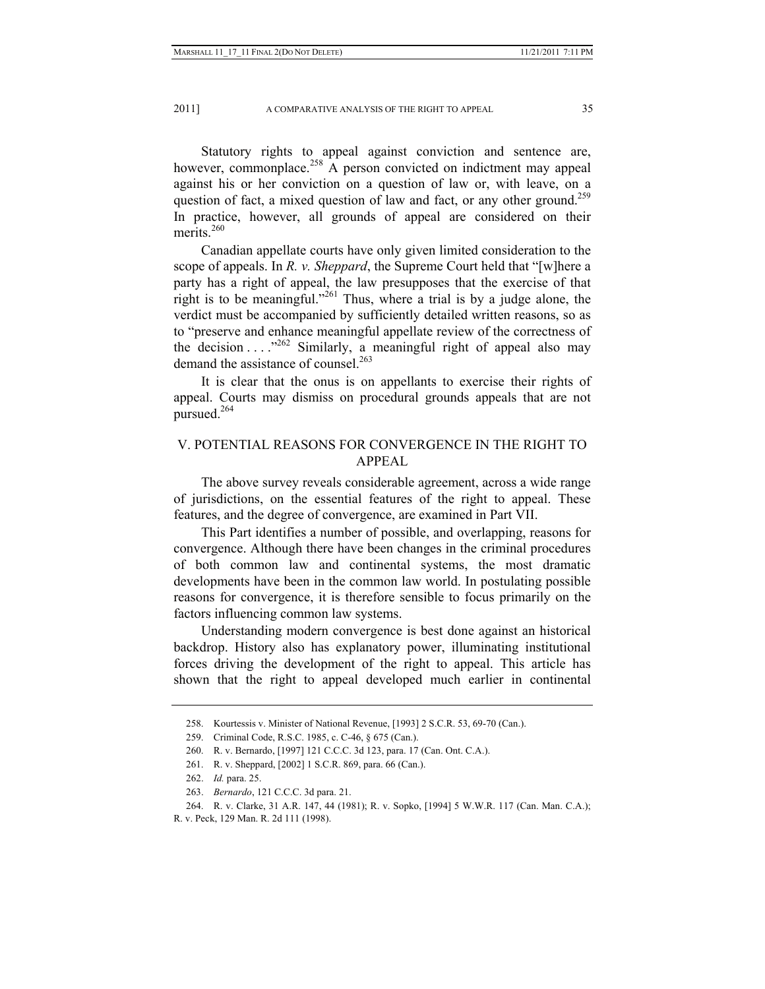Statutory rights to appeal against conviction and sentence are, however, commonplace.<sup>258</sup> A person convicted on indictment may appeal against his or her conviction on a question of law or, with leave, on a question of fact, a mixed question of law and fact, or any other ground.<sup>259</sup> In practice, however, all grounds of appeal are considered on their merits $260$ 

Canadian appellate courts have only given limited consideration to the scope of appeals. In *R. v. Sheppard*, the Supreme Court held that "[w]here a party has a right of appeal, the law presupposes that the exercise of that right is to be meaningful."<sup>261</sup> Thus, where a trial is by a judge alone, the verdict must be accompanied by sufficiently detailed written reasons, so as to "preserve and enhance meaningful appellate review of the correctness of the decision  $\dots$ <sup>262</sup> Similarly, a meaningful right of appeal also may demand the assistance of counsel.<sup>263</sup>

It is clear that the onus is on appellants to exercise their rights of appeal. Courts may dismiss on procedural grounds appeals that are not pursued. $264$ 

# V. POTENTIAL REASONS FOR CONVERGENCE IN THE RIGHT TO APPEAL

The above survey reveals considerable agreement, across a wide range of jurisdictions, on the essential features of the right to appeal. These features, and the degree of convergence, are examined in Part VII.

This Part identifies a number of possible, and overlapping, reasons for convergence. Although there have been changes in the criminal procedures of both common law and continental systems, the most dramatic developments have been in the common law world. In postulating possible reasons for convergence, it is therefore sensible to focus primarily on the factors influencing common law systems.

Understanding modern convergence is best done against an historical backdrop. History also has explanatory power, illuminating institutional forces driving the development of the right to appeal. This article has shown that the right to appeal developed much earlier in continental

 <sup>258.</sup> Kourtessis v. Minister of National Revenue, [1993] 2 S.C.R. 53, 69-70 (Can.).

 <sup>259.</sup> Criminal Code, R.S.C. 1985, c. C-46, § 675 (Can.).

 <sup>260.</sup> R. v. Bernardo, [1997] 121 C.C.C. 3d 123, para. 17 (Can. Ont. C.A.).

 <sup>261.</sup> R. v. Sheppard, [2002] 1 S.C.R. 869, para. 66 (Can.).

 <sup>262.</sup> *Id.* para. 25.

 <sup>263.</sup> *Bernardo*, 121 C.C.C. 3d para. 21.

 <sup>264.</sup> R. v. Clarke, 31 A.R. 147, 44 (1981); R. v. Sopko, [1994] 5 W.W.R. 117 (Can. Man. C.A.);

R. v. Peck, 129 Man. R. 2d 111 (1998).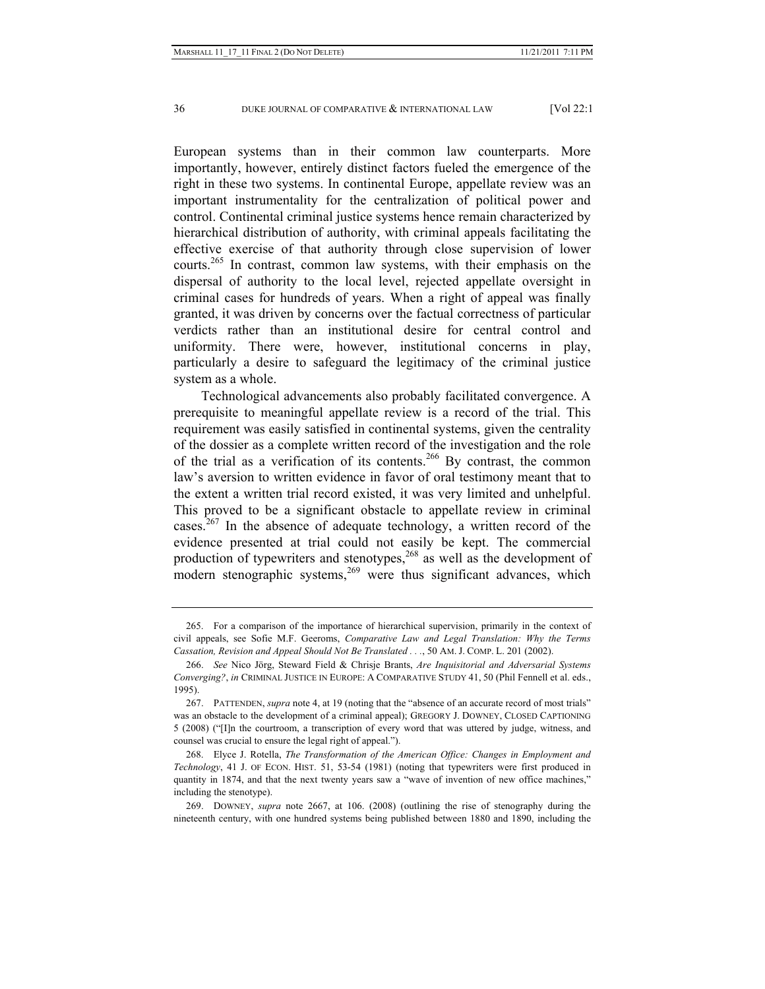European systems than in their common law counterparts. More importantly, however, entirely distinct factors fueled the emergence of the right in these two systems. In continental Europe, appellate review was an important instrumentality for the centralization of political power and control. Continental criminal justice systems hence remain characterized by hierarchical distribution of authority, with criminal appeals facilitating the effective exercise of that authority through close supervision of lower courts.<sup>265</sup> In contrast, common law systems, with their emphasis on the dispersal of authority to the local level, rejected appellate oversight in criminal cases for hundreds of years. When a right of appeal was finally granted, it was driven by concerns over the factual correctness of particular verdicts rather than an institutional desire for central control and uniformity. There were, however, institutional concerns in play, particularly a desire to safeguard the legitimacy of the criminal justice system as a whole.

Technological advancements also probably facilitated convergence. A prerequisite to meaningful appellate review is a record of the trial. This requirement was easily satisfied in continental systems, given the centrality of the dossier as a complete written record of the investigation and the role of the trial as a verification of its contents.266 By contrast, the common law's aversion to written evidence in favor of oral testimony meant that to the extent a written trial record existed, it was very limited and unhelpful. This proved to be a significant obstacle to appellate review in criminal cases.<sup>267</sup> In the absence of adequate technology, a written record of the evidence presented at trial could not easily be kept. The commercial production of typewriters and stenotypes,<sup>268</sup> as well as the development of modern stenographic systems, $269$  were thus significant advances, which

 <sup>265.</sup> For a comparison of the importance of hierarchical supervision, primarily in the context of civil appeals, see Sofie M.F. Geeroms, *Comparative Law and Legal Translation: Why the Terms Cassation, Revision and Appeal Should Not Be Translated . . .*, 50 AM. J. COMP. L. 201 (2002).

 <sup>266.</sup> *See* Nico Jörg, Steward Field & Chrisje Brants, *Are Inquisitorial and Adversarial Systems Converging?*, *in* CRIMINAL JUSTICE IN EUROPE: A COMPARATIVE STUDY 41, 50 (Phil Fennell et al. eds., 1995).

 <sup>267.</sup> PATTENDEN, *supra* note 4, at 19 (noting that the "absence of an accurate record of most trials" was an obstacle to the development of a criminal appeal); GREGORY J. DOWNEY, CLOSED CAPTIONING 5 (2008) ("[I]n the courtroom, a transcription of every word that was uttered by judge, witness, and counsel was crucial to ensure the legal right of appeal.").

 <sup>268.</sup> Elyce J. Rotella, *The Transformation of the American Office: Changes in Employment and Technology*, 41 J. OF ECON. HIST. 51, 53-54 (1981) (noting that typewriters were first produced in quantity in 1874, and that the next twenty years saw a "wave of invention of new office machines," including the stenotype).

 <sup>269.</sup> DOWNEY, *supra* note 2667, at 106. (2008) (outlining the rise of stenography during the nineteenth century, with one hundred systems being published between 1880 and 1890, including the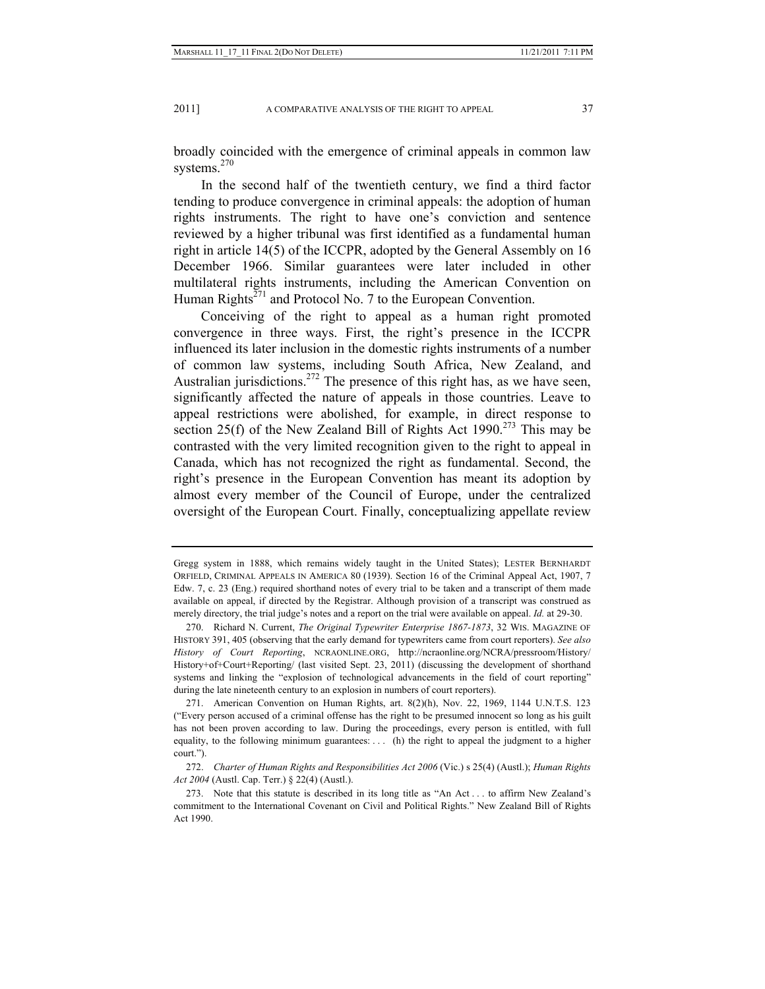broadly coincided with the emergence of criminal appeals in common law systems.<sup>270</sup>

In the second half of the twentieth century, we find a third factor tending to produce convergence in criminal appeals: the adoption of human rights instruments. The right to have one's conviction and sentence reviewed by a higher tribunal was first identified as a fundamental human right in article 14(5) of the ICCPR, adopted by the General Assembly on 16 December 1966. Similar guarantees were later included in other multilateral rights instruments, including the American Convention on Human Rights<sup> $271$ </sup> and Protocol No. 7 to the European Convention.

Conceiving of the right to appeal as a human right promoted convergence in three ways. First, the right's presence in the ICCPR influenced its later inclusion in the domestic rights instruments of a number of common law systems, including South Africa, New Zealand, and Australian jurisdictions.<sup>272</sup> The presence of this right has, as we have seen, significantly affected the nature of appeals in those countries. Leave to appeal restrictions were abolished, for example, in direct response to section 25(f) of the New Zealand Bill of Rights Act 1990.<sup>273</sup> This may be contrasted with the very limited recognition given to the right to appeal in Canada, which has not recognized the right as fundamental. Second, the right's presence in the European Convention has meant its adoption by almost every member of the Council of Europe, under the centralized oversight of the European Court. Finally, conceptualizing appellate review

Gregg system in 1888, which remains widely taught in the United States); LESTER BERNHARDT ORFIELD, CRIMINAL APPEALS IN AMERICA 80 (1939). Section 16 of the Criminal Appeal Act, 1907, 7 Edw. 7, c. 23 (Eng.) required shorthand notes of every trial to be taken and a transcript of them made available on appeal, if directed by the Registrar. Although provision of a transcript was construed as merely directory, the trial judge's notes and a report on the trial were available on appeal. *Id.* at 29-30.

 <sup>270.</sup> Richard N. Current, *The Original Typewriter Enterprise 1867-1873*, 32 WIS. MAGAZINE OF HISTORY 391, 405 (observing that the early demand for typewriters came from court reporters). *See also History of Court Reporting*, NCRAONLINE.ORG, http://ncraonline.org/NCRA/pressroom/History/ History+of+Court+Reporting/ (last visited Sept. 23, 2011) (discussing the development of shorthand systems and linking the "explosion of technological advancements in the field of court reporting" during the late nineteenth century to an explosion in numbers of court reporters).

 <sup>271.</sup> American Convention on Human Rights, art. 8(2)(h), Nov. 22, 1969, 1144 U.N.T.S. 123 ("Every person accused of a criminal offense has the right to be presumed innocent so long as his guilt has not been proven according to law. During the proceedings, every person is entitled, with full equality, to the following minimum guarantees: . . . (h) the right to appeal the judgment to a higher court.").

 <sup>272.</sup> *Charter of Human Rights and Responsibilities Act 2006* (Vic.) s 25(4) (Austl.); *Human Rights Act 2004* (Austl. Cap. Terr.) § 22(4) (Austl.).

 <sup>273.</sup> Note that this statute is described in its long title as "An Act . . . to affirm New Zealand's commitment to the International Covenant on Civil and Political Rights." New Zealand Bill of Rights Act 1990.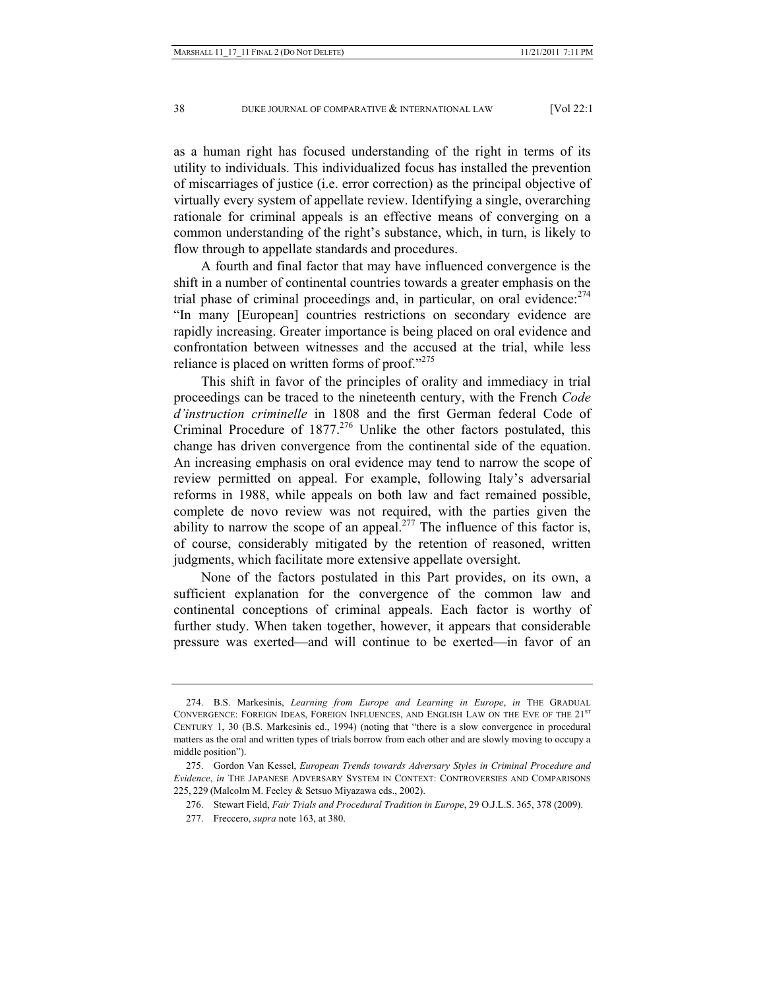as a human right has focused understanding of the right in terms of its utility to individuals. This individualized focus has installed the prevention of miscarriages of justice (i.e. error correction) as the principal objective of virtually every system of appellate review. Identifying a single, overarching rationale for criminal appeals is an effective means of converging on a common understanding of the right's substance, which, in turn, is likely to flow through to appellate standards and procedures.

A fourth and final factor that may have influenced convergence is the shift in a number of continental countries towards a greater emphasis on the trial phase of criminal proceedings and, in particular, on oral evidence:  $274$ "In many [European] countries restrictions on secondary evidence are rapidly increasing. Greater importance is being placed on oral evidence and confrontation between witnesses and the accused at the trial, while less reliance is placed on written forms of proof."<sup>275</sup>

This shift in favor of the principles of orality and immediacy in trial proceedings can be traced to the nineteenth century, with the French *Code d'instruction criminelle* in 1808 and the first German federal Code of Criminal Procedure of  $1877<sup>276</sup>$  Unlike the other factors postulated, this change has driven convergence from the continental side of the equation. An increasing emphasis on oral evidence may tend to narrow the scope of review permitted on appeal. For example, following Italy's adversarial reforms in 1988, while appeals on both law and fact remained possible, complete de novo review was not required, with the parties given the ability to narrow the scope of an appeal.<sup>277</sup> The influence of this factor is, of course, considerably mitigated by the retention of reasoned, written judgments, which facilitate more extensive appellate oversight.

None of the factors postulated in this Part provides, on its own, a sufficient explanation for the convergence of the common law and continental conceptions of criminal appeals. Each factor is worthy of further study. When taken together, however, it appears that considerable pressure was exerted—and will continue to be exerted—in favor of an

 <sup>274.</sup> B.S. Markesinis, *Learning from Europe and Learning in Europe*, *in* THE GRADUAL CONVERGENCE: FOREIGN IDEAS, FOREIGN INFLUENCES, AND ENGLISH LAW ON THE EVE OF THE 21<sup>ST</sup> CENTURY 1, 30 (B.S. Markesinis ed., 1994) (noting that "there is a slow convergence in procedural matters as the oral and written types of trials borrow from each other and are slowly moving to occupy a middle position").

 <sup>275.</sup> Gordon Van Kessel, *European Trends towards Adversary Styles in Criminal Procedure and Evidence*, *in* THE JAPANESE ADVERSARY SYSTEM IN CONTEXT: CONTROVERSIES AND COMPARISONS 225, 229 (Malcolm M. Feeley & Setsuo Miyazawa eds., 2002).

 <sup>276.</sup> Stewart Field, *Fair Trials and Procedural Tradition in Europe*, 29 O.J.L.S. 365, 378 (2009).

 <sup>277.</sup> Freccero, *supra* note 163, at 380.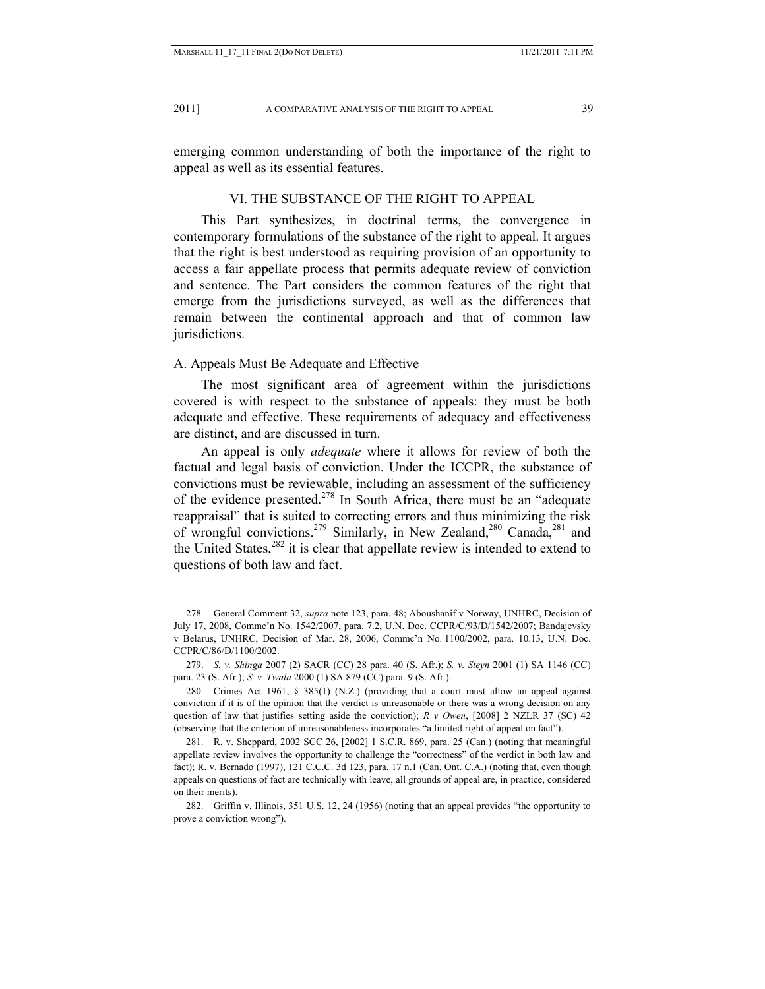emerging common understanding of both the importance of the right to appeal as well as its essential features.

## VI. THE SUBSTANCE OF THE RIGHT TO APPEAL

This Part synthesizes, in doctrinal terms, the convergence in contemporary formulations of the substance of the right to appeal. It argues that the right is best understood as requiring provision of an opportunity to access a fair appellate process that permits adequate review of conviction and sentence. The Part considers the common features of the right that emerge from the jurisdictions surveyed, as well as the differences that remain between the continental approach and that of common law jurisdictions.

#### A. Appeals Must Be Adequate and Effective

The most significant area of agreement within the jurisdictions covered is with respect to the substance of appeals: they must be both adequate and effective. These requirements of adequacy and effectiveness are distinct, and are discussed in turn.

An appeal is only *adequate* where it allows for review of both the factual and legal basis of conviction. Under the ICCPR, the substance of convictions must be reviewable, including an assessment of the sufficiency of the evidence presented.278 In South Africa, there must be an "adequate reappraisal" that is suited to correcting errors and thus minimizing the risk of wrongful convictions.<sup>279</sup> Similarly, in New Zealand,<sup>280</sup> Canada,<sup>281</sup> and the United States, $282$  it is clear that appellate review is intended to extend to questions of both law and fact.

 <sup>278.</sup> General Comment 32, *supra* note 123, para. 48; Aboushanif v Norway, UNHRC, Decision of July 17, 2008, Commc'n No. 1542/2007, para. 7.2, U.N. Doc. CCPR/C/93/D/1542/2007; Bandajevsky v Belarus, UNHRC, Decision of Mar. 28, 2006, Commc'n No. 1100/2002, para. 10.13, U.N. Doc. CCPR/C/86/D/1100/2002.

 <sup>279.</sup> *S. v. Shinga* 2007 (2) SACR (CC) 28 para. 40 (S. Afr.); *S. v. Steyn* 2001 (1) SA 1146 (CC) para. 23 (S. Afr.); *S. v. Twala* 2000 (1) SA 879 (CC) para. 9 (S. Afr.).

 <sup>280.</sup> Crimes Act 1961, § 385(1) (N.Z.) (providing that a court must allow an appeal against conviction if it is of the opinion that the verdict is unreasonable or there was a wrong decision on any question of law that justifies setting aside the conviction); *R v Owen*, [2008] 2 NZLR 37 (SC) 42 (observing that the criterion of unreasonableness incorporates "a limited right of appeal on fact").

 <sup>281.</sup> R. v. Sheppard, 2002 SCC 26, [2002] 1 S.C.R. 869, para. 25 (Can.) (noting that meaningful appellate review involves the opportunity to challenge the "correctness" of the verdict in both law and fact); R. v. Bernado (1997), 121 C.C.C. 3d 123, para. 17 n.1 (Can. Ont. C.A.) (noting that, even though appeals on questions of fact are technically with leave, all grounds of appeal are, in practice, considered on their merits).

 <sup>282.</sup> Griffin v. Illinois, 351 U.S. 12, 24 (1956) (noting that an appeal provides "the opportunity to prove a conviction wrong").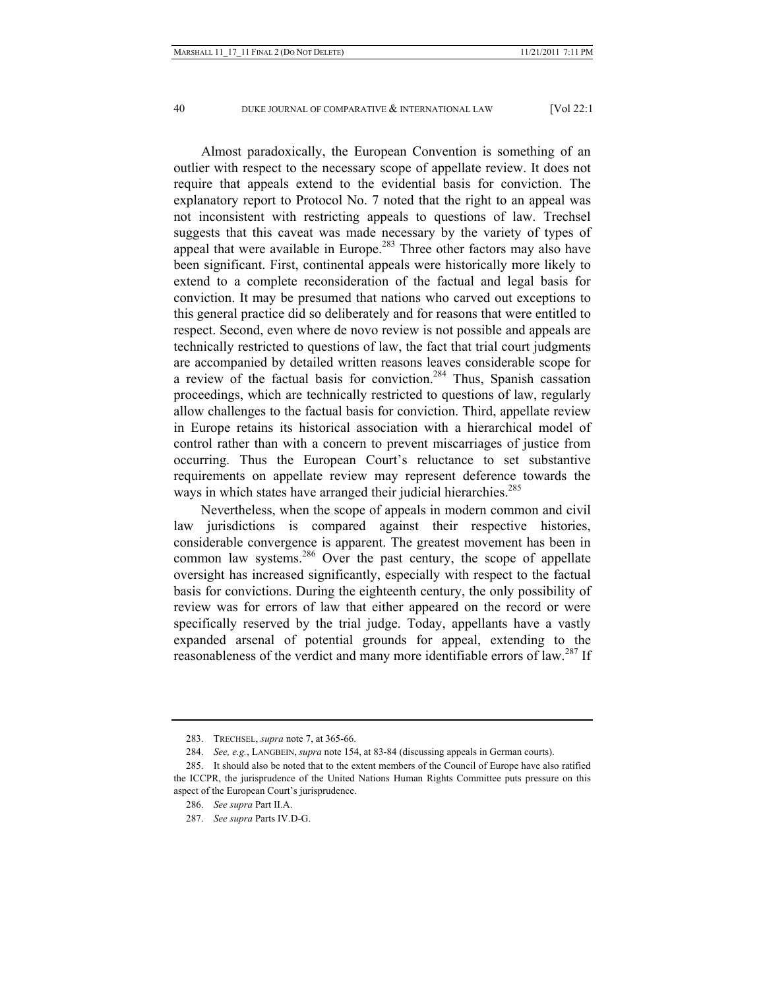Almost paradoxically, the European Convention is something of an outlier with respect to the necessary scope of appellate review. It does not require that appeals extend to the evidential basis for conviction. The explanatory report to Protocol No. 7 noted that the right to an appeal was not inconsistent with restricting appeals to questions of law. Trechsel suggests that this caveat was made necessary by the variety of types of appeal that were available in Europe.<sup>283</sup> Three other factors may also have been significant. First, continental appeals were historically more likely to extend to a complete reconsideration of the factual and legal basis for conviction. It may be presumed that nations who carved out exceptions to this general practice did so deliberately and for reasons that were entitled to respect. Second, even where de novo review is not possible and appeals are technically restricted to questions of law, the fact that trial court judgments are accompanied by detailed written reasons leaves considerable scope for a review of the factual basis for conviction.284 Thus, Spanish cassation proceedings, which are technically restricted to questions of law, regularly allow challenges to the factual basis for conviction. Third, appellate review in Europe retains its historical association with a hierarchical model of control rather than with a concern to prevent miscarriages of justice from occurring. Thus the European Court's reluctance to set substantive requirements on appellate review may represent deference towards the ways in which states have arranged their judicial hierarchies.<sup>285</sup>

Nevertheless, when the scope of appeals in modern common and civil law jurisdictions is compared against their respective histories, considerable convergence is apparent. The greatest movement has been in common law systems.<sup>286</sup> Over the past century, the scope of appellate oversight has increased significantly, especially with respect to the factual basis for convictions. During the eighteenth century, the only possibility of review was for errors of law that either appeared on the record or were specifically reserved by the trial judge. Today, appellants have a vastly expanded arsenal of potential grounds for appeal, extending to the reasonableness of the verdict and many more identifiable errors of law.<sup>287</sup> If

 <sup>283.</sup> TRECHSEL, *supra* note 7, at 365-66.

 <sup>284.</sup> *See, e.g.*, LANGBEIN, *supra* note 154, at 83-84 (discussing appeals in German courts).

 <sup>285.</sup> It should also be noted that to the extent members of the Council of Europe have also ratified the ICCPR, the jurisprudence of the United Nations Human Rights Committee puts pressure on this aspect of the European Court's jurisprudence.

 <sup>286.</sup> *See supra* Part II.A.

 <sup>287.</sup> *See supra* Parts IV.D-G.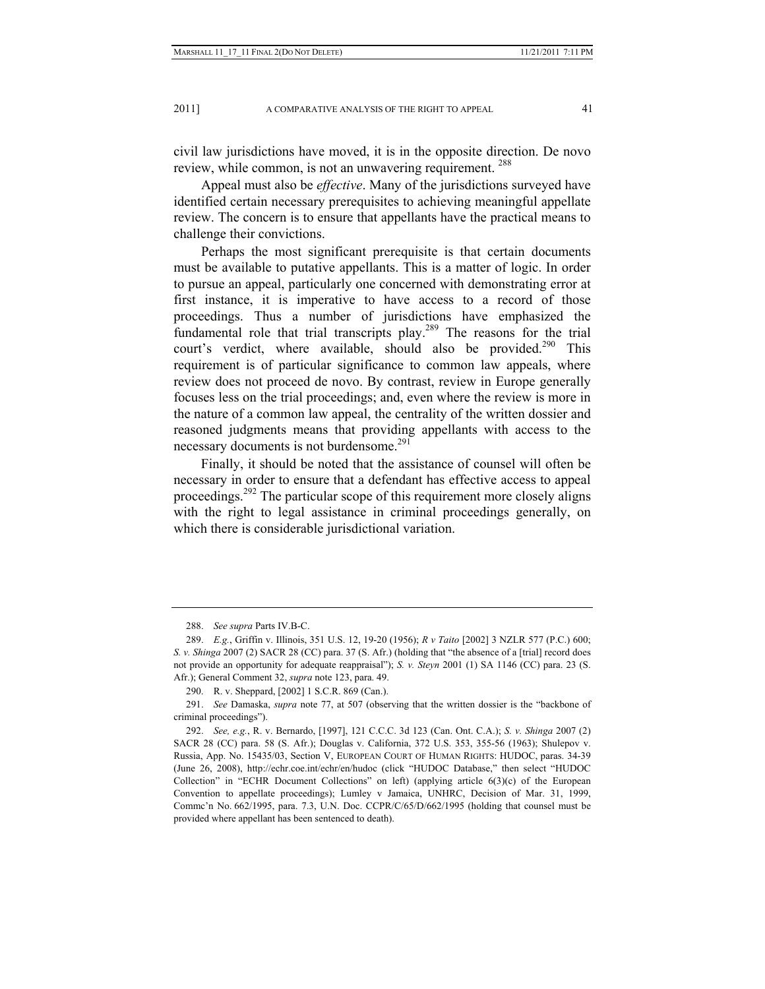civil law jurisdictions have moved, it is in the opposite direction. De novo review, while common, is not an unwavering requirement. <sup>288</sup>

Appeal must also be *effective*. Many of the jurisdictions surveyed have identified certain necessary prerequisites to achieving meaningful appellate review. The concern is to ensure that appellants have the practical means to challenge their convictions.

Perhaps the most significant prerequisite is that certain documents must be available to putative appellants. This is a matter of logic. In order to pursue an appeal, particularly one concerned with demonstrating error at first instance, it is imperative to have access to a record of those proceedings. Thus a number of jurisdictions have emphasized the fundamental role that trial transcripts play.289 The reasons for the trial court's verdict, where available, should also be provided.<sup>290</sup> This requirement is of particular significance to common law appeals, where review does not proceed de novo. By contrast, review in Europe generally focuses less on the trial proceedings; and, even where the review is more in the nature of a common law appeal, the centrality of the written dossier and reasoned judgments means that providing appellants with access to the necessary documents is not burdensome.<sup>291</sup>

Finally, it should be noted that the assistance of counsel will often be necessary in order to ensure that a defendant has effective access to appeal proceedings.<sup>292</sup> The particular scope of this requirement more closely aligns with the right to legal assistance in criminal proceedings generally, on which there is considerable jurisdictional variation.

 <sup>288.</sup> *See supra* Parts IV.B-C.

 <sup>289.</sup> *E.g.*, Griffin v. Illinois, 351 U.S. 12, 19-20 (1956); *R v Taito* [2002] 3 NZLR 577 (P.C.) 600; *S. v. Shinga* 2007 (2) SACR 28 (CC) para. 37 (S. Afr.) (holding that "the absence of a [trial] record does not provide an opportunity for adequate reappraisal"); *S. v. Steyn* 2001 (1) SA 1146 (CC) para. 23 (S. Afr.); General Comment 32, *supra* note 123, para. 49.

 <sup>290.</sup> R. v. Sheppard, [2002] 1 S.C.R. 869 (Can.).

 <sup>291.</sup> *See* Damaska, *supra* note 77, at 507 (observing that the written dossier is the "backbone of criminal proceedings").

 <sup>292.</sup> *See, e.g.*, R. v. Bernardo, [1997], 121 C.C.C. 3d 123 (Can. Ont. C.A.); *S. v. Shinga* 2007 (2) SACR 28 (CC) para. 58 (S. Afr.); Douglas v. California, 372 U.S. 353, 355-56 (1963); Shulepov v. Russia, App. No. 15435/03, Section V, EUROPEAN COURT OF HUMAN RIGHTS: HUDOC, paras. 34-39 (June 26, 2008), http://echr.coe.int/echr/en/hudoc (click "HUDOC Database," then select "HUDOC Collection" in "ECHR Document Collections" on left) (applying article  $6(3)(c)$  of the European Convention to appellate proceedings); Lumley v Jamaica, UNHRC, Decision of Mar. 31, 1999, Commc'n No. 662/1995, para. 7.3, U.N. Doc. CCPR/C/65/D/662/1995 (holding that counsel must be provided where appellant has been sentenced to death).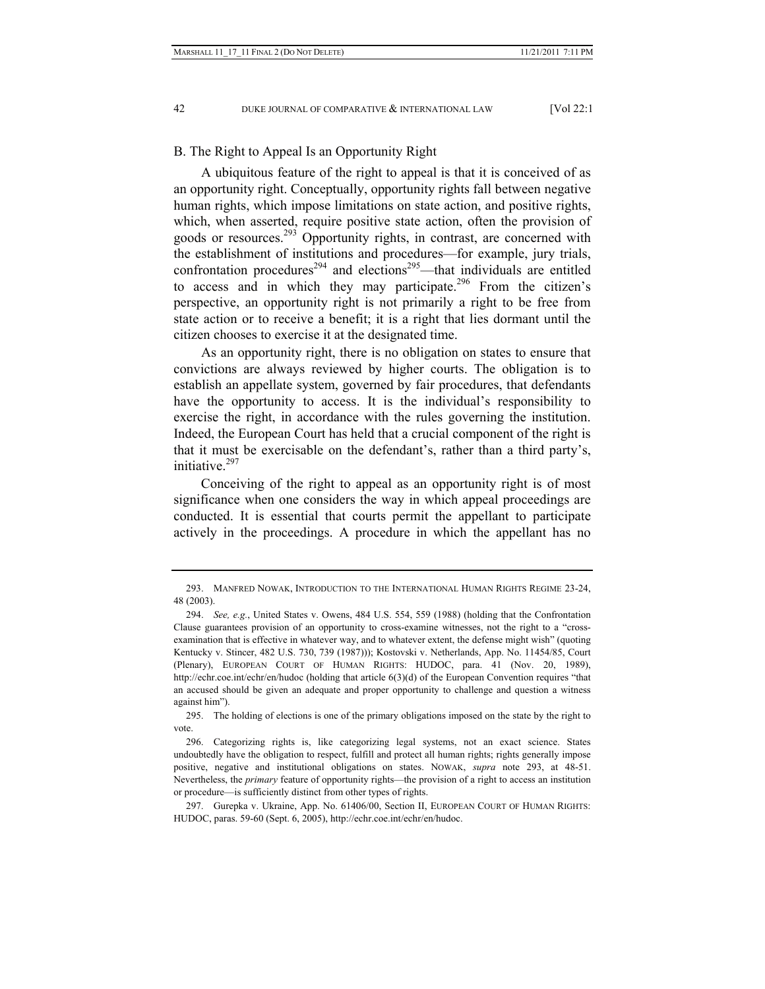### B. The Right to Appeal Is an Opportunity Right

A ubiquitous feature of the right to appeal is that it is conceived of as an opportunity right. Conceptually, opportunity rights fall between negative human rights, which impose limitations on state action, and positive rights, which, when asserted, require positive state action, often the provision of goods or resources.293 Opportunity rights, in contrast, are concerned with the establishment of institutions and procedures—for example, jury trials, confrontation procedures<sup>294</sup> and elections<sup>295</sup>—that individuals are entitled to access and in which they may participate.<sup>296</sup> From the citizen's perspective, an opportunity right is not primarily a right to be free from state action or to receive a benefit; it is a right that lies dormant until the citizen chooses to exercise it at the designated time.

As an opportunity right, there is no obligation on states to ensure that convictions are always reviewed by higher courts. The obligation is to establish an appellate system, governed by fair procedures, that defendants have the opportunity to access. It is the individual's responsibility to exercise the right, in accordance with the rules governing the institution. Indeed, the European Court has held that a crucial component of the right is that it must be exercisable on the defendant's, rather than a third party's, initiative.297

Conceiving of the right to appeal as an opportunity right is of most significance when one considers the way in which appeal proceedings are conducted. It is essential that courts permit the appellant to participate actively in the proceedings. A procedure in which the appellant has no

 <sup>293.</sup> MANFRED NOWAK, INTRODUCTION TO THE INTERNATIONAL HUMAN RIGHTS REGIME 23-24, 48 (2003).

 <sup>294.</sup> *See, e.g.*, United States v. Owens, 484 U.S. 554, 559 (1988) (holding that the Confrontation Clause guarantees provision of an opportunity to cross-examine witnesses, not the right to a "crossexamination that is effective in whatever way, and to whatever extent, the defense might wish" (quoting Kentucky v. Stincer, 482 U.S. 730, 739 (1987))); Kostovski v. Netherlands, App. No. 11454/85, Court (Plenary), EUROPEAN COURT OF HUMAN RIGHTS: HUDOC, para. 41 (Nov. 20, 1989), http://echr.coe.int/echr/en/hudoc (holding that article 6(3)(d) of the European Convention requires "that an accused should be given an adequate and proper opportunity to challenge and question a witness against him").

 <sup>295.</sup> The holding of elections is one of the primary obligations imposed on the state by the right to vote.

 <sup>296.</sup> Categorizing rights is, like categorizing legal systems, not an exact science. States undoubtedly have the obligation to respect, fulfill and protect all human rights; rights generally impose positive, negative and institutional obligations on states. NOWAK, *supra* note 293, at 48-51. Nevertheless, the *primary* feature of opportunity rights—the provision of a right to access an institution or procedure—is sufficiently distinct from other types of rights.

 <sup>297.</sup> Gurepka v. Ukraine, App. No. 61406/00, Section II, EUROPEAN COURT OF HUMAN RIGHTS: HUDOC, paras. 59-60 (Sept. 6, 2005), http://echr.coe.int/echr/en/hudoc.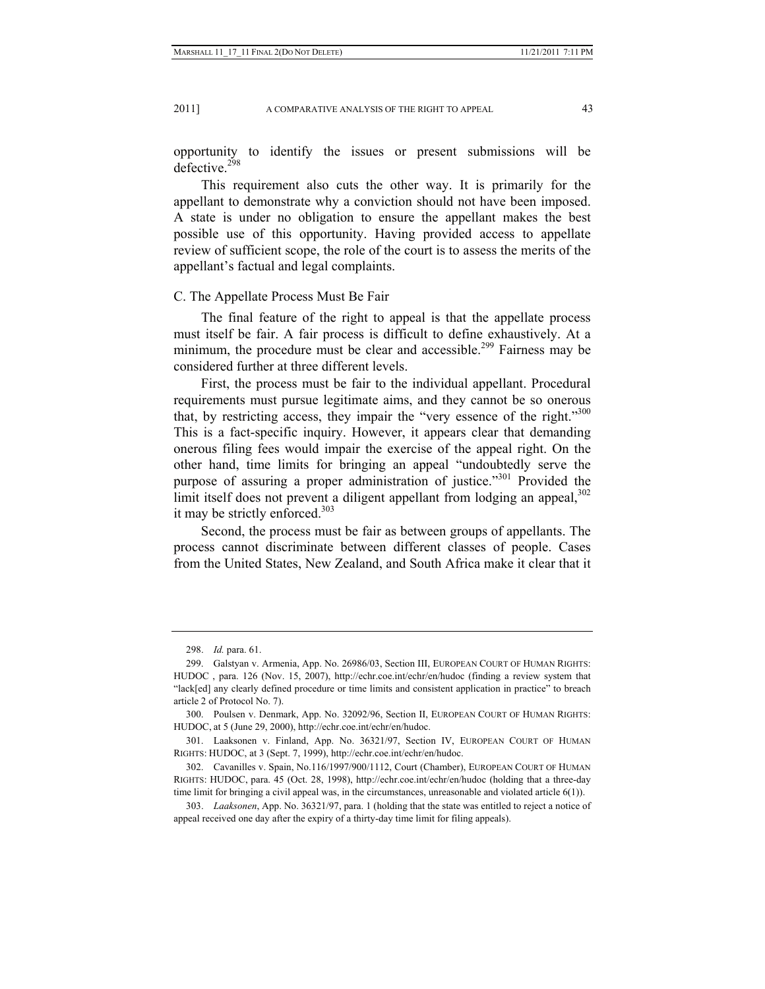2011] A COMPARATIVE ANALYSIS OF THE RIGHT TO APPEAL 43

opportunity to identify the issues or present submissions will be defective.<sup>298</sup>

This requirement also cuts the other way. It is primarily for the appellant to demonstrate why a conviction should not have been imposed. A state is under no obligation to ensure the appellant makes the best possible use of this opportunity. Having provided access to appellate review of sufficient scope, the role of the court is to assess the merits of the appellant's factual and legal complaints.

#### C. The Appellate Process Must Be Fair

The final feature of the right to appeal is that the appellate process must itself be fair. A fair process is difficult to define exhaustively. At a minimum, the procedure must be clear and accessible.<sup>299</sup> Fairness may be considered further at three different levels.

First, the process must be fair to the individual appellant. Procedural requirements must pursue legitimate aims, and they cannot be so onerous that, by restricting access, they impair the "very essence of the right."<sup>300</sup> This is a fact-specific inquiry. However, it appears clear that demanding onerous filing fees would impair the exercise of the appeal right. On the other hand, time limits for bringing an appeal "undoubtedly serve the purpose of assuring a proper administration of justice."<sup>301</sup> Provided the limit itself does not prevent a diligent appellant from lodging an appeal,<sup>302</sup> it may be strictly enforced. $303$ 

Second, the process must be fair as between groups of appellants. The process cannot discriminate between different classes of people. Cases from the United States, New Zealand, and South Africa make it clear that it

 <sup>298.</sup> *Id.* para. 61.

 <sup>299.</sup> Galstyan v. Armenia, App. No. 26986/03, Section III, EUROPEAN COURT OF HUMAN RIGHTS: HUDOC , para. 126 (Nov. 15, 2007), http://echr.coe.int/echr/en/hudoc (finding a review system that "lack[ed] any clearly defined procedure or time limits and consistent application in practice" to breach article 2 of Protocol No. 7).

 <sup>300.</sup> Poulsen v. Denmark, App. No. 32092/96, Section II, EUROPEAN COURT OF HUMAN RIGHTS: HUDOC, at 5 (June 29, 2000), http://echr.coe.int/echr/en/hudoc.

 <sup>301.</sup> Laaksonen v. Finland, App. No. 36321/97, Section IV, EUROPEAN COURT OF HUMAN RIGHTS: HUDOC, at 3 (Sept. 7, 1999), http://echr.coe.int/echr/en/hudoc.

 <sup>302.</sup> Cavanilles v. Spain, No.116/1997/900/1112, Court (Chamber), EUROPEAN COURT OF HUMAN RIGHTS: HUDOC, para. 45 (Oct. 28, 1998), http://echr.coe.int/echr/en/hudoc (holding that a three-day time limit for bringing a civil appeal was, in the circumstances, unreasonable and violated article  $6(1)$ ).

 <sup>303.</sup> *Laaksonen*, App. No. 36321/97, para. 1 (holding that the state was entitled to reject a notice of appeal received one day after the expiry of a thirty-day time limit for filing appeals).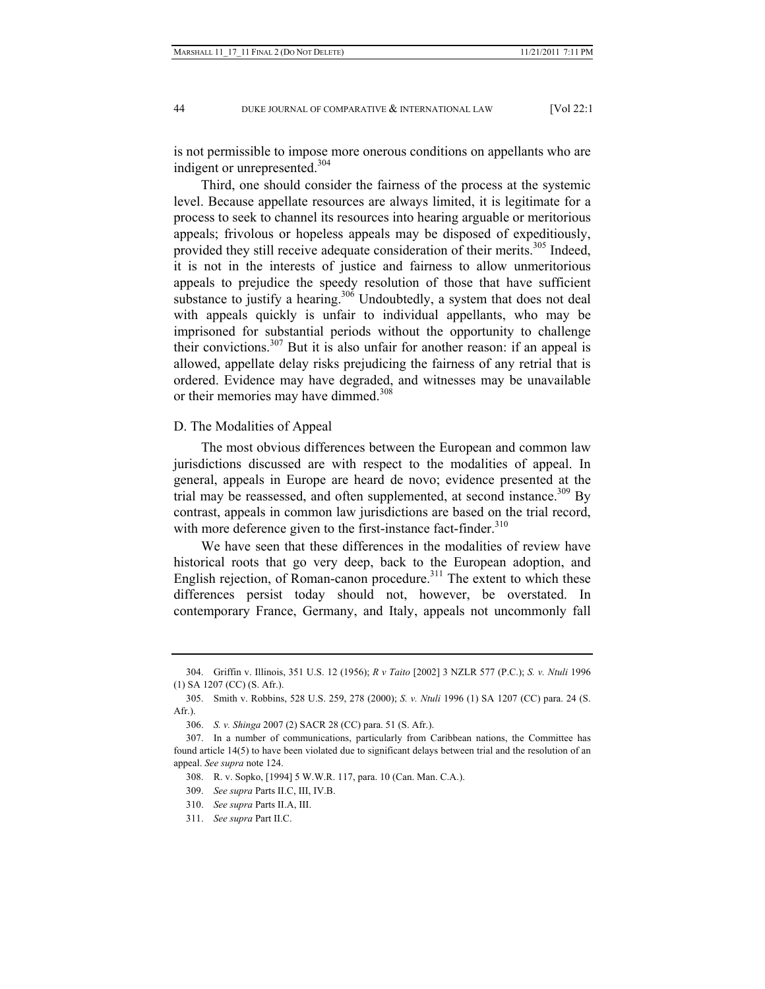is not permissible to impose more onerous conditions on appellants who are indigent or unrepresented.<sup>304</sup>

Third, one should consider the fairness of the process at the systemic level. Because appellate resources are always limited, it is legitimate for a process to seek to channel its resources into hearing arguable or meritorious appeals; frivolous or hopeless appeals may be disposed of expeditiously, provided they still receive adequate consideration of their merits.<sup>305</sup> Indeed, it is not in the interests of justice and fairness to allow unmeritorious appeals to prejudice the speedy resolution of those that have sufficient substance to justify a hearing. $306$  Undoubtedly, a system that does not deal with appeals quickly is unfair to individual appellants, who may be imprisoned for substantial periods without the opportunity to challenge their convictions.<sup>307</sup> But it is also unfair for another reason: if an appeal is allowed, appellate delay risks prejudicing the fairness of any retrial that is ordered. Evidence may have degraded, and witnesses may be unavailable or their memories may have dimmed.<sup>308</sup>

## D. The Modalities of Appeal

The most obvious differences between the European and common law jurisdictions discussed are with respect to the modalities of appeal. In general, appeals in Europe are heard de novo; evidence presented at the trial may be reassessed, and often supplemented, at second instance.<sup>309</sup> By contrast, appeals in common law jurisdictions are based on the trial record, with more deference given to the first-instance fact-finder.<sup>310</sup>

We have seen that these differences in the modalities of review have historical roots that go very deep, back to the European adoption, and English rejection, of Roman-canon procedure. $311$  The extent to which these differences persist today should not, however, be overstated. In contemporary France, Germany, and Italy, appeals not uncommonly fall

 <sup>304.</sup> Griffin v. Illinois, 351 U.S. 12 (1956); *R v Taito* [2002] 3 NZLR 577 (P.C.); *S. v. Ntuli* 1996 (1) SA 1207 (CC) (S. Afr.).

 <sup>305.</sup> Smith v. Robbins, 528 U.S. 259, 278 (2000); *S. v. Ntuli* 1996 (1) SA 1207 (CC) para. 24 (S. Afr.).

 <sup>306.</sup> *S. v. Shinga* 2007 (2) SACR 28 (CC) para. 51 (S. Afr.).

 <sup>307.</sup> In a number of communications, particularly from Caribbean nations, the Committee has found article 14(5) to have been violated due to significant delays between trial and the resolution of an appeal. *See supra* note 124.

 <sup>308.</sup> R. v. Sopko, [1994] 5 W.W.R. 117, para. 10 (Can. Man. C.A.).

 <sup>309.</sup> *See supra* Parts II.C, III, IV.B.

 <sup>310.</sup> *See supra* Parts II.A, III.

 <sup>311.</sup> *See supra* Part II.C.